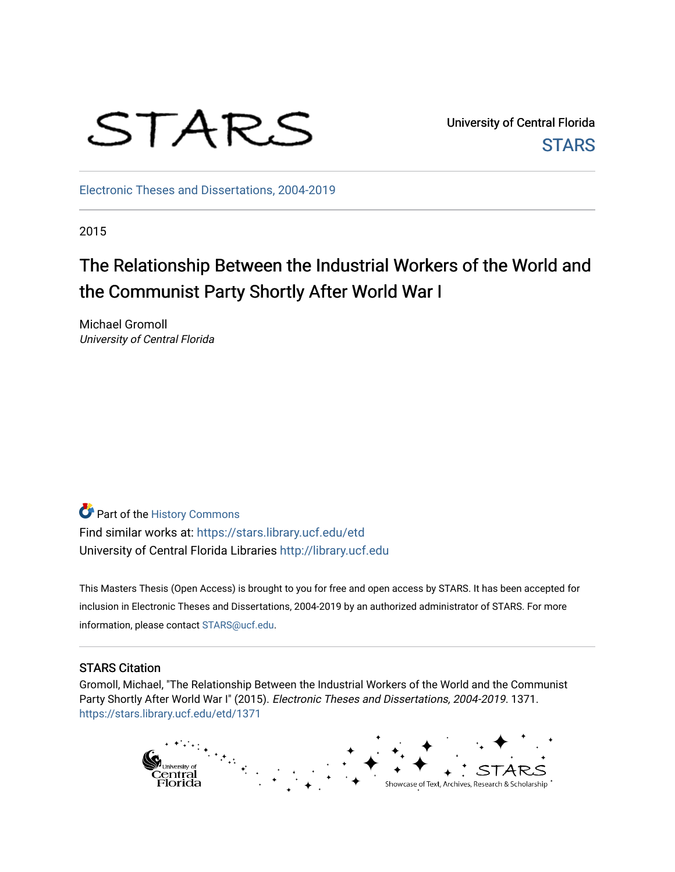

University of Central Florida **STARS** 

[Electronic Theses and Dissertations, 2004-2019](https://stars.library.ucf.edu/etd) 

2015

# The Relationship Between the Industrial Workers of the World and the Communist Party Shortly After World War I

Michael Gromoll University of Central Florida

Part of the [History Commons](http://network.bepress.com/hgg/discipline/489?utm_source=stars.library.ucf.edu%2Fetd%2F1371&utm_medium=PDF&utm_campaign=PDFCoverPages)  Find similar works at: <https://stars.library.ucf.edu/etd> University of Central Florida Libraries [http://library.ucf.edu](http://library.ucf.edu/) 

This Masters Thesis (Open Access) is brought to you for free and open access by STARS. It has been accepted for inclusion in Electronic Theses and Dissertations, 2004-2019 by an authorized administrator of STARS. For more information, please contact [STARS@ucf.edu.](mailto:STARS@ucf.edu)

#### STARS Citation

Gromoll, Michael, "The Relationship Between the Industrial Workers of the World and the Communist Party Shortly After World War I" (2015). Electronic Theses and Dissertations, 2004-2019. 1371. [https://stars.library.ucf.edu/etd/1371](https://stars.library.ucf.edu/etd/1371?utm_source=stars.library.ucf.edu%2Fetd%2F1371&utm_medium=PDF&utm_campaign=PDFCoverPages) 

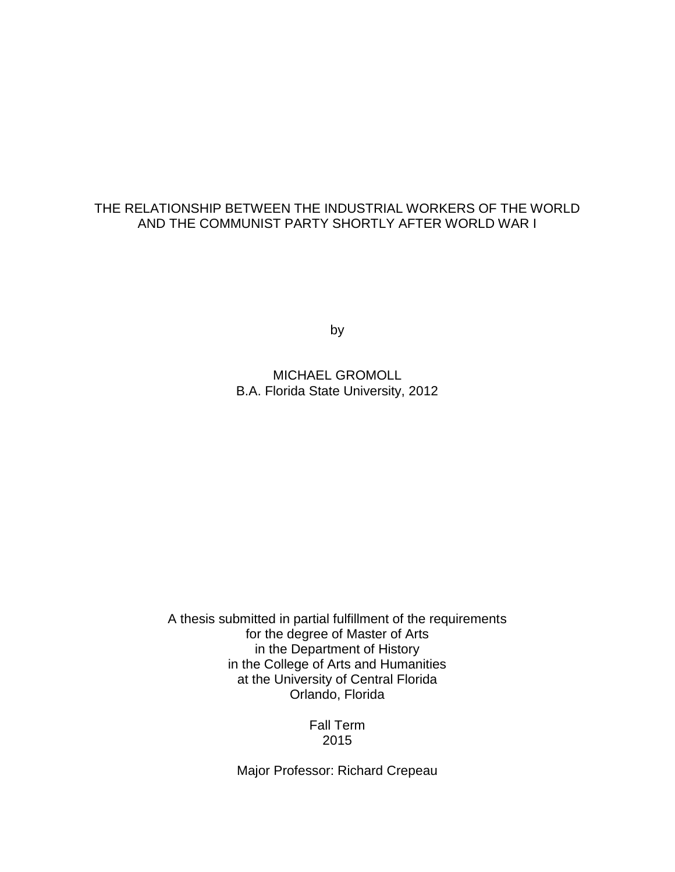## THE RELATIONSHIP BETWEEN THE INDUSTRIAL WORKERS OF THE WORLD AND THE COMMUNIST PARTY SHORTLY AFTER WORLD WAR I

by

MICHAEL GROMOLL B.A. Florida State University, 2012

A thesis submitted in partial fulfillment of the requirements for the degree of Master of Arts in the Department of History in the College of Arts and Humanities at the University of Central Florida Orlando, Florida

> Fall Term 2015

Major Professor: Richard Crepeau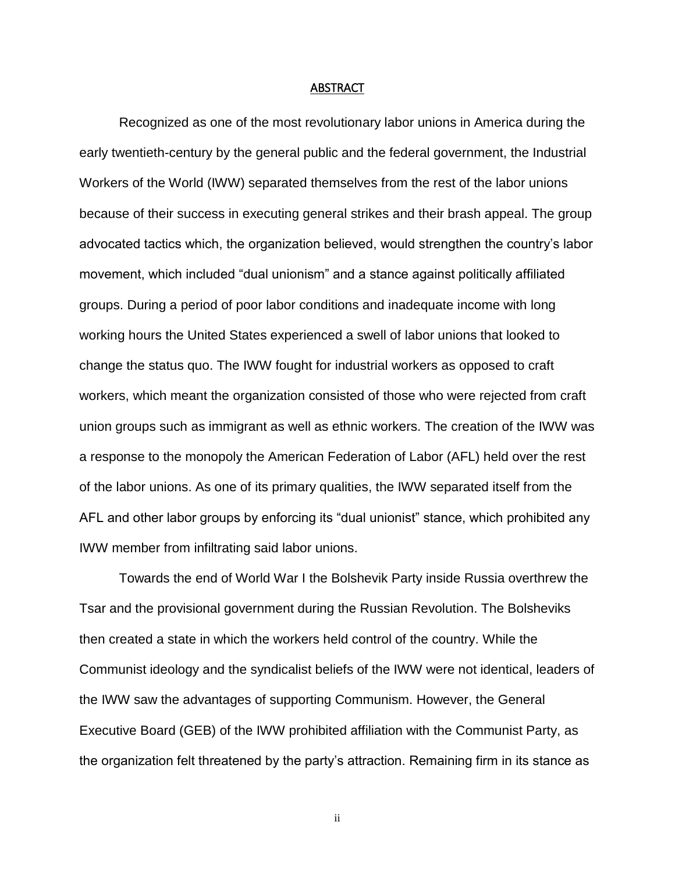#### ABSTRACT

Recognized as one of the most revolutionary labor unions in America during the early twentieth-century by the general public and the federal government, the Industrial Workers of the World (IWW) separated themselves from the rest of the labor unions because of their success in executing general strikes and their brash appeal. The group advocated tactics which, the organization believed, would strengthen the country's labor movement, which included "dual unionism" and a stance against politically affiliated groups. During a period of poor labor conditions and inadequate income with long working hours the United States experienced a swell of labor unions that looked to change the status quo. The IWW fought for industrial workers as opposed to craft workers, which meant the organization consisted of those who were rejected from craft union groups such as immigrant as well as ethnic workers. The creation of the IWW was a response to the monopoly the American Federation of Labor (AFL) held over the rest of the labor unions. As one of its primary qualities, the IWW separated itself from the AFL and other labor groups by enforcing its "dual unionist" stance, which prohibited any IWW member from infiltrating said labor unions.

Towards the end of World War I the Bolshevik Party inside Russia overthrew the Tsar and the provisional government during the Russian Revolution. The Bolsheviks then created a state in which the workers held control of the country. While the Communist ideology and the syndicalist beliefs of the IWW were not identical, leaders of the IWW saw the advantages of supporting Communism. However, the General Executive Board (GEB) of the IWW prohibited affiliation with the Communist Party, as the organization felt threatened by the party's attraction. Remaining firm in its stance as

ii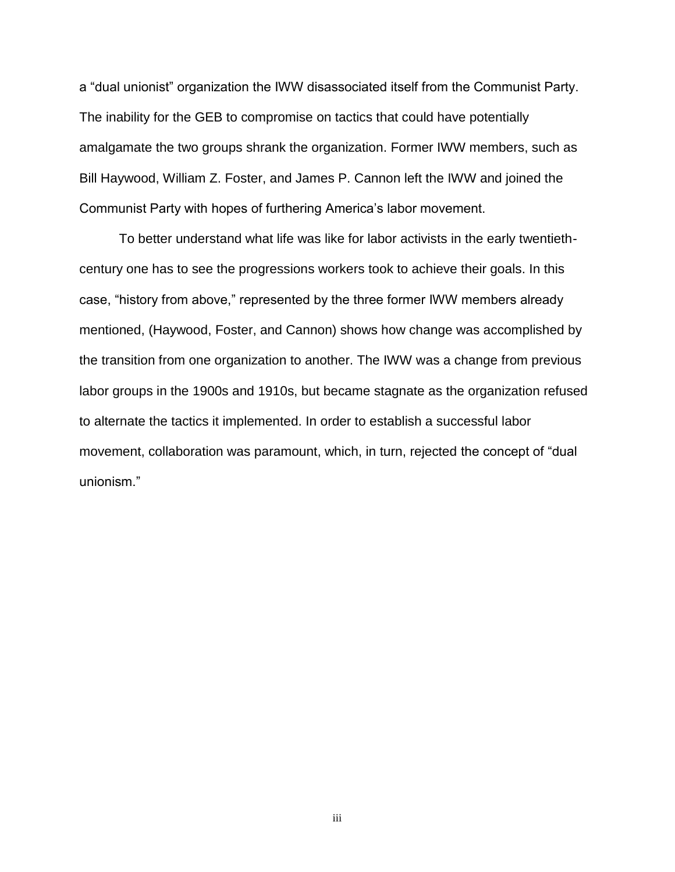a "dual unionist" organization the IWW disassociated itself from the Communist Party. The inability for the GEB to compromise on tactics that could have potentially amalgamate the two groups shrank the organization. Former IWW members, such as Bill Haywood, William Z. Foster, and James P. Cannon left the IWW and joined the Communist Party with hopes of furthering America's labor movement.

To better understand what life was like for labor activists in the early twentiethcentury one has to see the progressions workers took to achieve their goals. In this case, "history from above," represented by the three former IWW members already mentioned, (Haywood, Foster, and Cannon) shows how change was accomplished by the transition from one organization to another. The IWW was a change from previous labor groups in the 1900s and 1910s, but became stagnate as the organization refused to alternate the tactics it implemented. In order to establish a successful labor movement, collaboration was paramount, which, in turn, rejected the concept of "dual unionism."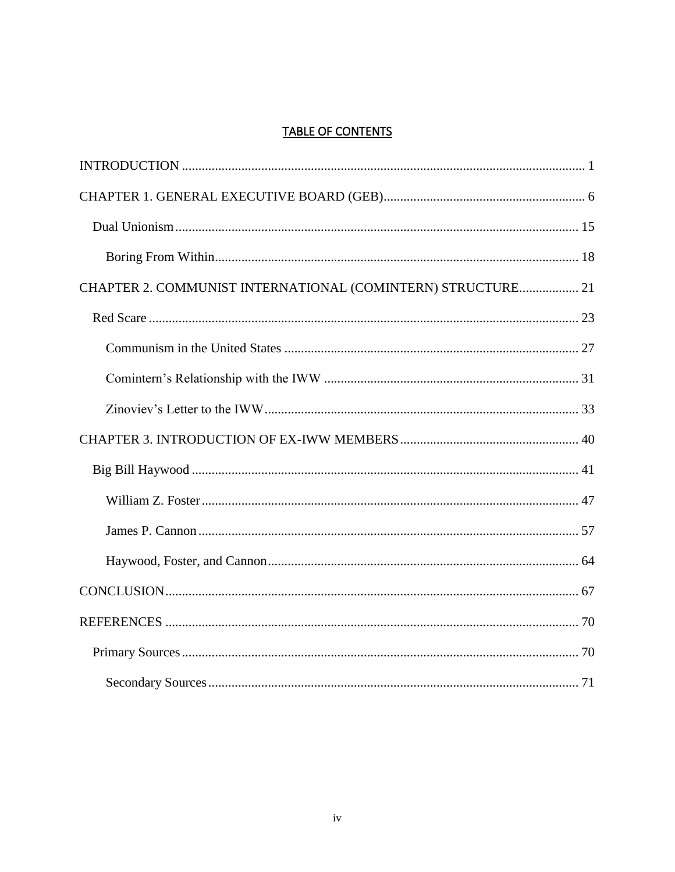## **TABLE OF CONTENTS**

| CHAPTER 2. COMMUNIST INTERNATIONAL (COMINTERN) STRUCTURE 21 |  |
|-------------------------------------------------------------|--|
|                                                             |  |
|                                                             |  |
|                                                             |  |
|                                                             |  |
|                                                             |  |
|                                                             |  |
|                                                             |  |
|                                                             |  |
|                                                             |  |
|                                                             |  |
|                                                             |  |
|                                                             |  |
|                                                             |  |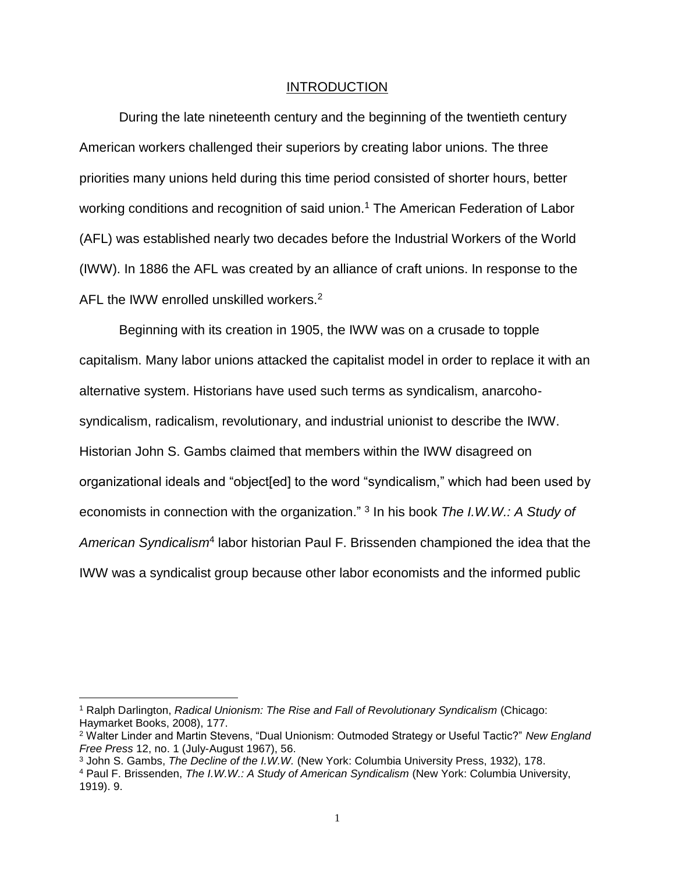#### INTRODUCTION

<span id="page-5-0"></span>During the late nineteenth century and the beginning of the twentieth century American workers challenged their superiors by creating labor unions. The three priorities many unions held during this time period consisted of shorter hours, better working conditions and recognition of said union.<sup>1</sup> The American Federation of Labor (AFL) was established nearly two decades before the Industrial Workers of the World (IWW). In 1886 the AFL was created by an alliance of craft unions. In response to the AFL the IWW enrolled unskilled workers.<sup>2</sup>

Beginning with its creation in 1905, the IWW was on a crusade to topple capitalism. Many labor unions attacked the capitalist model in order to replace it with an alternative system. Historians have used such terms as syndicalism, anarcohosyndicalism, radicalism, revolutionary, and industrial unionist to describe the IWW. Historian John S. Gambs claimed that members within the IWW disagreed on organizational ideals and "object[ed] to the word "syndicalism," which had been used by economists in connection with the organization." <sup>3</sup> In his book The I.W.W.: A Study of American Syndicalism<sup>4</sup> labor historian Paul F. Brissenden championed the idea that the IWW was a syndicalist group because other labor economists and the informed public

<sup>1</sup> Ralph Darlington, *Radical Unionism: The Rise and Fall of Revolutionary Syndicalism* (Chicago: Haymarket Books, 2008), 177.

<sup>2</sup> Walter Linder and Martin Stevens, "Dual Unionism: Outmoded Strategy or Useful Tactic?" *New England Free Press* 12, no. 1 (July-August 1967), 56.

<sup>3</sup> John S. Gambs, *The Decline of the I.W.W.* (New York: Columbia University Press, 1932), 178.

<sup>4</sup> Paul F. Brissenden, *The I.W.W.: A Study of American Syndicalism* (New York: Columbia University, 1919). 9.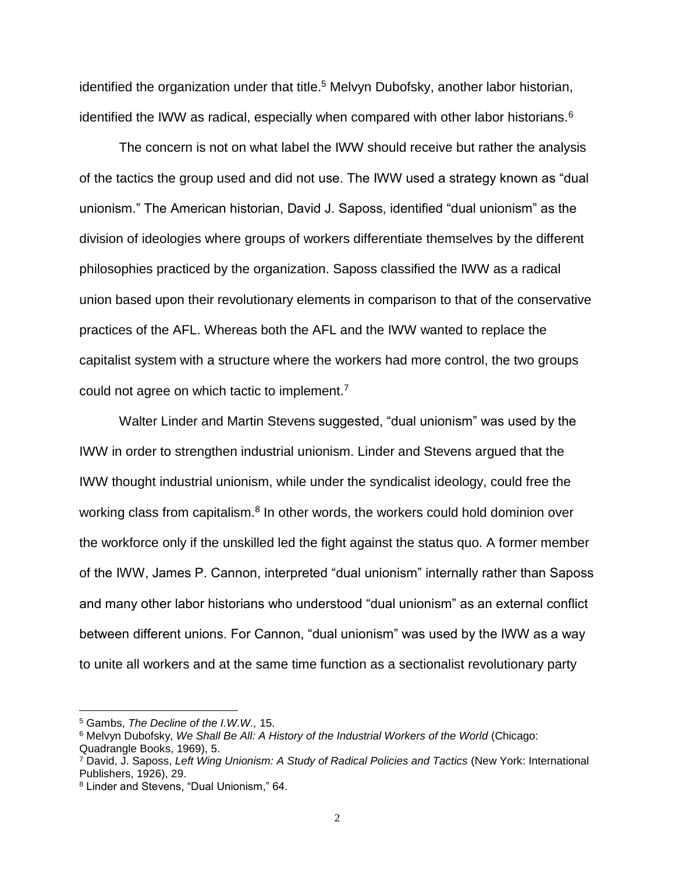identified the organization under that title.<sup>5</sup> Melvyn Dubofsky, another labor historian, identified the IWW as radical, especially when compared with other labor historians.<sup>6</sup>

The concern is not on what label the IWW should receive but rather the analysis of the tactics the group used and did not use. The IWW used a strategy known as "dual unionism." The American historian, David J. Saposs, identified "dual unionism" as the division of ideologies where groups of workers differentiate themselves by the different philosophies practiced by the organization. Saposs classified the IWW as a radical union based upon their revolutionary elements in comparison to that of the conservative practices of the AFL. Whereas both the AFL and the IWW wanted to replace the capitalist system with a structure where the workers had more control, the two groups could not agree on which tactic to implement.<sup>7</sup>

Walter Linder and Martin Stevens suggested, "dual unionism" was used by the IWW in order to strengthen industrial unionism. Linder and Stevens argued that the IWW thought industrial unionism, while under the syndicalist ideology, could free the working class from capitalism.<sup>8</sup> In other words, the workers could hold dominion over the workforce only if the unskilled led the fight against the status quo. A former member of the IWW, James P. Cannon, interpreted "dual unionism" internally rather than Saposs and many other labor historians who understood "dual unionism" as an external conflict between different unions. For Cannon, "dual unionism" was used by the IWW as a way to unite all workers and at the same time function as a sectionalist revolutionary party

<sup>5</sup> Gambs, *The Decline of the I.W.W.,* 15.

<sup>6</sup> Melvyn Dubofsky, *We Shall Be All: A History of the Industrial Workers of the World* (Chicago: Quadrangle Books, 1969), 5.

<sup>7</sup> David, J. Saposs, *Left Wing Unionism: A Study of Radical Policies and Tactics* (New York: International Publishers, 1926), 29.

<sup>8</sup> Linder and Stevens, "Dual Unionism," 64.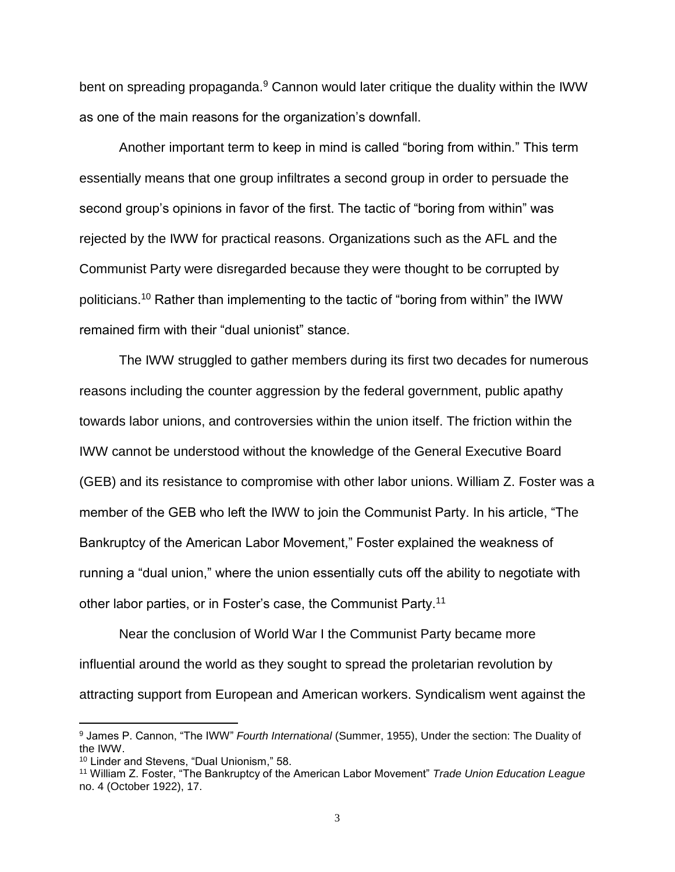bent on spreading propaganda.<sup>9</sup> Cannon would later critique the duality within the IWW as one of the main reasons for the organization's downfall.

Another important term to keep in mind is called "boring from within." This term essentially means that one group infiltrates a second group in order to persuade the second group's opinions in favor of the first. The tactic of "boring from within" was rejected by the IWW for practical reasons. Organizations such as the AFL and the Communist Party were disregarded because they were thought to be corrupted by politicians.<sup>10</sup> Rather than implementing to the tactic of "boring from within" the IWW remained firm with their "dual unionist" stance.

The IWW struggled to gather members during its first two decades for numerous reasons including the counter aggression by the federal government, public apathy towards labor unions, and controversies within the union itself. The friction within the IWW cannot be understood without the knowledge of the General Executive Board (GEB) and its resistance to compromise with other labor unions. William Z. Foster was a member of the GEB who left the IWW to join the Communist Party. In his article, "The Bankruptcy of the American Labor Movement," Foster explained the weakness of running a "dual union," where the union essentially cuts off the ability to negotiate with other labor parties, or in Foster's case, the Communist Party.<sup>11</sup>

Near the conclusion of World War I the Communist Party became more influential around the world as they sought to spread the proletarian revolution by attracting support from European and American workers. Syndicalism went against the

<sup>9</sup> James P. Cannon, "The IWW" *Fourth International* (Summer, 1955), Under the section: The Duality of the IWW.

<sup>10</sup> Linder and Stevens, "Dual Unionism," 58.

<sup>11</sup> William Z. Foster, "The Bankruptcy of the American Labor Movement" *Trade Union Education League*  no. 4 (October 1922), 17.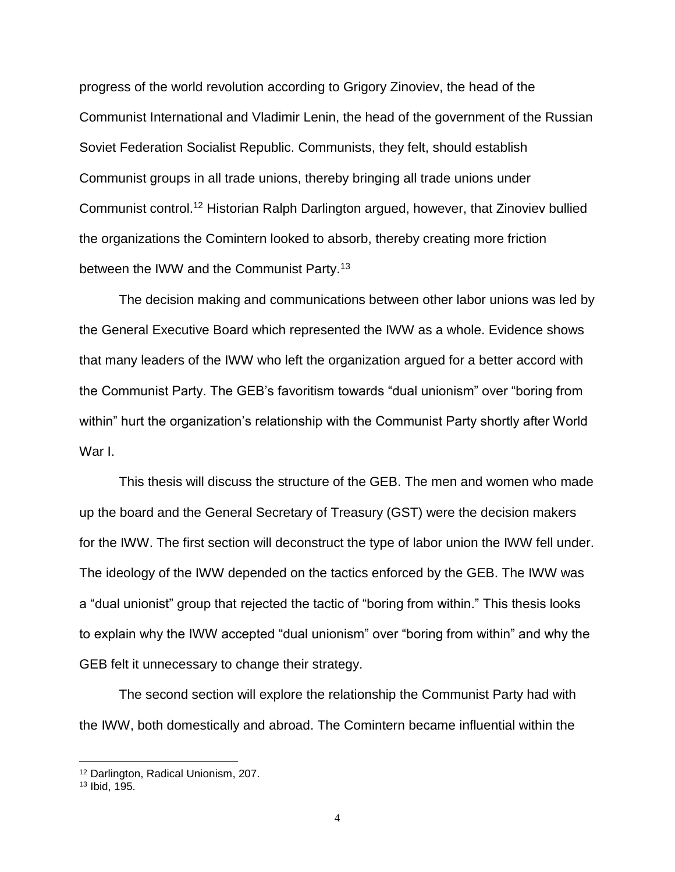progress of the world revolution according to Grigory Zinoviev, the head of the Communist International and Vladimir Lenin, the head of the government of the Russian Soviet Federation Socialist Republic. Communists, they felt, should establish Communist groups in all trade unions, thereby bringing all trade unions under Communist control.<sup>12</sup> Historian Ralph Darlington argued, however, that Zinoviev bullied the organizations the Comintern looked to absorb, thereby creating more friction between the IWW and the Communist Party.<sup>13</sup>

The decision making and communications between other labor unions was led by the General Executive Board which represented the IWW as a whole. Evidence shows that many leaders of the IWW who left the organization argued for a better accord with the Communist Party. The GEB's favoritism towards "dual unionism" over "boring from within" hurt the organization's relationship with the Communist Party shortly after World War I.

This thesis will discuss the structure of the GEB. The men and women who made up the board and the General Secretary of Treasury (GST) were the decision makers for the IWW. The first section will deconstruct the type of labor union the IWW fell under. The ideology of the IWW depended on the tactics enforced by the GEB. The IWW was a "dual unionist" group that rejected the tactic of "boring from within." This thesis looks to explain why the IWW accepted "dual unionism" over "boring from within" and why the GEB felt it unnecessary to change their strategy.

The second section will explore the relationship the Communist Party had with the IWW, both domestically and abroad. The Comintern became influential within the

<sup>12</sup> Darlington, Radical Unionism, 207.

<sup>13</sup> Ibid, 195.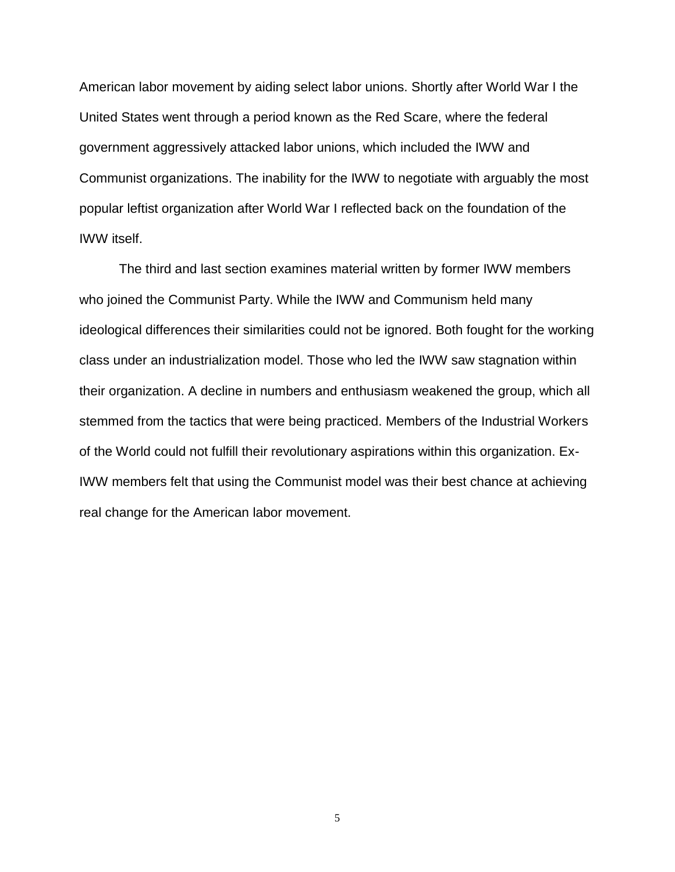American labor movement by aiding select labor unions. Shortly after World War I the United States went through a period known as the Red Scare, where the federal government aggressively attacked labor unions, which included the IWW and Communist organizations. The inability for the IWW to negotiate with arguably the most popular leftist organization after World War I reflected back on the foundation of the IWW itself.

The third and last section examines material written by former IWW members who joined the Communist Party. While the IWW and Communism held many ideological differences their similarities could not be ignored. Both fought for the working class under an industrialization model. Those who led the IWW saw stagnation within their organization. A decline in numbers and enthusiasm weakened the group, which all stemmed from the tactics that were being practiced. Members of the Industrial Workers of the World could not fulfill their revolutionary aspirations within this organization. Ex-IWW members felt that using the Communist model was their best chance at achieving real change for the American labor movement.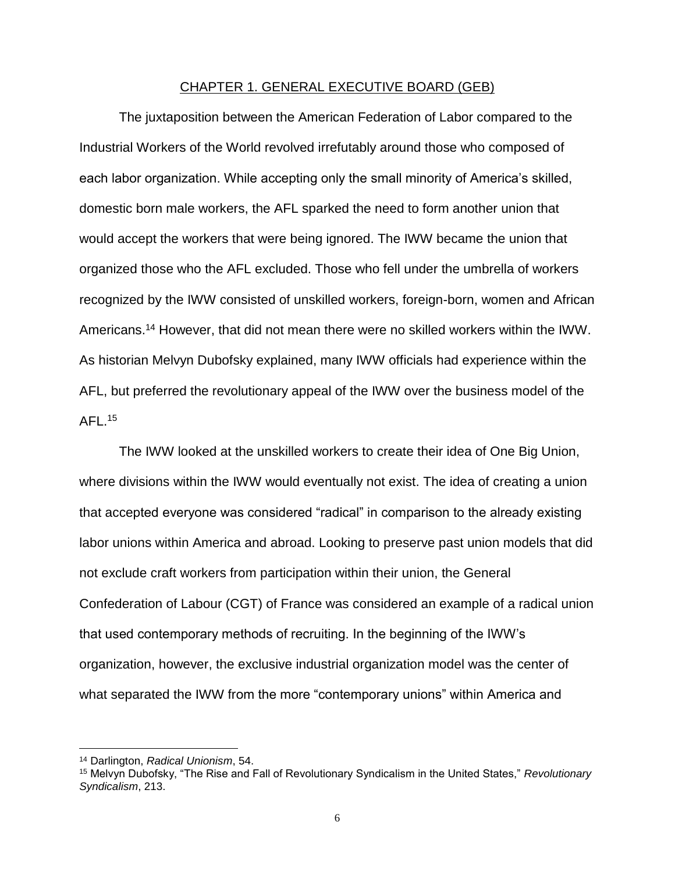#### CHAPTER 1. GENERAL EXECUTIVE BOARD (GEB)

<span id="page-10-0"></span>The juxtaposition between the American Federation of Labor compared to the Industrial Workers of the World revolved irrefutably around those who composed of each labor organization. While accepting only the small minority of America's skilled, domestic born male workers, the AFL sparked the need to form another union that would accept the workers that were being ignored. The IWW became the union that organized those who the AFL excluded. Those who fell under the umbrella of workers recognized by the IWW consisted of unskilled workers, foreign-born, women and African Americans.<sup>14</sup> However, that did not mean there were no skilled workers within the IWW. As historian Melvyn Dubofsky explained, many IWW officials had experience within the AFL, but preferred the revolutionary appeal of the IWW over the business model of the AFL.<sup>15</sup>

The IWW looked at the unskilled workers to create their idea of One Big Union, where divisions within the IWW would eventually not exist. The idea of creating a union that accepted everyone was considered "radical" in comparison to the already existing labor unions within America and abroad. Looking to preserve past union models that did not exclude craft workers from participation within their union, the General Confederation of Labour (CGT) of France was considered an example of a radical union that used contemporary methods of recruiting. In the beginning of the IWW's organization, however, the exclusive industrial organization model was the center of what separated the IWW from the more "contemporary unions" within America and

<sup>14</sup> Darlington, *Radical Unionism*, 54.

<sup>15</sup> Melvyn Dubofsky, "The Rise and Fall of Revolutionary Syndicalism in the United States," *Revolutionary Syndicalism*, 213.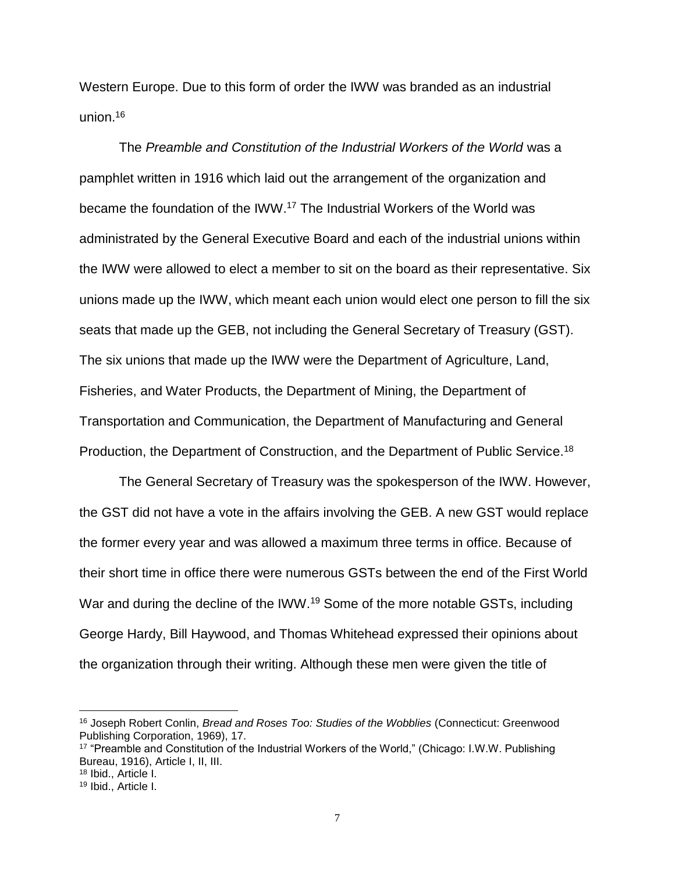Western Europe. Due to this form of order the IWW was branded as an industrial union.<sup>16</sup>

The *Preamble and Constitution of the Industrial Workers of the World* was a pamphlet written in 1916 which laid out the arrangement of the organization and became the foundation of the IWW.<sup>17</sup> The Industrial Workers of the World was administrated by the General Executive Board and each of the industrial unions within the IWW were allowed to elect a member to sit on the board as their representative. Six unions made up the IWW, which meant each union would elect one person to fill the six seats that made up the GEB, not including the General Secretary of Treasury (GST). The six unions that made up the IWW were the Department of Agriculture, Land, Fisheries, and Water Products, the Department of Mining, the Department of Transportation and Communication, the Department of Manufacturing and General Production, the Department of Construction, and the Department of Public Service.<sup>18</sup>

The General Secretary of Treasury was the spokesperson of the IWW. However, the GST did not have a vote in the affairs involving the GEB. A new GST would replace the former every year and was allowed a maximum three terms in office. Because of their short time in office there were numerous GSTs between the end of the First World War and during the decline of the IWW.<sup>19</sup> Some of the more notable GSTs, including George Hardy, Bill Haywood, and Thomas Whitehead expressed their opinions about the organization through their writing. Although these men were given the title of

<sup>16</sup> Joseph Robert Conlin, *Bread and Roses Too: Studies of the Wobblies* (Connecticut: Greenwood Publishing Corporation, 1969), 17.

<sup>17</sup> "Preamble and Constitution of the Industrial Workers of the World," (Chicago: I.W.W. Publishing Bureau, 1916), Article I, II, III.

<sup>18</sup> Ibid., Article I.

<sup>19</sup> Ibid., Article I.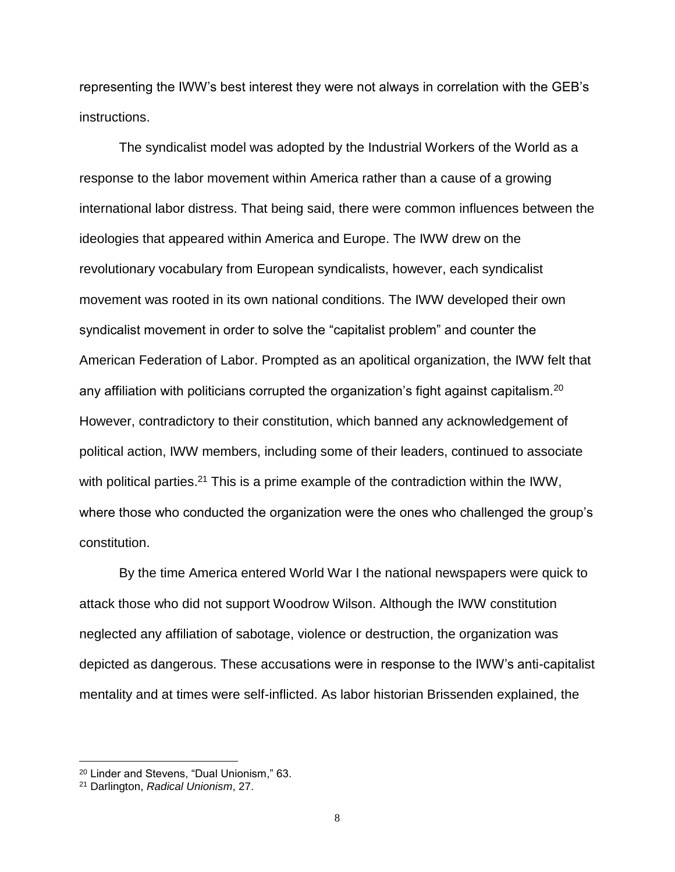representing the IWW's best interest they were not always in correlation with the GEB's instructions.

The syndicalist model was adopted by the Industrial Workers of the World as a response to the labor movement within America rather than a cause of a growing international labor distress. That being said, there were common influences between the ideologies that appeared within America and Europe. The IWW drew on the revolutionary vocabulary from European syndicalists, however, each syndicalist movement was rooted in its own national conditions. The IWW developed their own syndicalist movement in order to solve the "capitalist problem" and counter the American Federation of Labor. Prompted as an apolitical organization, the IWW felt that any affiliation with politicians corrupted the organization's fight against capitalism.<sup>20</sup> However, contradictory to their constitution, which banned any acknowledgement of political action, IWW members, including some of their leaders, continued to associate with political parties.<sup>21</sup> This is a prime example of the contradiction within the IWW, where those who conducted the organization were the ones who challenged the group's constitution.

By the time America entered World War I the national newspapers were quick to attack those who did not support Woodrow Wilson. Although the IWW constitution neglected any affiliation of sabotage, violence or destruction, the organization was depicted as dangerous. These accusations were in response to the IWW's anti-capitalist mentality and at times were self-inflicted. As labor historian Brissenden explained, the

<sup>20</sup> Linder and Stevens, "Dual Unionism," 63.

<sup>21</sup> Darlington, *Radical Unionism*, 27.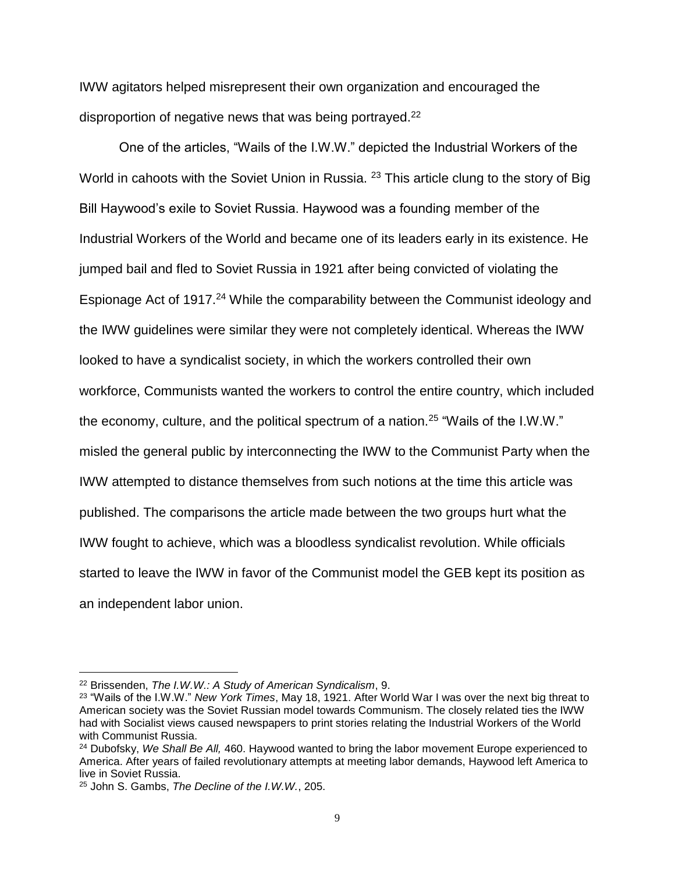IWW agitators helped misrepresent their own organization and encouraged the disproportion of negative news that was being portrayed.<sup>22</sup>

One of the articles, "Wails of the I.W.W." depicted the Industrial Workers of the World in cahoots with the Soviet Union in Russia. <sup>23</sup> This article clung to the story of Big Bill Haywood's exile to Soviet Russia. Haywood was a founding member of the Industrial Workers of the World and became one of its leaders early in its existence. He jumped bail and fled to Soviet Russia in 1921 after being convicted of violating the Espionage Act of 1917.<sup>24</sup> While the comparability between the Communist ideology and the IWW guidelines were similar they were not completely identical. Whereas the IWW looked to have a syndicalist society, in which the workers controlled their own workforce, Communists wanted the workers to control the entire country, which included the economy, culture, and the political spectrum of a nation.<sup>25</sup> "Wails of the I.W.W." misled the general public by interconnecting the IWW to the Communist Party when the IWW attempted to distance themselves from such notions at the time this article was published. The comparisons the article made between the two groups hurt what the IWW fought to achieve, which was a bloodless syndicalist revolution. While officials started to leave the IWW in favor of the Communist model the GEB kept its position as an independent labor union.

<sup>22</sup> Brissenden, *The I.W.W.: A Study of American Syndicalism*, 9.

<sup>23</sup> "Wails of the I.W.W." *New York Times*, May 18, 1921. After World War I was over the next big threat to American society was the Soviet Russian model towards Communism. The closely related ties the IWW had with Socialist views caused newspapers to print stories relating the Industrial Workers of the World with Communist Russia.

<sup>24</sup> Dubofsky, *We Shall Be All,* 460. Haywood wanted to bring the labor movement Europe experienced to America. After years of failed revolutionary attempts at meeting labor demands, Haywood left America to live in Soviet Russia.

<sup>25</sup> John S. Gambs, *The Decline of the I.W.W.*, 205.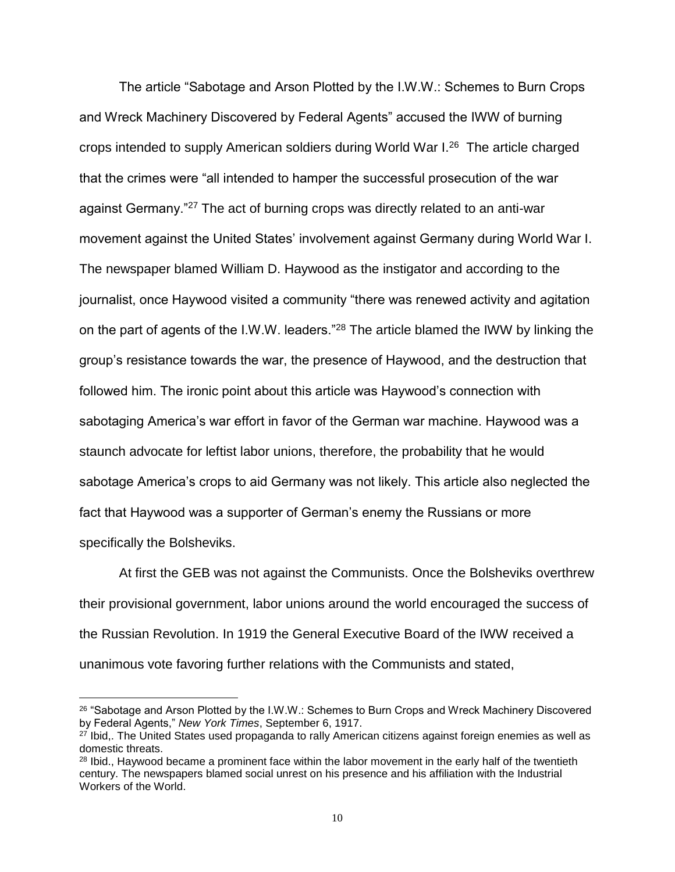The article "Sabotage and Arson Plotted by the I.W.W.: Schemes to Burn Crops and Wreck Machinery Discovered by Federal Agents" accused the IWW of burning crops intended to supply American soldiers during World War I.<sup>26</sup> The article charged that the crimes were "all intended to hamper the successful prosecution of the war against Germany."<sup>27</sup> The act of burning crops was directly related to an anti-war movement against the United States' involvement against Germany during World War I. The newspaper blamed William D. Haywood as the instigator and according to the journalist, once Haywood visited a community "there was renewed activity and agitation on the part of agents of the I.W.W. leaders."<sup>28</sup> The article blamed the IWW by linking the group's resistance towards the war, the presence of Haywood, and the destruction that followed him. The ironic point about this article was Haywood's connection with sabotaging America's war effort in favor of the German war machine. Haywood was a staunch advocate for leftist labor unions, therefore, the probability that he would sabotage America's crops to aid Germany was not likely. This article also neglected the fact that Haywood was a supporter of German's enemy the Russians or more specifically the Bolsheviks.

At first the GEB was not against the Communists. Once the Bolsheviks overthrew their provisional government, labor unions around the world encouraged the success of the Russian Revolution. In 1919 the General Executive Board of the IWW received a unanimous vote favoring further relations with the Communists and stated,

<sup>&</sup>lt;sup>26</sup> "Sabotage and Arson Plotted by the I.W.W.: Schemes to Burn Crops and Wreck Machinery Discovered by Federal Agents," *New York Times*, September 6, 1917.

<sup>&</sup>lt;sup>27</sup> Ibid,. The United States used propaganda to rally American citizens against foreign enemies as well as domestic threats.

<sup>&</sup>lt;sup>28</sup> Ibid., Haywood became a prominent face within the labor movement in the early half of the twentieth century. The newspapers blamed social unrest on his presence and his affiliation with the Industrial Workers of the World.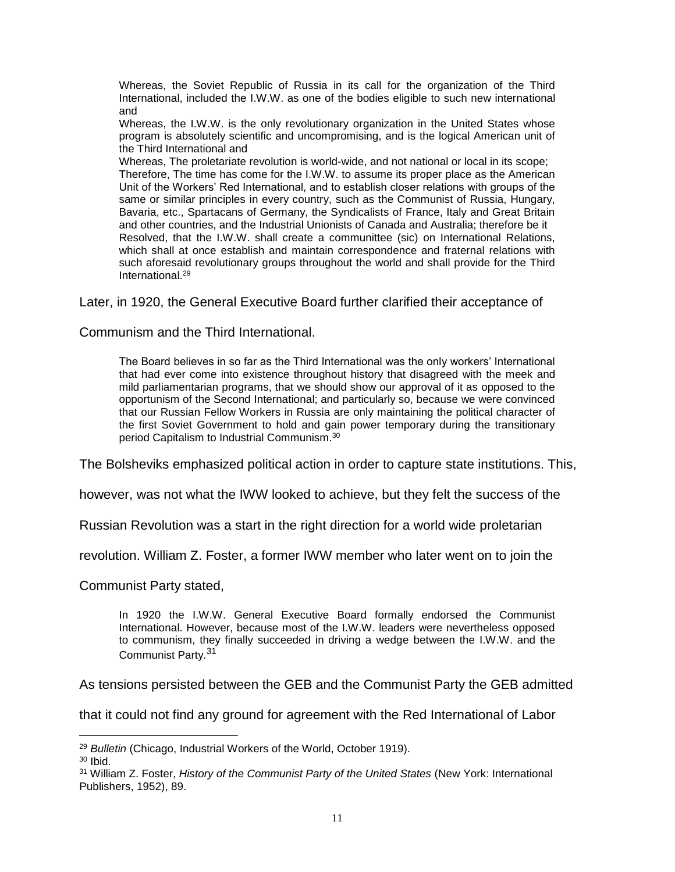Whereas, the Soviet Republic of Russia in its call for the organization of the Third International, included the I.W.W. as one of the bodies eligible to such new international and

Whereas, the I.W.W. is the only revolutionary organization in the United States whose program is absolutely scientific and uncompromising, and is the logical American unit of the Third International and

Whereas, The proletariate revolution is world-wide, and not national or local in its scope; Therefore, The time has come for the I.W.W. to assume its proper place as the American Unit of the Workers' Red International, and to establish closer relations with groups of the same or similar principles in every country, such as the Communist of Russia, Hungary, Bavaria, etc., Spartacans of Germany, the Syndicalists of France, Italy and Great Britain and other countries, and the Industrial Unionists of Canada and Australia; therefore be it Resolved, that the I.W.W. shall create a communittee (sic) on International Relations, which shall at once establish and maintain correspondence and fraternal relations with such aforesaid revolutionary groups throughout the world and shall provide for the Third International<sup>29</sup>

Later, in 1920, the General Executive Board further clarified their acceptance of

Communism and the Third International.

The Board believes in so far as the Third International was the only workers' International that had ever come into existence throughout history that disagreed with the meek and mild parliamentarian programs, that we should show our approval of it as opposed to the opportunism of the Second International; and particularly so, because we were convinced that our Russian Fellow Workers in Russia are only maintaining the political character of the first Soviet Government to hold and gain power temporary during the transitionary period Capitalism to Industrial Communism.<sup>30</sup>

The Bolsheviks emphasized political action in order to capture state institutions. This,

however, was not what the IWW looked to achieve, but they felt the success of the

Russian Revolution was a start in the right direction for a world wide proletarian

revolution. William Z. Foster, a former IWW member who later went on to join the

Communist Party stated,

In 1920 the I.W.W. General Executive Board formally endorsed the Communist International. However, because most of the I.W.W. leaders were nevertheless opposed to communism, they finally succeeded in driving a wedge between the I.W.W. and the Communist Party.<sup>31</sup>

As tensions persisted between the GEB and the Communist Party the GEB admitted

that it could not find any ground for agreement with the Red International of Labor

<sup>29</sup> *Bulletin* (Chicago, Industrial Workers of the World, October 1919).

 $30$  Ibid.

<sup>31</sup> William Z. Foster, *History of the Communist Party of the United States* (New York: International Publishers, 1952), 89.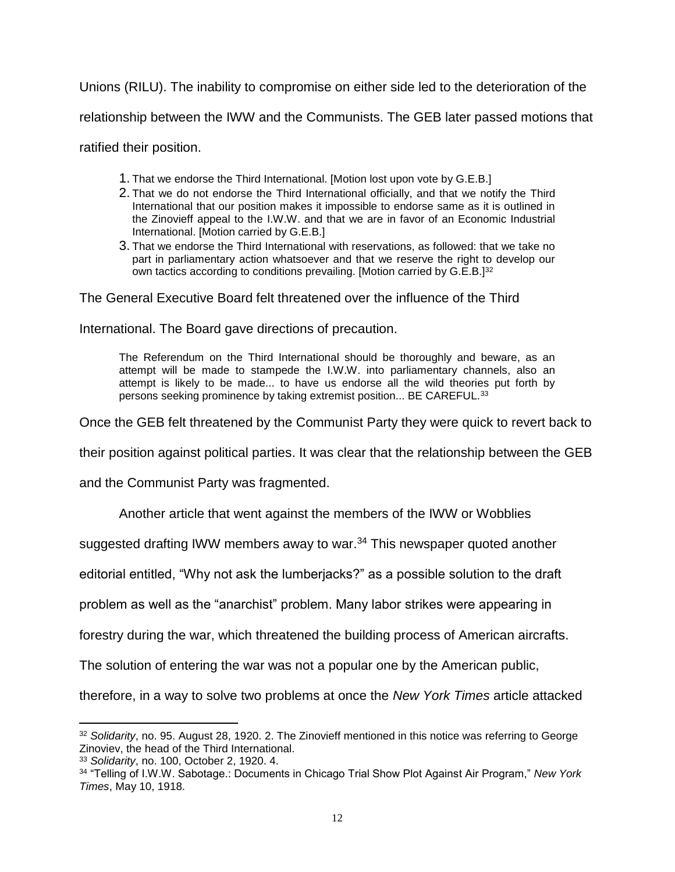Unions (RILU). The inability to compromise on either side led to the deterioration of the

relationship between the IWW and the Communists. The GEB later passed motions that

ratified their position.

- 1. That we endorse the Third International. [Motion lost upon vote by G.E.B.]
- 2. That we do not endorse the Third International officially, and that we notify the Third International that our position makes it impossible to endorse same as it is outlined in the Zinovieff appeal to the I.W.W. and that we are in favor of an Economic Industrial International. [Motion carried by G.E.B.]
- 3. That we endorse the Third International with reservations, as followed: that we take no part in parliamentary action whatsoever and that we reserve the right to develop our own tactics according to conditions prevailing. [Motion carried by G.E.B.]<sup>32</sup>

The General Executive Board felt threatened over the influence of the Third

International. The Board gave directions of precaution.

The Referendum on the Third International should be thoroughly and beware, as an attempt will be made to stampede the I.W.W. into parliamentary channels, also an attempt is likely to be made... to have us endorse all the wild theories put forth by persons seeking prominence by taking extremist position... BE CAREFUL.<sup>33</sup>

Once the GEB felt threatened by the Communist Party they were quick to revert back to

their position against political parties. It was clear that the relationship between the GEB

and the Communist Party was fragmented.

Another article that went against the members of the IWW or Wobblies

suggested drafting IWW members away to war.<sup>34</sup> This newspaper quoted another

editorial entitled, "Why not ask the lumberjacks?" as a possible solution to the draft

problem as well as the "anarchist" problem. Many labor strikes were appearing in

forestry during the war, which threatened the building process of American aircrafts.

The solution of entering the war was not a popular one by the American public,

therefore, in a way to solve two problems at once the *New York Times* article attacked

<sup>32</sup> *Solidarity*, no. 95. August 28, 1920. 2. The Zinovieff mentioned in this notice was referring to George Zinoviev, the head of the Third International.

<sup>33</sup> *Solidarity*, no. 100, October 2, 1920. 4.

<sup>34</sup> "Telling of I.W.W. Sabotage.: Documents in Chicago Trial Show Plot Against Air Program," *New York Times*, May 10, 1918.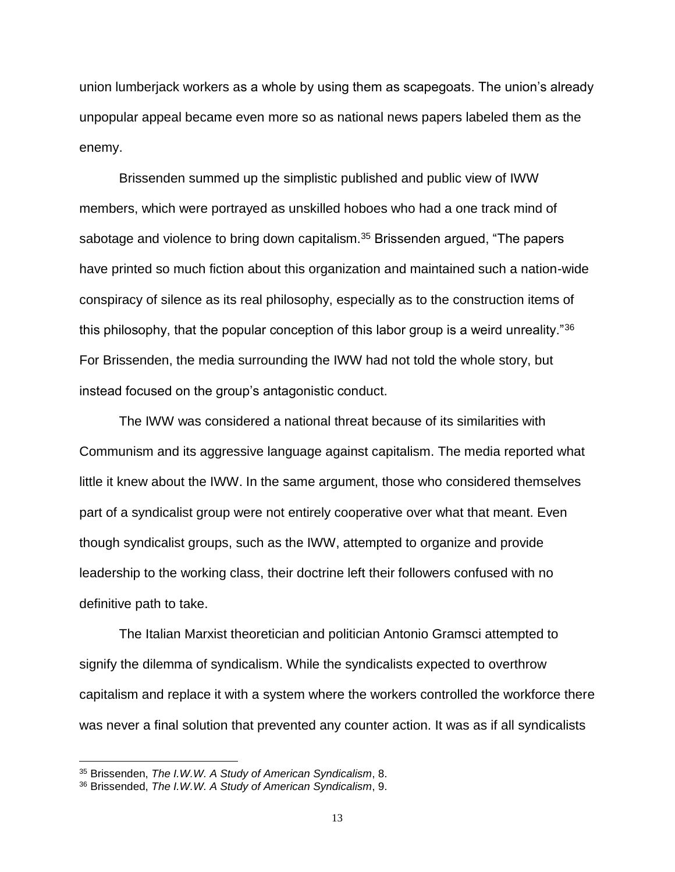union lumberjack workers as a whole by using them as scapegoats. The union's already unpopular appeal became even more so as national news papers labeled them as the enemy.

Brissenden summed up the simplistic published and public view of IWW members, which were portrayed as unskilled hoboes who had a one track mind of sabotage and violence to bring down capitalism.<sup>35</sup> Brissenden argued, "The papers have printed so much fiction about this organization and maintained such a nation-wide conspiracy of silence as its real philosophy, especially as to the construction items of this philosophy, that the popular conception of this labor group is a weird unreality."<sup>36</sup> For Brissenden, the media surrounding the IWW had not told the whole story, but instead focused on the group's antagonistic conduct.

The IWW was considered a national threat because of its similarities with Communism and its aggressive language against capitalism. The media reported what little it knew about the IWW. In the same argument, those who considered themselves part of a syndicalist group were not entirely cooperative over what that meant. Even though syndicalist groups, such as the IWW, attempted to organize and provide leadership to the working class, their doctrine left their followers confused with no definitive path to take.

The Italian Marxist theoretician and politician Antonio Gramsci attempted to signify the dilemma of syndicalism. While the syndicalists expected to overthrow capitalism and replace it with a system where the workers controlled the workforce there was never a final solution that prevented any counter action. It was as if all syndicalists

<sup>35</sup> Brissenden, *The I.W.W. A Study of American Syndicalism*, 8.

<sup>36</sup> Brissended, *The I.W.W. A Study of American Syndicalism*, 9.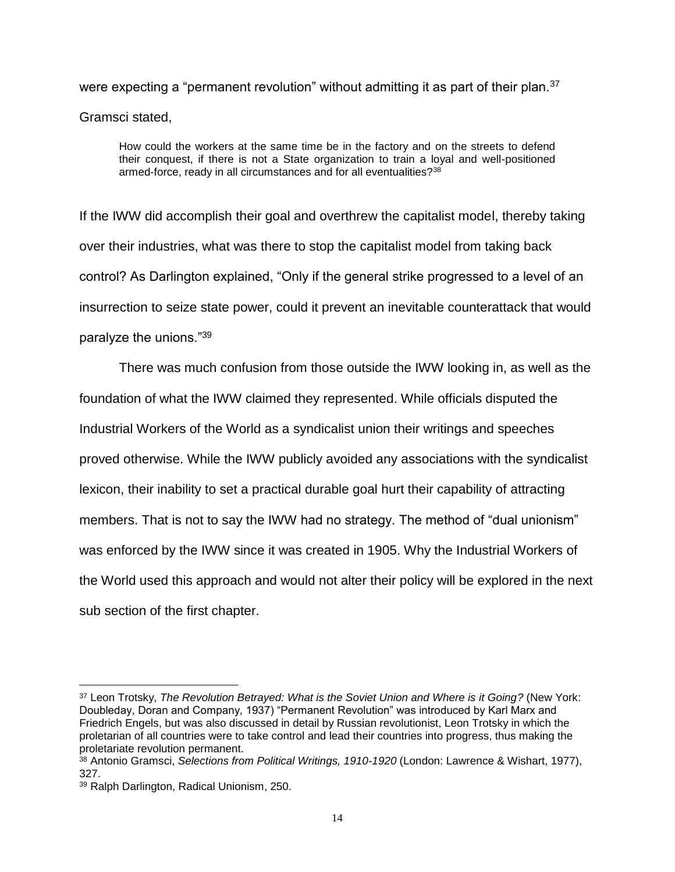were expecting a "permanent revolution" without admitting it as part of their plan.<sup>37</sup> Gramsci stated,

How could the workers at the same time be in the factory and on the streets to defend their conquest, if there is not a State organization to train a loyal and well-positioned armed-force, ready in all circumstances and for all eventualities?<sup>38</sup>

If the IWW did accomplish their goal and overthrew the capitalist model, thereby taking over their industries, what was there to stop the capitalist model from taking back control? As Darlington explained, "Only if the general strike progressed to a level of an insurrection to seize state power, could it prevent an inevitable counterattack that would paralyze the unions."<sup>39</sup>

There was much confusion from those outside the IWW looking in, as well as the foundation of what the IWW claimed they represented. While officials disputed the Industrial Workers of the World as a syndicalist union their writings and speeches proved otherwise. While the IWW publicly avoided any associations with the syndicalist lexicon, their inability to set a practical durable goal hurt their capability of attracting members. That is not to say the IWW had no strategy. The method of "dual unionism" was enforced by the IWW since it was created in 1905. Why the Industrial Workers of the World used this approach and would not alter their policy will be explored in the next sub section of the first chapter.

<sup>37</sup> Leon Trotsky, *The Revolution Betrayed: What is the Soviet Union and Where is it Going?* (New York: Doubleday, Doran and Company, 1937) "Permanent Revolution" was introduced by Karl Marx and Friedrich Engels, but was also discussed in detail by Russian revolutionist, Leon Trotsky in which the proletarian of all countries were to take control and lead their countries into progress, thus making the proletariate revolution permanent.

<sup>38</sup> Antonio Gramsci, *Selections from Political Writings, 1910-1920* (London: Lawrence & Wishart, 1977), 327.

<sup>39</sup> Ralph Darlington, Radical Unionism, 250.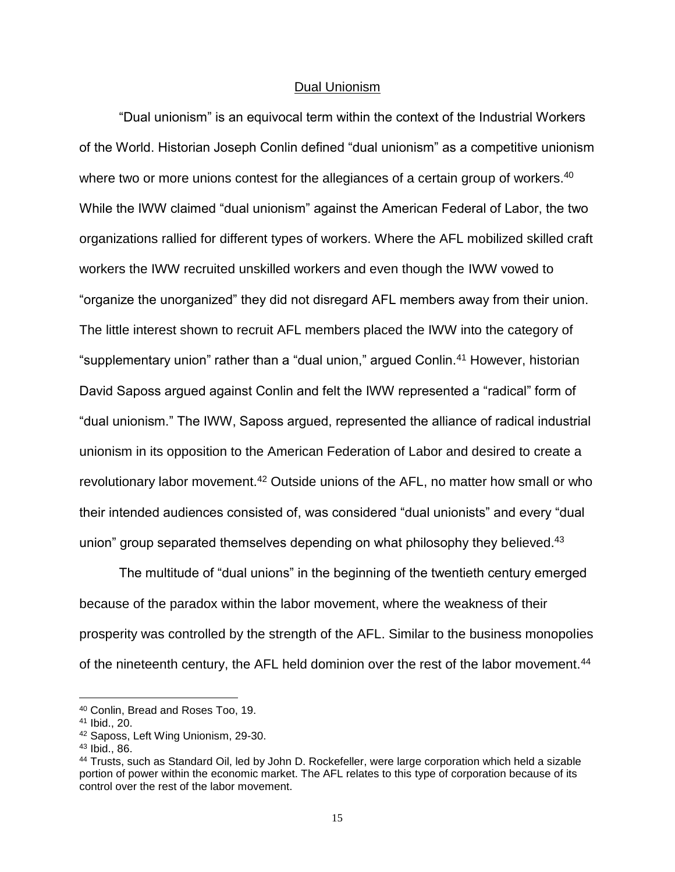#### Dual Unionism

<span id="page-19-0"></span>"Dual unionism" is an equivocal term within the context of the Industrial Workers of the World. Historian Joseph Conlin defined "dual unionism" as a competitive unionism where two or more unions contest for the allegiances of a certain group of workers.<sup>40</sup> While the IWW claimed "dual unionism" against the American Federal of Labor, the two organizations rallied for different types of workers. Where the AFL mobilized skilled craft workers the IWW recruited unskilled workers and even though the IWW vowed to "organize the unorganized" they did not disregard AFL members away from their union. The little interest shown to recruit AFL members placed the IWW into the category of "supplementary union" rather than a "dual union," argued Conlin.<sup>41</sup> However, historian David Saposs argued against Conlin and felt the IWW represented a "radical" form of "dual unionism." The IWW, Saposs argued, represented the alliance of radical industrial unionism in its opposition to the American Federation of Labor and desired to create a revolutionary labor movement.<sup>42</sup> Outside unions of the AFL, no matter how small or who their intended audiences consisted of, was considered "dual unionists" and every "dual union" group separated themselves depending on what philosophy they believed.<sup>43</sup>

The multitude of "dual unions" in the beginning of the twentieth century emerged because of the paradox within the labor movement, where the weakness of their prosperity was controlled by the strength of the AFL. Similar to the business monopolies of the nineteenth century, the AFL held dominion over the rest of the labor movement.<sup>44</sup>

<sup>40</sup> Conlin, Bread and Roses Too, 19.

<sup>41</sup> Ibid., 20.

<sup>42</sup> Saposs, Left Wing Unionism, 29-30.

<sup>43</sup> Ibid., 86.

<sup>44</sup> Trusts, such as Standard Oil, led by John D. Rockefeller, were large corporation which held a sizable portion of power within the economic market. The AFL relates to this type of corporation because of its control over the rest of the labor movement.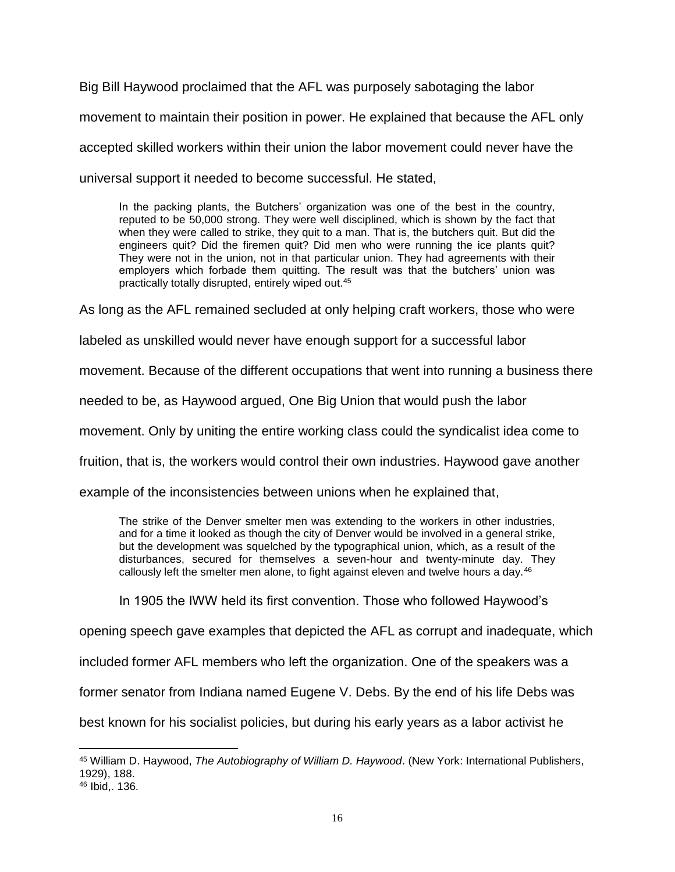Big Bill Haywood proclaimed that the AFL was purposely sabotaging the labor movement to maintain their position in power. He explained that because the AFL only accepted skilled workers within their union the labor movement could never have the universal support it needed to become successful. He stated,

In the packing plants, the Butchers' organization was one of the best in the country, reputed to be 50,000 strong. They were well disciplined, which is shown by the fact that when they were called to strike, they quit to a man. That is, the butchers quit. But did the engineers quit? Did the firemen quit? Did men who were running the ice plants quit? They were not in the union, not in that particular union. They had agreements with their employers which forbade them quitting. The result was that the butchers' union was practically totally disrupted, entirely wiped out.<sup>45</sup>

As long as the AFL remained secluded at only helping craft workers, those who were

labeled as unskilled would never have enough support for a successful labor

movement. Because of the different occupations that went into running a business there

needed to be, as Haywood argued, One Big Union that would push the labor

movement. Only by uniting the entire working class could the syndicalist idea come to

fruition, that is, the workers would control their own industries. Haywood gave another

example of the inconsistencies between unions when he explained that,

The strike of the Denver smelter men was extending to the workers in other industries, and for a time it looked as though the city of Denver would be involved in a general strike, but the development was squelched by the typographical union, which, as a result of the disturbances, secured for themselves a seven-hour and twenty-minute day. They callously left the smelter men alone, to fight against eleven and twelve hours a day. $46$ 

In 1905 the IWW held its first convention. Those who followed Haywood's

opening speech gave examples that depicted the AFL as corrupt and inadequate, which

included former AFL members who left the organization. One of the speakers was a

former senator from Indiana named Eugene V. Debs. By the end of his life Debs was

best known for his socialist policies, but during his early years as a labor activist he

 $\overline{a}$ <sup>45</sup> William D. Haywood, *The Autobiography of William D. Haywood*. (New York: International Publishers, 1929), 188.

<sup>46</sup> Ibid,. 136.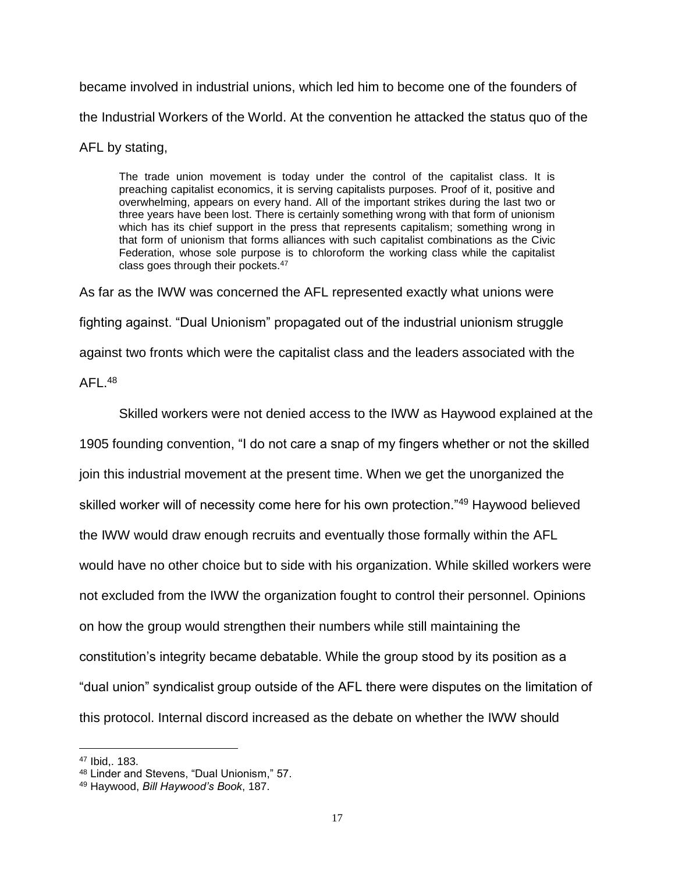became involved in industrial unions, which led him to become one of the founders of the Industrial Workers of the World. At the convention he attacked the status quo of the

AFL by stating,

The trade union movement is today under the control of the capitalist class. It is preaching capitalist economics, it is serving capitalists purposes. Proof of it, positive and overwhelming, appears on every hand. All of the important strikes during the last two or three years have been lost. There is certainly something wrong with that form of unionism which has its chief support in the press that represents capitalism; something wrong in that form of unionism that forms alliances with such capitalist combinations as the Civic Federation, whose sole purpose is to chloroform the working class while the capitalist class goes through their pockets.<sup>47</sup>

As far as the IWW was concerned the AFL represented exactly what unions were fighting against. "Dual Unionism" propagated out of the industrial unionism struggle against two fronts which were the capitalist class and the leaders associated with the

 $AFL.<sup>48</sup>$ 

Skilled workers were not denied access to the IWW as Haywood explained at the 1905 founding convention, "I do not care a snap of my fingers whether or not the skilled join this industrial movement at the present time. When we get the unorganized the skilled worker will of necessity come here for his own protection."<sup>49</sup> Haywood believed the IWW would draw enough recruits and eventually those formally within the AFL would have no other choice but to side with his organization. While skilled workers were not excluded from the IWW the organization fought to control their personnel. Opinions on how the group would strengthen their numbers while still maintaining the constitution's integrity became debatable. While the group stood by its position as a "dual union" syndicalist group outside of the AFL there were disputes on the limitation of this protocol. Internal discord increased as the debate on whether the IWW should

<sup>47</sup> Ibid,. 183.

<sup>48</sup> Linder and Stevens, "Dual Unionism," 57.

<sup>49</sup> Haywood, *Bill Haywood's Book*, 187.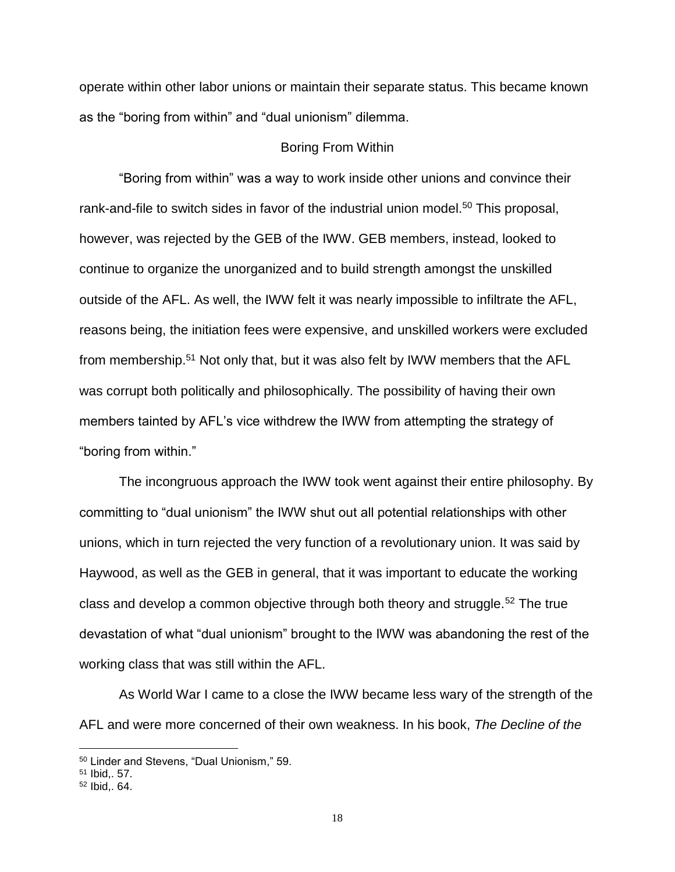operate within other labor unions or maintain their separate status. This became known as the "boring from within" and "dual unionism" dilemma.

#### Boring From Within

<span id="page-22-0"></span>"Boring from within" was a way to work inside other unions and convince their rank-and-file to switch sides in favor of the industrial union model.<sup>50</sup> This proposal, however, was rejected by the GEB of the IWW. GEB members, instead, looked to continue to organize the unorganized and to build strength amongst the unskilled outside of the AFL. As well, the IWW felt it was nearly impossible to infiltrate the AFL, reasons being, the initiation fees were expensive, and unskilled workers were excluded from membership.<sup>51</sup> Not only that, but it was also felt by IWW members that the AFL was corrupt both politically and philosophically. The possibility of having their own members tainted by AFL's vice withdrew the IWW from attempting the strategy of "boring from within."

The incongruous approach the IWW took went against their entire philosophy. By committing to "dual unionism" the IWW shut out all potential relationships with other unions, which in turn rejected the very function of a revolutionary union. It was said by Haywood, as well as the GEB in general, that it was important to educate the working class and develop a common objective through both theory and struggle.<sup>52</sup> The true devastation of what "dual unionism" brought to the IWW was abandoning the rest of the working class that was still within the AFL.

As World War I came to a close the IWW became less wary of the strength of the AFL and were more concerned of their own weakness. In his book, *The Decline of the* 

<sup>50</sup> Linder and Stevens, "Dual Unionism," 59.

<sup>51</sup> Ibid,. 57.

<sup>52</sup> Ibid,. 64.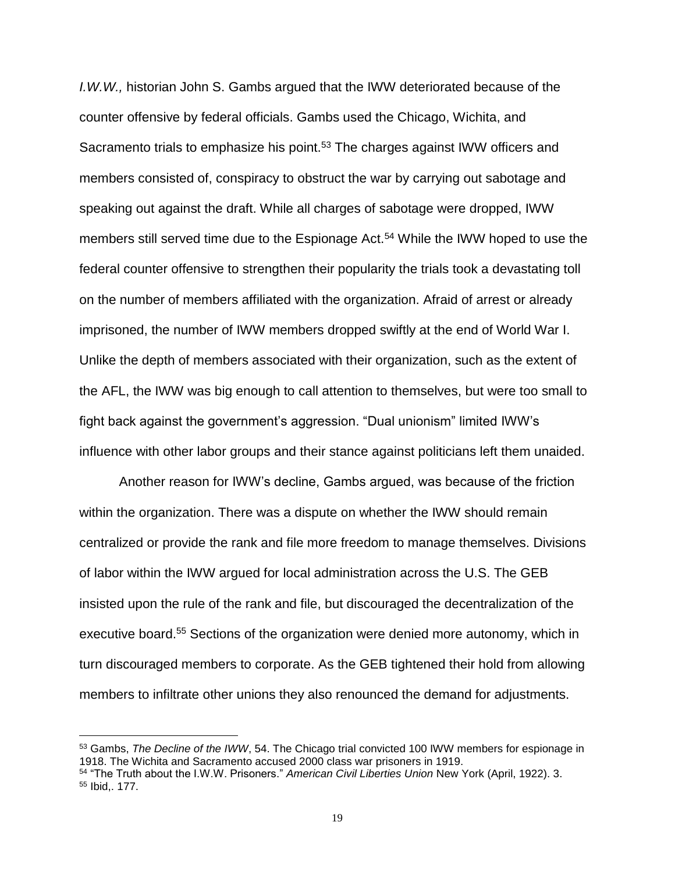*I.W.W.,* historian John S. Gambs argued that the IWW deteriorated because of the counter offensive by federal officials. Gambs used the Chicago, Wichita, and Sacramento trials to emphasize his point.<sup>53</sup> The charges against IWW officers and members consisted of, conspiracy to obstruct the war by carrying out sabotage and speaking out against the draft. While all charges of sabotage were dropped, IWW members still served time due to the Espionage Act.<sup>54</sup> While the IWW hoped to use the federal counter offensive to strengthen their popularity the trials took a devastating toll on the number of members affiliated with the organization. Afraid of arrest or already imprisoned, the number of IWW members dropped swiftly at the end of World War I. Unlike the depth of members associated with their organization, such as the extent of the AFL, the IWW was big enough to call attention to themselves, but were too small to fight back against the government's aggression. "Dual unionism" limited IWW's influence with other labor groups and their stance against politicians left them unaided.

Another reason for IWW's decline, Gambs argued, was because of the friction within the organization. There was a dispute on whether the IWW should remain centralized or provide the rank and file more freedom to manage themselves. Divisions of labor within the IWW argued for local administration across the U.S. The GEB insisted upon the rule of the rank and file, but discouraged the decentralization of the executive board.<sup>55</sup> Sections of the organization were denied more autonomy, which in turn discouraged members to corporate. As the GEB tightened their hold from allowing members to infiltrate other unions they also renounced the demand for adjustments.

<sup>53</sup> Gambs, *The Decline of the IWW*, 54. The Chicago trial convicted 100 IWW members for espionage in 1918. The Wichita and Sacramento accused 2000 class war prisoners in 1919.

<sup>54</sup> "The Truth about the I.W.W. Prisoners." *American Civil Liberties Union* New York (April, 1922). 3. <sup>55</sup> Ibid,. 177.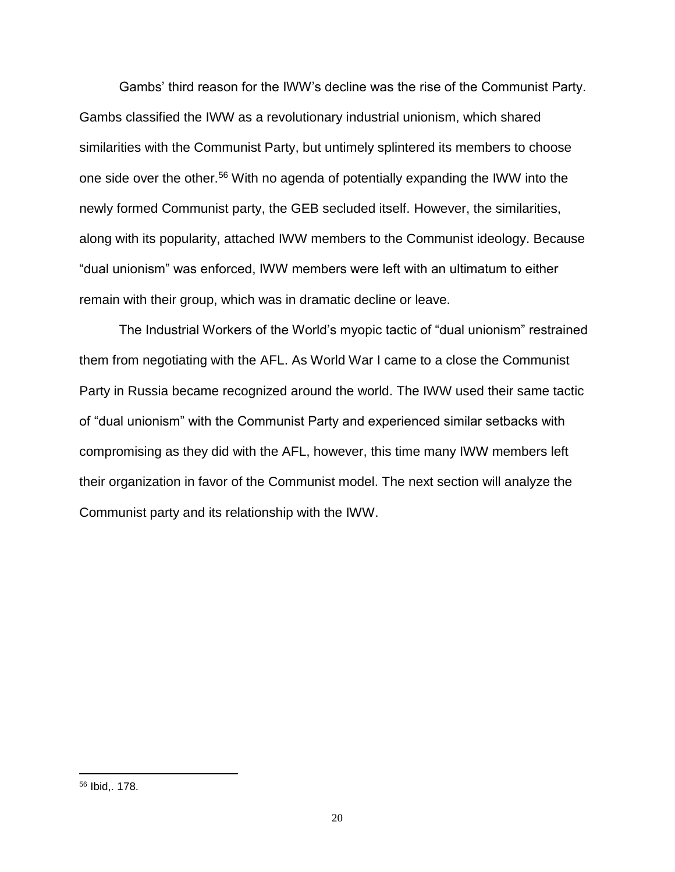Gambs' third reason for the IWW's decline was the rise of the Communist Party. Gambs classified the IWW as a revolutionary industrial unionism, which shared similarities with the Communist Party, but untimely splintered its members to choose one side over the other.<sup>56</sup> With no agenda of potentially expanding the IWW into the newly formed Communist party, the GEB secluded itself. However, the similarities, along with its popularity, attached IWW members to the Communist ideology. Because "dual unionism" was enforced, IWW members were left with an ultimatum to either remain with their group, which was in dramatic decline or leave.

The Industrial Workers of the World's myopic tactic of "dual unionism" restrained them from negotiating with the AFL. As World War I came to a close the Communist Party in Russia became recognized around the world. The IWW used their same tactic of "dual unionism" with the Communist Party and experienced similar setbacks with compromising as they did with the AFL, however, this time many IWW members left their organization in favor of the Communist model. The next section will analyze the Communist party and its relationship with the IWW.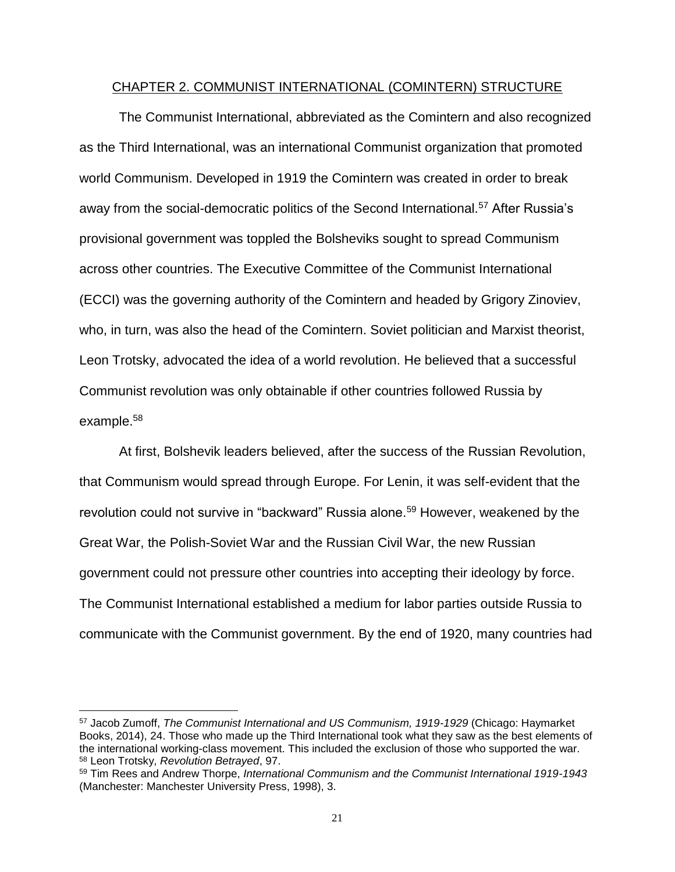#### CHAPTER 2. COMMUNIST INTERNATIONAL (COMINTERN) STRUCTURE

<span id="page-25-0"></span>The Communist International, abbreviated as the Comintern and also recognized as the Third International, was an international Communist organization that promoted world Communism. Developed in 1919 the Comintern was created in order to break away from the social-democratic politics of the Second International.<sup>57</sup> After Russia's provisional government was toppled the Bolsheviks sought to spread Communism across other countries. The Executive Committee of the Communist International (ECCI) was the governing authority of the Comintern and headed by Grigory Zinoviev, who, in turn, was also the head of the Comintern. Soviet politician and Marxist theorist, Leon Trotsky, advocated the idea of a world revolution. He believed that a successful Communist revolution was only obtainable if other countries followed Russia by example.<sup>58</sup>

At first, Bolshevik leaders believed, after the success of the Russian Revolution, that Communism would spread through Europe. For Lenin, it was self-evident that the revolution could not survive in "backward" Russia alone.<sup>59</sup> However, weakened by the Great War, the Polish-Soviet War and the Russian Civil War, the new Russian government could not pressure other countries into accepting their ideology by force. The Communist International established a medium for labor parties outside Russia to communicate with the Communist government. By the end of 1920, many countries had

<sup>57</sup> Jacob Zumoff, *The Communist International and US Communism, 1919-1929* (Chicago: Haymarket Books, 2014), 24. Those who made up the Third International took what they saw as the best elements of the international working-class movement. This included the exclusion of those who supported the war. <sup>58</sup> Leon Trotsky, *Revolution Betrayed*, 97.

<sup>59</sup> Tim Rees and Andrew Thorpe, *International Communism and the Communist International 1919-1943* (Manchester: Manchester University Press, 1998), 3.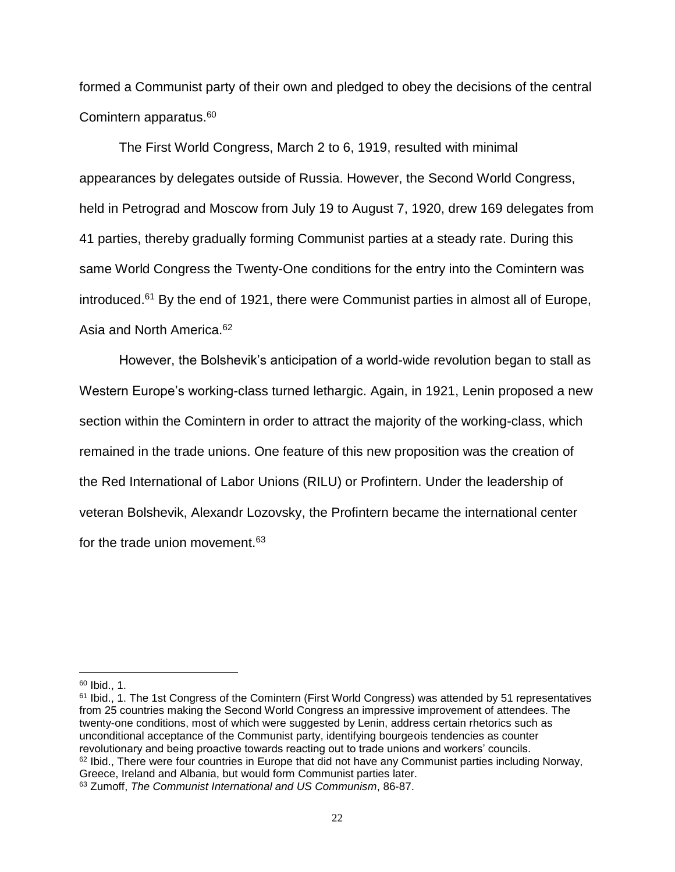formed a Communist party of their own and pledged to obey the decisions of the central Comintern apparatus.<sup>60</sup>

The First World Congress, March 2 to 6, 1919, resulted with minimal appearances by delegates outside of Russia. However, the Second World Congress, held in Petrograd and Moscow from July 19 to August 7, 1920, drew 169 delegates from 41 parties, thereby gradually forming Communist parties at a steady rate. During this same World Congress the Twenty-One conditions for the entry into the Comintern was introduced.<sup>61</sup> By the end of 1921, there were Communist parties in almost all of Europe, Asia and North America.<sup>62</sup>

However, the Bolshevik's anticipation of a world-wide revolution began to stall as Western Europe's working-class turned lethargic. Again, in 1921, Lenin proposed a new section within the Comintern in order to attract the majority of the working-class, which remained in the trade unions. One feature of this new proposition was the creation of the Red International of Labor Unions (RILU) or Profintern. Under the leadership of veteran Bolshevik, Alexandr Lozovsky, the Profintern became the international center for the trade union movement.<sup>63</sup>

<sup>60</sup> Ibid., 1.

<sup>61</sup> Ibid., 1. The 1st Congress of the Comintern (First World Congress) was attended by 51 representatives from 25 countries making the Second World Congress an impressive improvement of attendees. The twenty-one conditions, most of which were suggested by Lenin, address certain rhetorics such as unconditional acceptance of the Communist party, identifying bourgeois tendencies as counter revolutionary and being proactive towards reacting out to trade unions and workers' councils.  $62$  Ibid., There were four countries in Europe that did not have any Communist parties including Norway, Greece, Ireland and Albania, but would form Communist parties later. <sup>63</sup> Zumoff, *The Communist International and US Communism*, 86-87.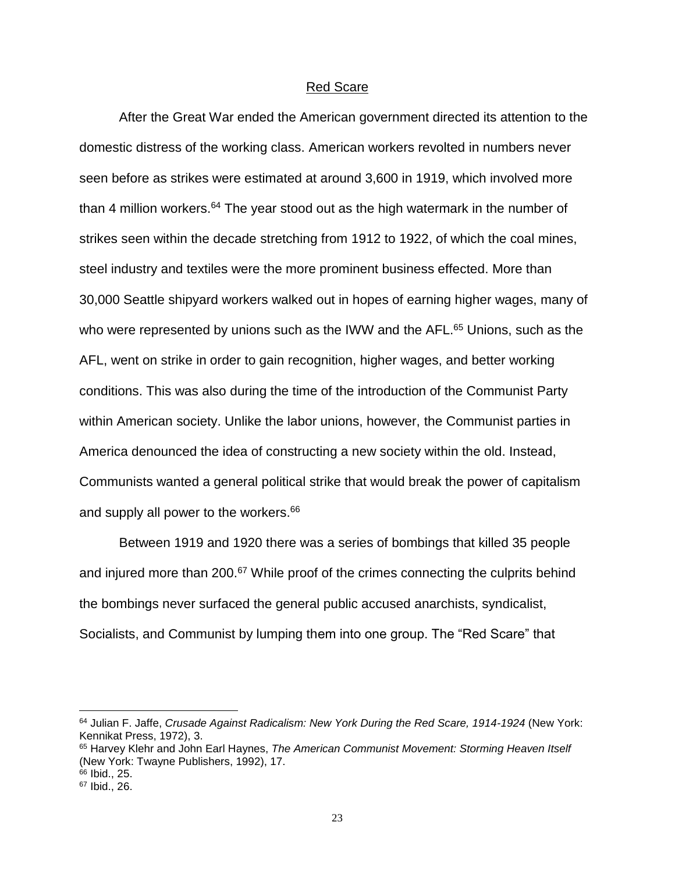#### Red Scare

<span id="page-27-0"></span>After the Great War ended the American government directed its attention to the domestic distress of the working class. American workers revolted in numbers never seen before as strikes were estimated at around 3,600 in 1919, which involved more than 4 million workers.<sup>64</sup> The year stood out as the high watermark in the number of strikes seen within the decade stretching from 1912 to 1922, of which the coal mines, steel industry and textiles were the more prominent business effected. More than 30,000 Seattle shipyard workers walked out in hopes of earning higher wages, many of who were represented by unions such as the IWW and the AFL.<sup>65</sup> Unions, such as the AFL, went on strike in order to gain recognition, higher wages, and better working conditions. This was also during the time of the introduction of the Communist Party within American society. Unlike the labor unions, however, the Communist parties in America denounced the idea of constructing a new society within the old. Instead, Communists wanted a general political strike that would break the power of capitalism and supply all power to the workers.<sup>66</sup>

Between 1919 and 1920 there was a series of bombings that killed 35 people and injured more than 200.<sup>67</sup> While proof of the crimes connecting the culprits behind the bombings never surfaced the general public accused anarchists, syndicalist, Socialists, and Communist by lumping them into one group. The "Red Scare" that

<sup>64</sup> Julian F. Jaffe, *Crusade Against Radicalism: New York During the Red Scare, 1914-1924* (New York: Kennikat Press, 1972), 3.

<sup>65</sup> Harvey Klehr and John Earl Haynes, *The American Communist Movement: Storming Heaven Itself* (New York: Twayne Publishers, 1992), 17.

<sup>66</sup> Ibid., 25.

<sup>67</sup> Ibid., 26.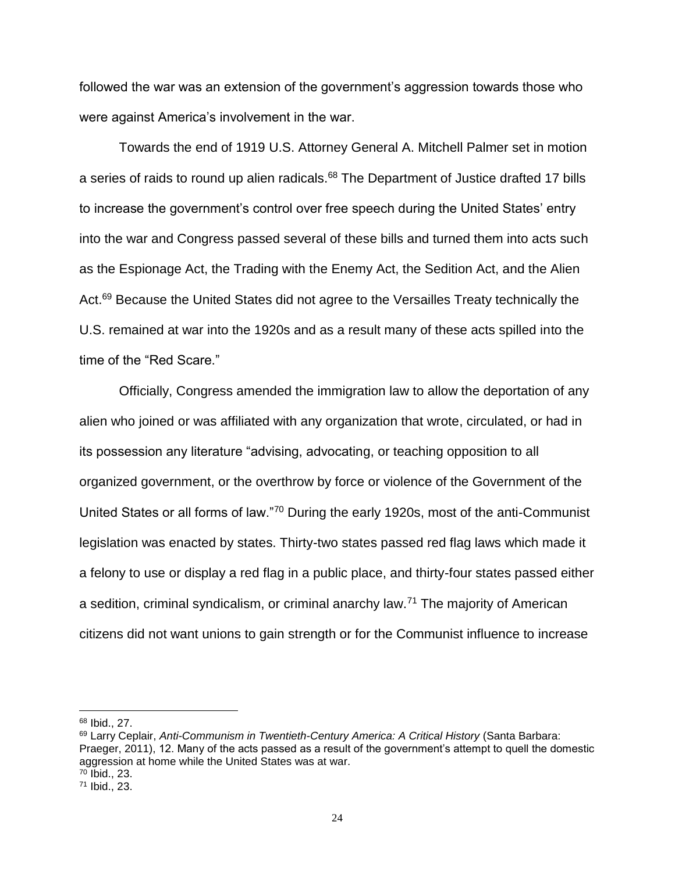followed the war was an extension of the government's aggression towards those who were against America's involvement in the war.

Towards the end of 1919 U.S. Attorney General A. Mitchell Palmer set in motion a series of raids to round up alien radicals.<sup>68</sup> The Department of Justice drafted 17 bills to increase the government's control over free speech during the United States' entry into the war and Congress passed several of these bills and turned them into acts such as the Espionage Act, the Trading with the Enemy Act, the Sedition Act, and the Alien Act.<sup>69</sup> Because the United States did not agree to the Versailles Treaty technically the U.S. remained at war into the 1920s and as a result many of these acts spilled into the time of the "Red Scare."

Officially, Congress amended the immigration law to allow the deportation of any alien who joined or was affiliated with any organization that wrote, circulated, or had in its possession any literature "advising, advocating, or teaching opposition to all organized government, or the overthrow by force or violence of the Government of the United States or all forms of law."<sup>70</sup> During the early 1920s, most of the anti-Communist legislation was enacted by states. Thirty-two states passed red flag laws which made it a felony to use or display a red flag in a public place, and thirty-four states passed either a sedition, criminal syndicalism, or criminal anarchy law.<sup>71</sup> The majority of American citizens did not want unions to gain strength or for the Communist influence to increase

<sup>68</sup> Ibid., 27.

<sup>69</sup> Larry Ceplair, *Anti-Communism in Twentieth-Century America: A Critical History* (Santa Barbara: Praeger, 2011), 12. Many of the acts passed as a result of the government's attempt to quell the domestic aggression at home while the United States was at war. <sup>70</sup> Ibid., 23.

<sup>71</sup> Ibid., 23.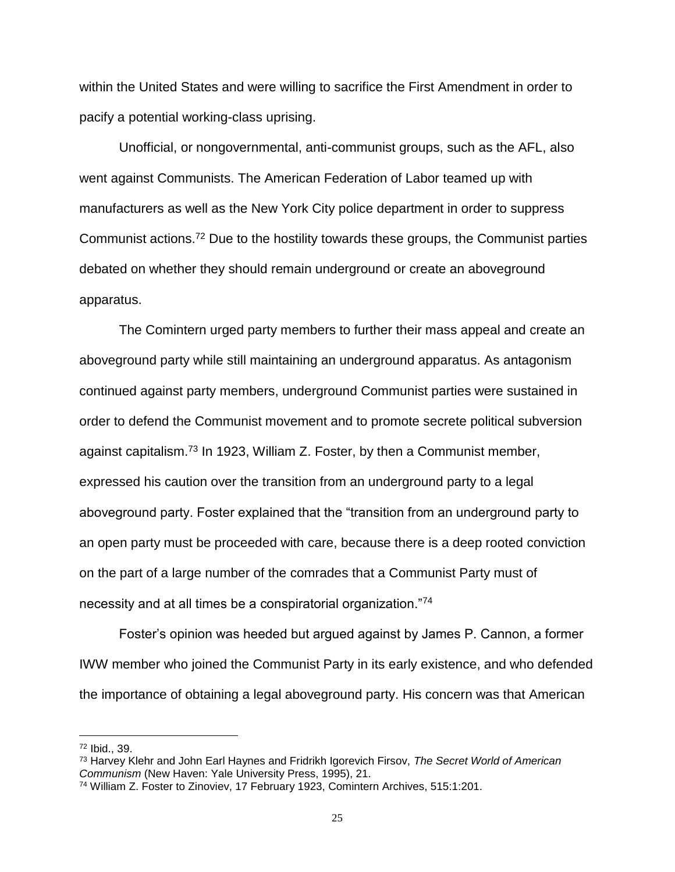within the United States and were willing to sacrifice the First Amendment in order to pacify a potential working-class uprising.

Unofficial, or nongovernmental, anti-communist groups, such as the AFL, also went against Communists. The American Federation of Labor teamed up with manufacturers as well as the New York City police department in order to suppress Communist actions.<sup>72</sup> Due to the hostility towards these groups, the Communist parties debated on whether they should remain underground or create an aboveground apparatus.

The Comintern urged party members to further their mass appeal and create an aboveground party while still maintaining an underground apparatus. As antagonism continued against party members, underground Communist parties were sustained in order to defend the Communist movement and to promote secrete political subversion against capitalism.<sup>73</sup> In 1923, William Z. Foster, by then a Communist member, expressed his caution over the transition from an underground party to a legal aboveground party. Foster explained that the "transition from an underground party to an open party must be proceeded with care, because there is a deep rooted conviction on the part of a large number of the comrades that a Communist Party must of necessity and at all times be a conspiratorial organization."<sup>74</sup>

Foster's opinion was heeded but argued against by James P. Cannon, a former IWW member who joined the Communist Party in its early existence, and who defended the importance of obtaining a legal aboveground party. His concern was that American

<sup>72</sup> Ibid., 39.

<sup>73</sup> Harvey Klehr and John Earl Haynes and Fridrikh Igorevich Firsov, *The Secret World of American Communism* (New Haven: Yale University Press, 1995), 21.

<sup>74</sup> William Z. Foster to Zinoviev, 17 February 1923, Comintern Archives, 515:1:201.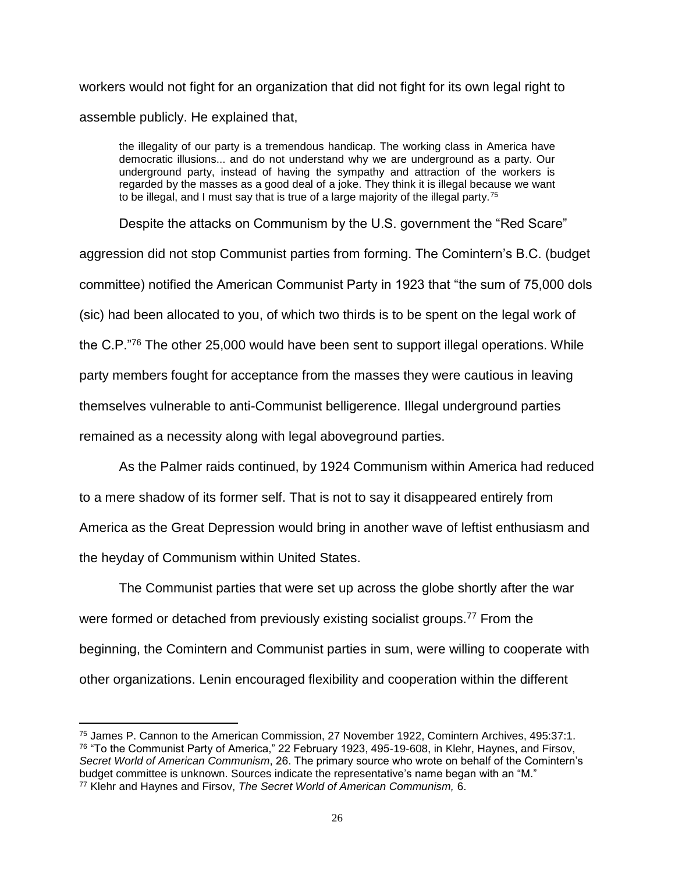workers would not fight for an organization that did not fight for its own legal right to assemble publicly. He explained that,

the illegality of our party is a tremendous handicap. The working class in America have democratic illusions... and do not understand why we are underground as a party. Our underground party, instead of having the sympathy and attraction of the workers is regarded by the masses as a good deal of a joke. They think it is illegal because we want to be illegal, and I must say that is true of a large majority of the illegal party.<sup>75</sup>

Despite the attacks on Communism by the U.S. government the "Red Scare" aggression did not stop Communist parties from forming. The Comintern's B.C. (budget committee) notified the American Communist Party in 1923 that "the sum of 75,000 dols (sic) had been allocated to you, of which two thirds is to be spent on the legal work of the C.P."<sup>76</sup> The other 25,000 would have been sent to support illegal operations. While party members fought for acceptance from the masses they were cautious in leaving themselves vulnerable to anti-Communist belligerence. Illegal underground parties remained as a necessity along with legal aboveground parties.

As the Palmer raids continued, by 1924 Communism within America had reduced to a mere shadow of its former self. That is not to say it disappeared entirely from America as the Great Depression would bring in another wave of leftist enthusiasm and the heyday of Communism within United States.

The Communist parties that were set up across the globe shortly after the war were formed or detached from previously existing socialist groups.<sup>77</sup> From the beginning, the Comintern and Communist parties in sum, were willing to cooperate with other organizations. Lenin encouraged flexibility and cooperation within the different

 $\overline{a}$ <sup>75</sup> James P. Cannon to the American Commission, 27 November 1922, Comintern Archives, 495:37:1. <sup>76</sup> "To the Communist Party of America," 22 February 1923, 495-19-608, in Klehr, Haynes, and Firsov, *Secret World of American Communism*, 26. The primary source who wrote on behalf of the Comintern's budget committee is unknown. Sources indicate the representative's name began with an "M." <sup>77</sup> Klehr and Haynes and Firsov, *The Secret World of American Communism,* 6.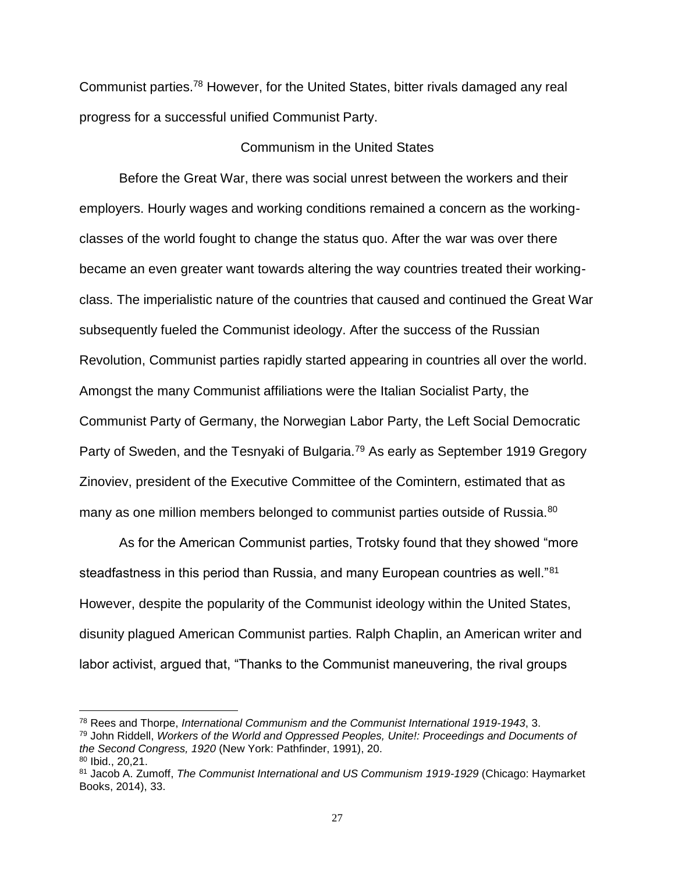Communist parties.<sup>78</sup> However, for the United States, bitter rivals damaged any real progress for a successful unified Communist Party.

### Communism in the United States

<span id="page-31-0"></span>Before the Great War, there was social unrest between the workers and their employers. Hourly wages and working conditions remained a concern as the workingclasses of the world fought to change the status quo. After the war was over there became an even greater want towards altering the way countries treated their workingclass. The imperialistic nature of the countries that caused and continued the Great War subsequently fueled the Communist ideology. After the success of the Russian Revolution, Communist parties rapidly started appearing in countries all over the world. Amongst the many Communist affiliations were the Italian Socialist Party, the Communist Party of Germany, the Norwegian Labor Party, the Left Social Democratic Party of Sweden, and the Tesnyaki of Bulgaria.<sup>79</sup> As early as September 1919 Gregory Zinoviev, president of the Executive Committee of the Comintern, estimated that as many as one million members belonged to communist parties outside of Russia.<sup>80</sup>

As for the American Communist parties, Trotsky found that they showed "more steadfastness in this period than Russia, and many European countries as well."<sup>81</sup> However, despite the popularity of the Communist ideology within the United States, disunity plagued American Communist parties. Ralph Chaplin, an American writer and labor activist, argued that, "Thanks to the Communist maneuvering, the rival groups

<sup>78</sup> Rees and Thorpe, *International Communism and the Communist International 1919-1943*, 3. <sup>79</sup> John Riddell, *Workers of the World and Oppressed Peoples, Unite!: Proceedings and Documents of the Second Congress, 1920* (New York: Pathfinder, 1991), 20. <sup>80</sup> Ibid., 20,21.

<sup>81</sup> Jacob A. Zumoff, *The Communist International and US Communism 1919-1929* (Chicago: Haymarket Books, 2014), 33.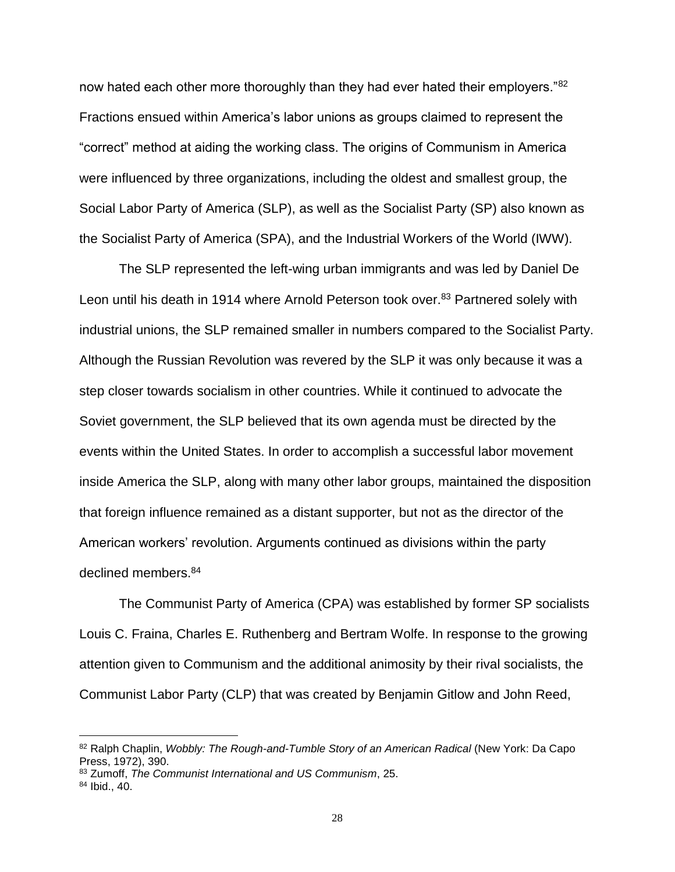now hated each other more thoroughly than they had ever hated their employers."<sup>82</sup> Fractions ensued within America's labor unions as groups claimed to represent the "correct" method at aiding the working class. The origins of Communism in America were influenced by three organizations, including the oldest and smallest group, the Social Labor Party of America (SLP), as well as the Socialist Party (SP) also known as the Socialist Party of America (SPA), and the Industrial Workers of the World (IWW).

The SLP represented the left-wing urban immigrants and was led by Daniel De Leon until his death in 1914 where Arnold Peterson took over.<sup>83</sup> Partnered solely with industrial unions, the SLP remained smaller in numbers compared to the Socialist Party. Although the Russian Revolution was revered by the SLP it was only because it was a step closer towards socialism in other countries. While it continued to advocate the Soviet government, the SLP believed that its own agenda must be directed by the events within the United States. In order to accomplish a successful labor movement inside America the SLP, along with many other labor groups, maintained the disposition that foreign influence remained as a distant supporter, but not as the director of the American workers' revolution. Arguments continued as divisions within the party declined members.<sup>84</sup>

The Communist Party of America (CPA) was established by former SP socialists Louis C. Fraina, Charles E. Ruthenberg and Bertram Wolfe. In response to the growing attention given to Communism and the additional animosity by their rival socialists, the Communist Labor Party (CLP) that was created by Benjamin Gitlow and John Reed,

<sup>82</sup> Ralph Chaplin, *Wobbly: The Rough-and-Tumble Story of an American Radical* (New York: Da Capo Press, 1972), 390.

<sup>83</sup> Zumoff, *The Communist International and US Communism*, 25.

<sup>84</sup> Ibid., 40.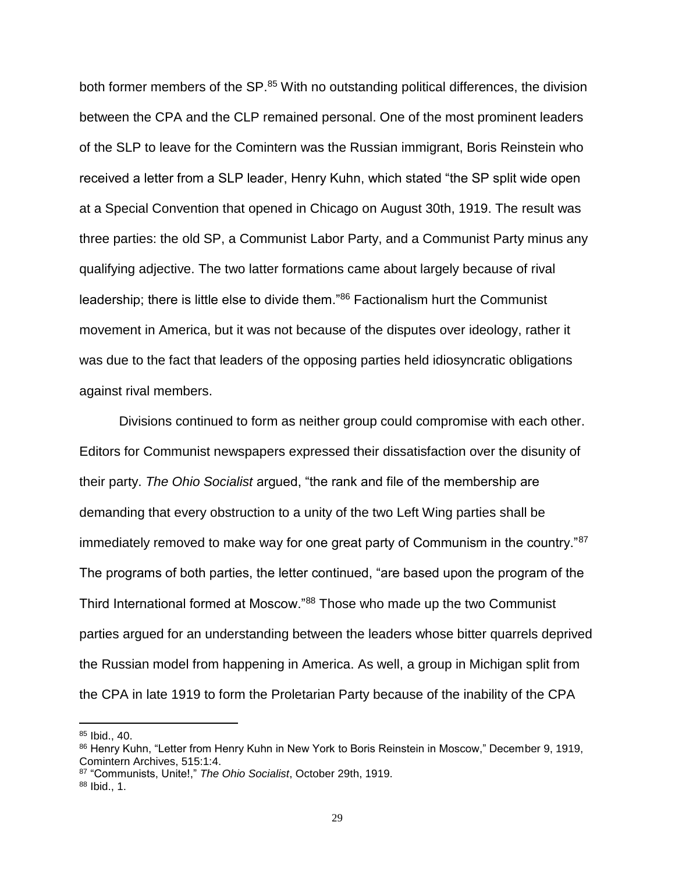both former members of the SP.<sup>85</sup> With no outstanding political differences, the division between the CPA and the CLP remained personal. One of the most prominent leaders of the SLP to leave for the Comintern was the Russian immigrant, Boris Reinstein who received a letter from a SLP leader, Henry Kuhn, which stated "the SP split wide open at a Special Convention that opened in Chicago on August 30th, 1919. The result was three parties: the old SP, a Communist Labor Party, and a Communist Party minus any qualifying adjective. The two latter formations came about largely because of rival leadership; there is little else to divide them."<sup>86</sup> Factionalism hurt the Communist movement in America, but it was not because of the disputes over ideology, rather it was due to the fact that leaders of the opposing parties held idiosyncratic obligations against rival members.

Divisions continued to form as neither group could compromise with each other. Editors for Communist newspapers expressed their dissatisfaction over the disunity of their party. *The Ohio Socialist* argued, "the rank and file of the membership are demanding that every obstruction to a unity of the two Left Wing parties shall be immediately removed to make way for one great party of Communism in the country."<sup>87</sup> The programs of both parties, the letter continued, "are based upon the program of the Third International formed at Moscow."<sup>88</sup> Those who made up the two Communist parties argued for an understanding between the leaders whose bitter quarrels deprived the Russian model from happening in America. As well, a group in Michigan split from the CPA in late 1919 to form the Proletarian Party because of the inability of the CPA

<sup>85</sup> Ibid., 40.

<sup>86</sup> Henry Kuhn, "Letter from Henry Kuhn in New York to Boris Reinstein in Moscow," December 9, 1919, Comintern Archives, 515:1:4.

<sup>87</sup> "Communists, Unite!," *The Ohio Socialist*, October 29th, 1919. <sup>88</sup> Ibid., 1.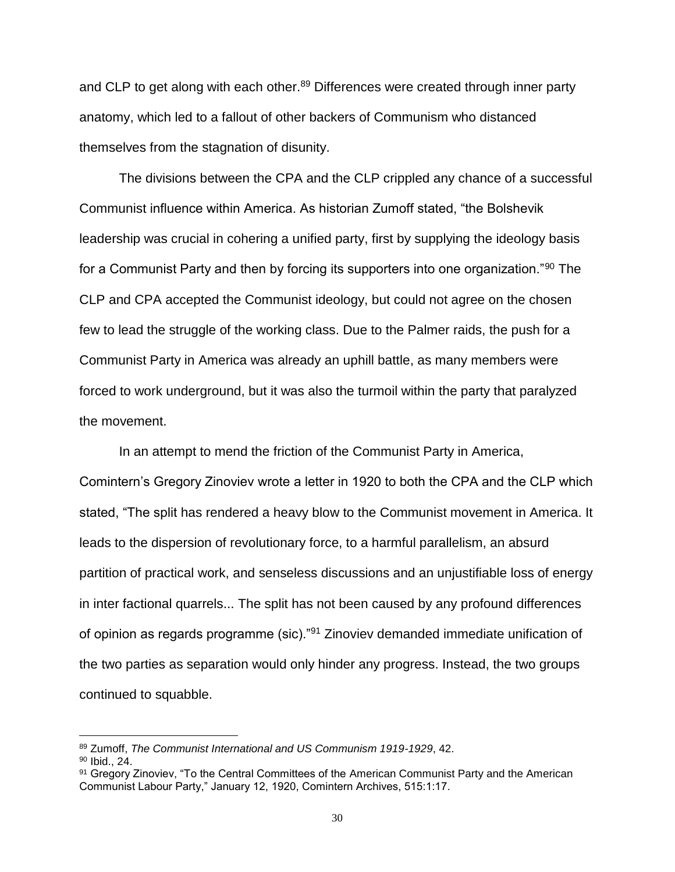and CLP to get along with each other.<sup>89</sup> Differences were created through inner party anatomy, which led to a fallout of other backers of Communism who distanced themselves from the stagnation of disunity.

The divisions between the CPA and the CLP crippled any chance of a successful Communist influence within America. As historian Zumoff stated, "the Bolshevik leadership was crucial in cohering a unified party, first by supplying the ideology basis for a Communist Party and then by forcing its supporters into one organization."<sup>90</sup> The CLP and CPA accepted the Communist ideology, but could not agree on the chosen few to lead the struggle of the working class. Due to the Palmer raids, the push for a Communist Party in America was already an uphill battle, as many members were forced to work underground, but it was also the turmoil within the party that paralyzed the movement.

In an attempt to mend the friction of the Communist Party in America, Comintern's Gregory Zinoviev wrote a letter in 1920 to both the CPA and the CLP which stated, "The split has rendered a heavy blow to the Communist movement in America. It leads to the dispersion of revolutionary force, to a harmful parallelism, an absurd partition of practical work, and senseless discussions and an unjustifiable loss of energy in inter factional quarrels... The split has not been caused by any profound differences of opinion as regards programme (sic)."<sup>91</sup> Zinoviev demanded immediate unification of the two parties as separation would only hinder any progress. Instead, the two groups continued to squabble.

<sup>89</sup> Zumoff, *The Communist International and US Communism 1919-1929*, 42.

<sup>90</sup> Ibid., 24.

<sup>91</sup> Gregory Zinoviev, "To the Central Committees of the American Communist Party and the American Communist Labour Party," January 12, 1920, Comintern Archives, 515:1:17.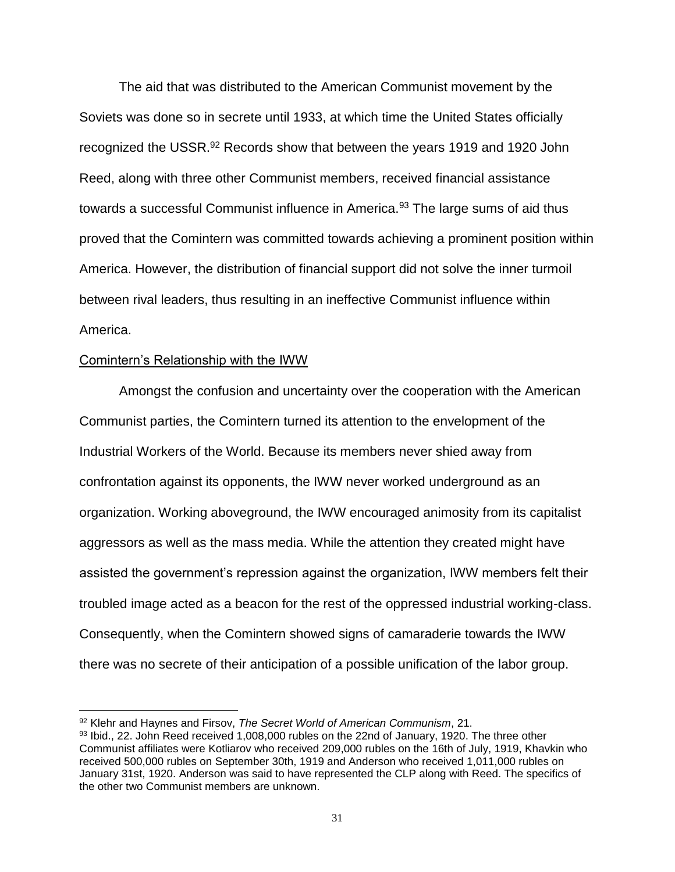The aid that was distributed to the American Communist movement by the Soviets was done so in secrete until 1933, at which time the United States officially recognized the USSR.<sup>92</sup> Records show that between the years 1919 and 1920 John Reed, along with three other Communist members, received financial assistance towards a successful Communist influence in America.<sup>93</sup> The large sums of aid thus proved that the Comintern was committed towards achieving a prominent position within America. However, the distribution of financial support did not solve the inner turmoil between rival leaders, thus resulting in an ineffective Communist influence within America.

#### <span id="page-35-0"></span>Comintern's Relationship with the IWW

 $\overline{a}$ 

Amongst the confusion and uncertainty over the cooperation with the American Communist parties, the Comintern turned its attention to the envelopment of the Industrial Workers of the World. Because its members never shied away from confrontation against its opponents, the IWW never worked underground as an organization. Working aboveground, the IWW encouraged animosity from its capitalist aggressors as well as the mass media. While the attention they created might have assisted the government's repression against the organization, IWW members felt their troubled image acted as a beacon for the rest of the oppressed industrial working-class. Consequently, when the Comintern showed signs of camaraderie towards the IWW there was no secrete of their anticipation of a possible unification of the labor group.

<sup>92</sup> Klehr and Haynes and Firsov, *The Secret World of American Communism*, 21.

<sup>93</sup> Ibid., 22. John Reed received 1,008,000 rubles on the 22nd of January, 1920. The three other Communist affiliates were Kotliarov who received 209,000 rubles on the 16th of July, 1919, Khavkin who received 500,000 rubles on September 30th, 1919 and Anderson who received 1,011,000 rubles on January 31st, 1920. Anderson was said to have represented the CLP along with Reed. The specifics of the other two Communist members are unknown.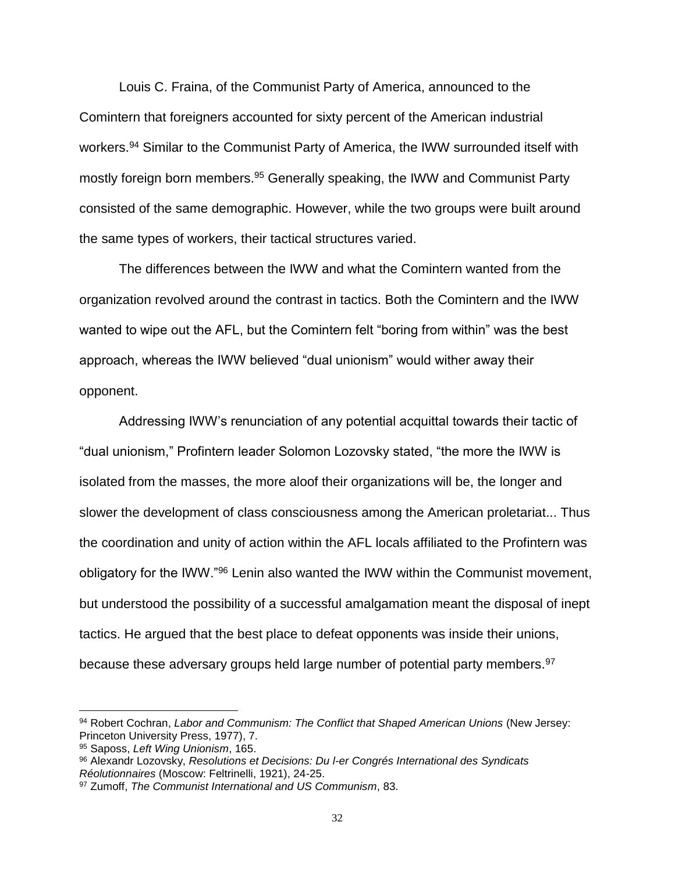Louis C. Fraina, of the Communist Party of America, announced to the Comintern that foreigners accounted for sixty percent of the American industrial workers.<sup>94</sup> Similar to the Communist Party of America, the IWW surrounded itself with mostly foreign born members.<sup>95</sup> Generally speaking, the IWW and Communist Party consisted of the same demographic. However, while the two groups were built around the same types of workers, their tactical structures varied.

The differences between the IWW and what the Comintern wanted from the organization revolved around the contrast in tactics. Both the Comintern and the IWW wanted to wipe out the AFL, but the Comintern felt "boring from within" was the best approach, whereas the IWW believed "dual unionism" would wither away their opponent.

Addressing IWW's renunciation of any potential acquittal towards their tactic of "dual unionism," Profintern leader Solomon Lozovsky stated, "the more the IWW is isolated from the masses, the more aloof their organizations will be, the longer and slower the development of class consciousness among the American proletariat... Thus the coordination and unity of action within the AFL locals affiliated to the Profintern was obligatory for the IWW."<sup>96</sup> Lenin also wanted the IWW within the Communist movement, but understood the possibility of a successful amalgamation meant the disposal of inept tactics. He argued that the best place to defeat opponents was inside their unions, because these adversary groups held large number of potential party members.<sup>97</sup>

<sup>94</sup> Robert Cochran, *Labor and Communism: The Conflict that Shaped American Unions* (New Jersey: Princeton University Press, 1977), 7.

<sup>95</sup> Saposs, *Left Wing Unionism*, 165.

<sup>96</sup> Alexandr Lozovsky, *Resolutions et Decisions: Du l-er Congrés International des Syndicats Réolutionnaires* (Moscow: Feltrinelli, 1921), 24-25.

<sup>97</sup> Zumoff, *The Communist International and US Communism*, 83.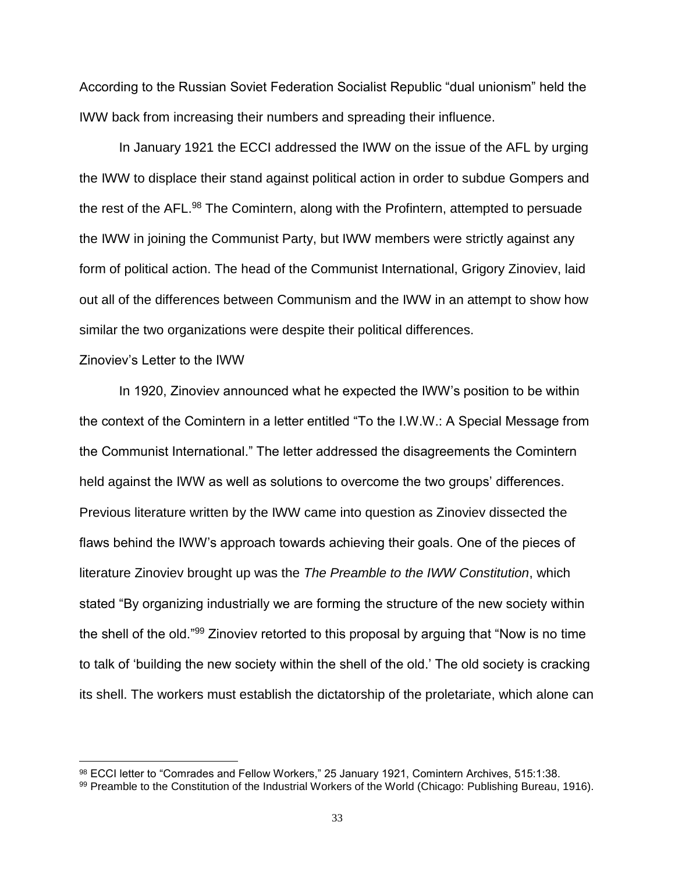According to the Russian Soviet Federation Socialist Republic "dual unionism" held the IWW back from increasing their numbers and spreading their influence.

In January 1921 the ECCI addressed the IWW on the issue of the AFL by urging the IWW to displace their stand against political action in order to subdue Gompers and the rest of the AFL.<sup>98</sup> The Comintern, along with the Profintern, attempted to persuade the IWW in joining the Communist Party, but IWW members were strictly against any form of political action. The head of the Communist International, Grigory Zinoviev, laid out all of the differences between Communism and the IWW in an attempt to show how similar the two organizations were despite their political differences.

### Zinoviev's Letter to the IWW

 $\overline{a}$ 

In 1920, Zinoviev announced what he expected the IWW's position to be within the context of the Comintern in a letter entitled "To the I.W.W.: A Special Message from the Communist International." The letter addressed the disagreements the Comintern held against the IWW as well as solutions to overcome the two groups' differences. Previous literature written by the IWW came into question as Zinoviev dissected the flaws behind the IWW's approach towards achieving their goals. One of the pieces of literature Zinoviev brought up was the *The Preamble to the IWW Constitution*, which stated "By organizing industrially we are forming the structure of the new society within the shell of the old."<sup>99</sup> Zinoviev retorted to this proposal by arguing that "Now is no time to talk of 'building the new society within the shell of the old.' The old society is cracking its shell. The workers must establish the dictatorship of the proletariate, which alone can

<sup>98</sup> ECCI letter to "Comrades and Fellow Workers," 25 January 1921, Comintern Archives, 515:1:38.

<sup>99</sup> Preamble to the Constitution of the Industrial Workers of the World (Chicago: Publishing Bureau, 1916).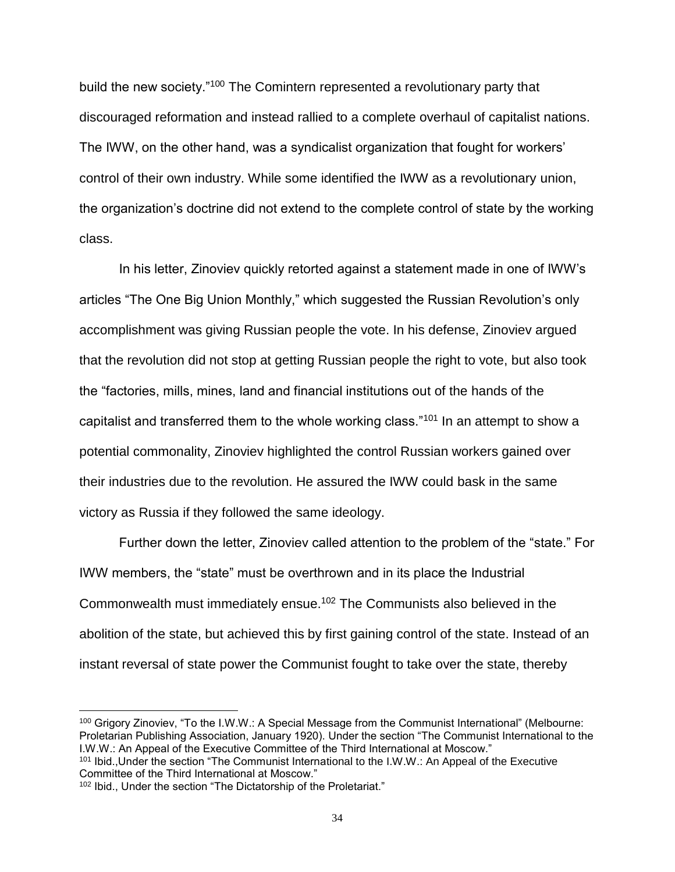build the new society."<sup>100</sup> The Comintern represented a revolutionary party that discouraged reformation and instead rallied to a complete overhaul of capitalist nations. The IWW, on the other hand, was a syndicalist organization that fought for workers' control of their own industry. While some identified the IWW as a revolutionary union, the organization's doctrine did not extend to the complete control of state by the working class.

In his letter, Zinoviev quickly retorted against a statement made in one of IWW's articles "The One Big Union Monthly," which suggested the Russian Revolution's only accomplishment was giving Russian people the vote. In his defense, Zinoviev argued that the revolution did not stop at getting Russian people the right to vote, but also took the "factories, mills, mines, land and financial institutions out of the hands of the capitalist and transferred them to the whole working class."<sup>101</sup> In an attempt to show a potential commonality, Zinoviev highlighted the control Russian workers gained over their industries due to the revolution. He assured the IWW could bask in the same victory as Russia if they followed the same ideology.

Further down the letter, Zinoviev called attention to the problem of the "state." For IWW members, the "state" must be overthrown and in its place the Industrial Commonwealth must immediately ensue.<sup>102</sup> The Communists also believed in the abolition of the state, but achieved this by first gaining control of the state. Instead of an instant reversal of state power the Communist fought to take over the state, thereby

<sup>100</sup> Grigory Zinoviev, "To the I.W.W.: A Special Message from the Communist International" (Melbourne: Proletarian Publishing Association, January 1920). Under the section "The Communist International to the I.W.W.: An Appeal of the Executive Committee of the Third International at Moscow."

<sup>101</sup> Ibid., Under the section "The Communist International to the I.W.W.: An Appeal of the Executive Committee of the Third International at Moscow."

<sup>102</sup> Ibid., Under the section "The Dictatorship of the Proletariat."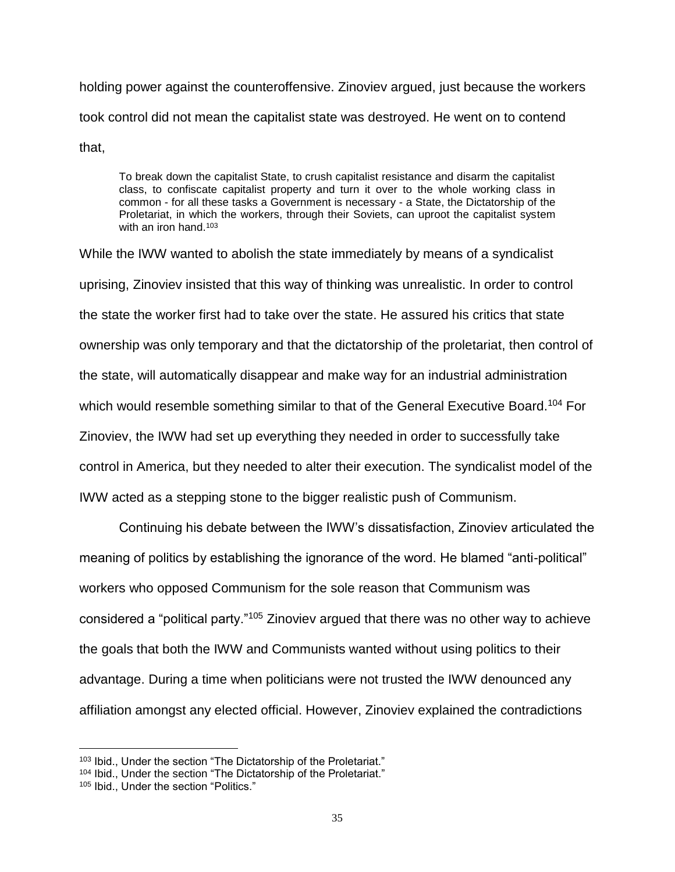holding power against the counteroffensive. Zinoviev argued, just because the workers took control did not mean the capitalist state was destroyed. He went on to contend that,

To break down the capitalist State, to crush capitalist resistance and disarm the capitalist class, to confiscate capitalist property and turn it over to the whole working class in common - for all these tasks a Government is necessary - a State, the Dictatorship of the Proletariat, in which the workers, through their Soviets, can uproot the capitalist system with an iron hand.<sup>103</sup>

While the IWW wanted to abolish the state immediately by means of a syndicalist uprising, Zinoviev insisted that this way of thinking was unrealistic. In order to control the state the worker first had to take over the state. He assured his critics that state ownership was only temporary and that the dictatorship of the proletariat, then control of the state, will automatically disappear and make way for an industrial administration which would resemble something similar to that of the General Executive Board.<sup>104</sup> For Zinoviev, the IWW had set up everything they needed in order to successfully take control in America, but they needed to alter their execution. The syndicalist model of the IWW acted as a stepping stone to the bigger realistic push of Communism.

Continuing his debate between the IWW's dissatisfaction, Zinoviev articulated the meaning of politics by establishing the ignorance of the word. He blamed "anti-political" workers who opposed Communism for the sole reason that Communism was considered a "political party."<sup>105</sup> Zinoviev argued that there was no other way to achieve the goals that both the IWW and Communists wanted without using politics to their advantage. During a time when politicians were not trusted the IWW denounced any affiliation amongst any elected official. However, Zinoviev explained the contradictions

<sup>103</sup> Ibid., Under the section "The Dictatorship of the Proletariat."

<sup>104</sup> Ibid., Under the section "The Dictatorship of the Proletariat."

<sup>105</sup> Ibid., Under the section "Politics."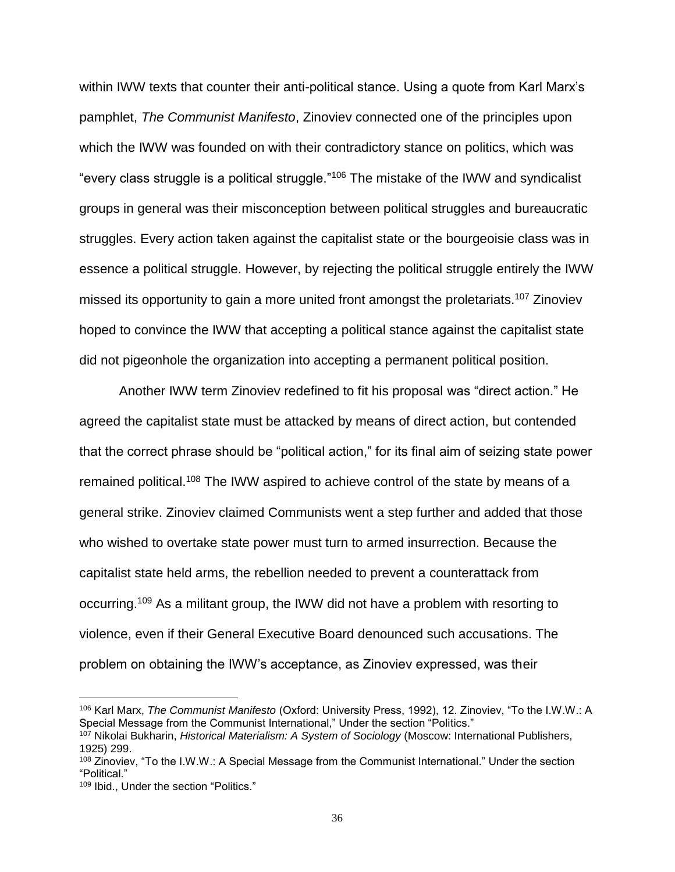within IWW texts that counter their anti-political stance. Using a quote from Karl Marx's pamphlet, *The Communist Manifesto*, Zinoviev connected one of the principles upon which the IWW was founded on with their contradictory stance on politics, which was "every class struggle is a political struggle."<sup>106</sup> The mistake of the IWW and syndicalist groups in general was their misconception between political struggles and bureaucratic struggles. Every action taken against the capitalist state or the bourgeoisie class was in essence a political struggle. However, by rejecting the political struggle entirely the IWW missed its opportunity to gain a more united front amongst the proletariats.<sup>107</sup> Zinoviev hoped to convince the IWW that accepting a political stance against the capitalist state did not pigeonhole the organization into accepting a permanent political position.

Another IWW term Zinoviev redefined to fit his proposal was "direct action." He agreed the capitalist state must be attacked by means of direct action, but contended that the correct phrase should be "political action," for its final aim of seizing state power remained political.<sup>108</sup> The IWW aspired to achieve control of the state by means of a general strike. Zinoviev claimed Communists went a step further and added that those who wished to overtake state power must turn to armed insurrection. Because the capitalist state held arms, the rebellion needed to prevent a counterattack from occurring.<sup>109</sup> As a militant group, the IWW did not have a problem with resorting to violence, even if their General Executive Board denounced such accusations. The problem on obtaining the IWW's acceptance, as Zinoviev expressed, was their

<sup>106</sup> Karl Marx, *The Communist Manifesto* (Oxford: University Press, 1992), 12. Zinoviev, "To the I.W.W.: A Special Message from the Communist International," Under the section "Politics."

<sup>107</sup> Nikolai Bukharin, *Historical Materialism: A System of Sociology* (Moscow: International Publishers, 1925) 299.

<sup>108</sup> Zinoviev, "To the I.W.W.: A Special Message from the Communist International." Under the section "Political."

<sup>109</sup> Ibid., Under the section "Politics."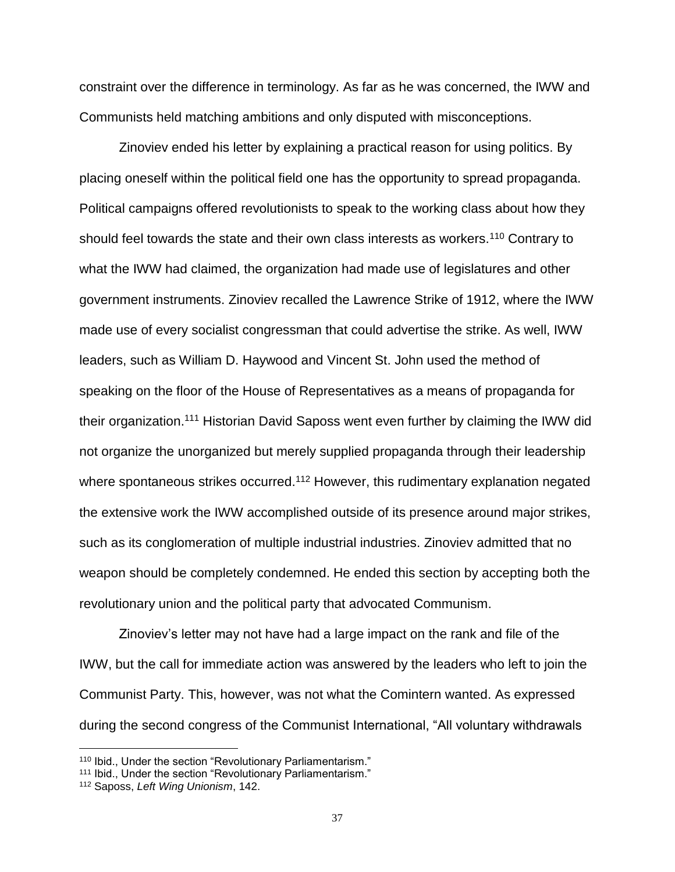constraint over the difference in terminology. As far as he was concerned, the IWW and Communists held matching ambitions and only disputed with misconceptions.

Zinoviev ended his letter by explaining a practical reason for using politics. By placing oneself within the political field one has the opportunity to spread propaganda. Political campaigns offered revolutionists to speak to the working class about how they should feel towards the state and their own class interests as workers.<sup>110</sup> Contrary to what the IWW had claimed, the organization had made use of legislatures and other government instruments. Zinoviev recalled the Lawrence Strike of 1912, where the IWW made use of every socialist congressman that could advertise the strike. As well, IWW leaders, such as William D. Haywood and Vincent St. John used the method of speaking on the floor of the House of Representatives as a means of propaganda for their organization.<sup>111</sup> Historian David Saposs went even further by claiming the IWW did not organize the unorganized but merely supplied propaganda through their leadership where spontaneous strikes occurred.<sup>112</sup> However, this rudimentary explanation negated the extensive work the IWW accomplished outside of its presence around major strikes, such as its conglomeration of multiple industrial industries. Zinoviev admitted that no weapon should be completely condemned. He ended this section by accepting both the revolutionary union and the political party that advocated Communism.

Zinoviev's letter may not have had a large impact on the rank and file of the IWW, but the call for immediate action was answered by the leaders who left to join the Communist Party. This, however, was not what the Comintern wanted. As expressed during the second congress of the Communist International, "All voluntary withdrawals

<sup>110</sup> Ibid., Under the section "Revolutionary Parliamentarism."

<sup>111</sup> Ibid., Under the section "Revolutionary Parliamentarism."

<sup>112</sup> Saposs, *Left Wing Unionism*, 142.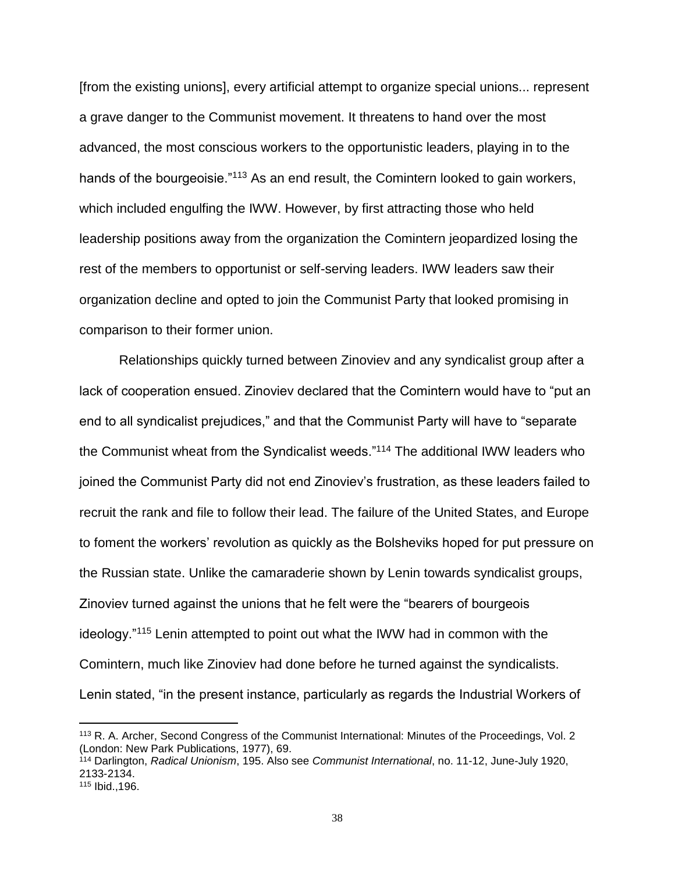[from the existing unions], every artificial attempt to organize special unions... represent a grave danger to the Communist movement. It threatens to hand over the most advanced, the most conscious workers to the opportunistic leaders, playing in to the hands of the bourgeoisie."<sup>113</sup> As an end result, the Comintern looked to gain workers, which included engulfing the IWW. However, by first attracting those who held leadership positions away from the organization the Comintern jeopardized losing the rest of the members to opportunist or self-serving leaders. IWW leaders saw their organization decline and opted to join the Communist Party that looked promising in comparison to their former union.

Relationships quickly turned between Zinoviev and any syndicalist group after a lack of cooperation ensued. Zinoviev declared that the Comintern would have to "put an end to all syndicalist prejudices," and that the Communist Party will have to "separate the Communist wheat from the Syndicalist weeds."<sup>114</sup> The additional IWW leaders who joined the Communist Party did not end Zinoviev's frustration, as these leaders failed to recruit the rank and file to follow their lead. The failure of the United States, and Europe to foment the workers' revolution as quickly as the Bolsheviks hoped for put pressure on the Russian state. Unlike the camaraderie shown by Lenin towards syndicalist groups, Zinoviev turned against the unions that he felt were the "bearers of bourgeois ideology."<sup>115</sup> Lenin attempted to point out what the IWW had in common with the Comintern, much like Zinoviev had done before he turned against the syndicalists. Lenin stated, "in the present instance, particularly as regards the Industrial Workers of

<sup>113</sup> R. A. Archer, Second Congress of the Communist International: Minutes of the Proceedings, Vol. 2 (London: New Park Publications, 1977), 69.

<sup>114</sup> Darlington, *Radical Unionism*, 195. Also see *Communist International*, no. 11-12, June-July 1920, 2133-2134.

<sup>115</sup> Ibid.,196.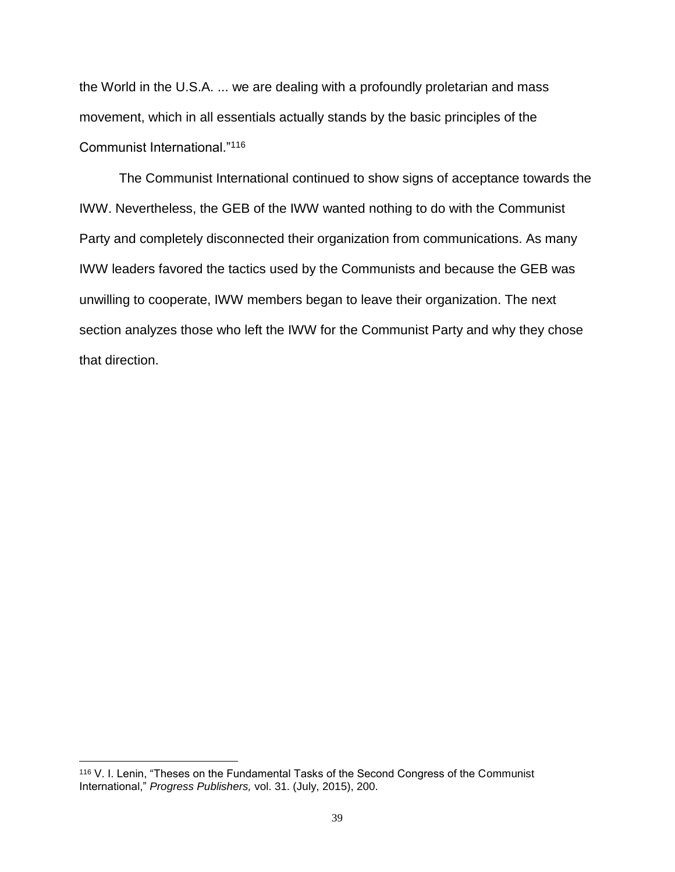the World in the U.S.A. ... we are dealing with a profoundly proletarian and mass movement, which in all essentials actually stands by the basic principles of the Communist International."<sup>116</sup>

The Communist International continued to show signs of acceptance towards the IWW. Nevertheless, the GEB of the IWW wanted nothing to do with the Communist Party and completely disconnected their organization from communications. As many IWW leaders favored the tactics used by the Communists and because the GEB was unwilling to cooperate, IWW members began to leave their organization. The next section analyzes those who left the IWW for the Communist Party and why they chose that direction.

<sup>116</sup> V. I. Lenin, "Theses on the Fundamental Tasks of the Second Congress of the Communist International," *Progress Publishers,* vol. 31. (July, 2015), 200.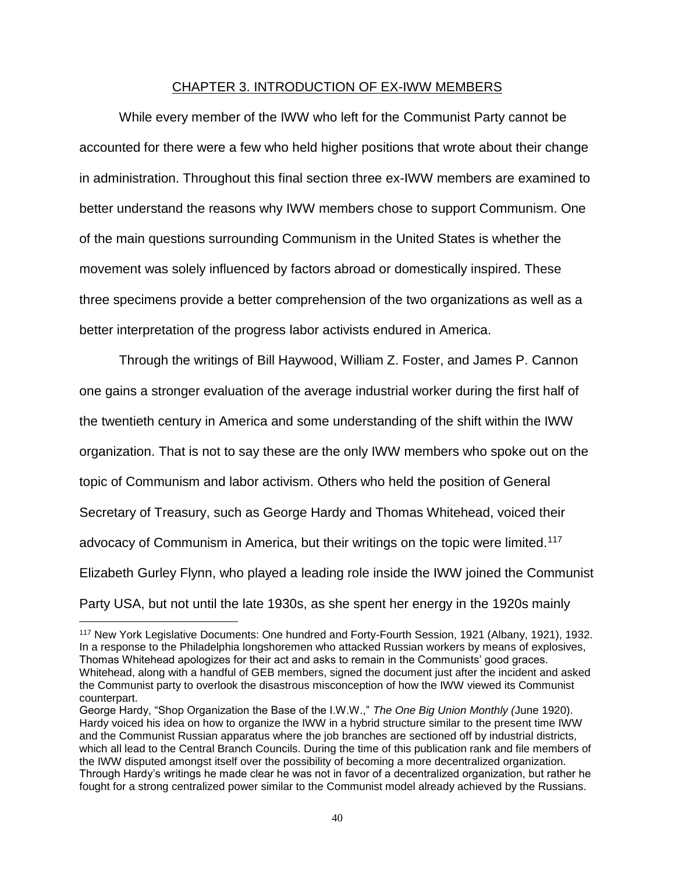# CHAPTER 3. INTRODUCTION OF EX-IWW MEMBERS

While every member of the IWW who left for the Communist Party cannot be accounted for there were a few who held higher positions that wrote about their change in administration. Throughout this final section three ex-IWW members are examined to better understand the reasons why IWW members chose to support Communism. One of the main questions surrounding Communism in the United States is whether the movement was solely influenced by factors abroad or domestically inspired. These three specimens provide a better comprehension of the two organizations as well as a better interpretation of the progress labor activists endured in America.

Through the writings of Bill Haywood, William Z. Foster, and James P. Cannon one gains a stronger evaluation of the average industrial worker during the first half of the twentieth century in America and some understanding of the shift within the IWW organization. That is not to say these are the only IWW members who spoke out on the topic of Communism and labor activism. Others who held the position of General Secretary of Treasury, such as George Hardy and Thomas Whitehead, voiced their advocacy of Communism in America, but their writings on the topic were limited.<sup>117</sup> Elizabeth Gurley Flynn, who played a leading role inside the IWW joined the Communist Party USA, but not until the late 1930s, as she spent her energy in the 1920s mainly

<sup>117</sup> New York Legislative Documents: One hundred and Forty-Fourth Session, 1921 (Albany, 1921), 1932. In a response to the Philadelphia longshoremen who attacked Russian workers by means of explosives, Thomas Whitehead apologizes for their act and asks to remain in the Communists' good graces. Whitehead, along with a handful of GEB members, signed the document just after the incident and asked the Communist party to overlook the disastrous misconception of how the IWW viewed its Communist counterpart.

George Hardy, "Shop Organization the Base of the I.W.W.," *The One Big Union Monthly (*June 1920). Hardy voiced his idea on how to organize the IWW in a hybrid structure similar to the present time IWW and the Communist Russian apparatus where the job branches are sectioned off by industrial districts, which all lead to the Central Branch Councils. During the time of this publication rank and file members of the IWW disputed amongst itself over the possibility of becoming a more decentralized organization. Through Hardy's writings he made clear he was not in favor of a decentralized organization, but rather he fought for a strong centralized power similar to the Communist model already achieved by the Russians.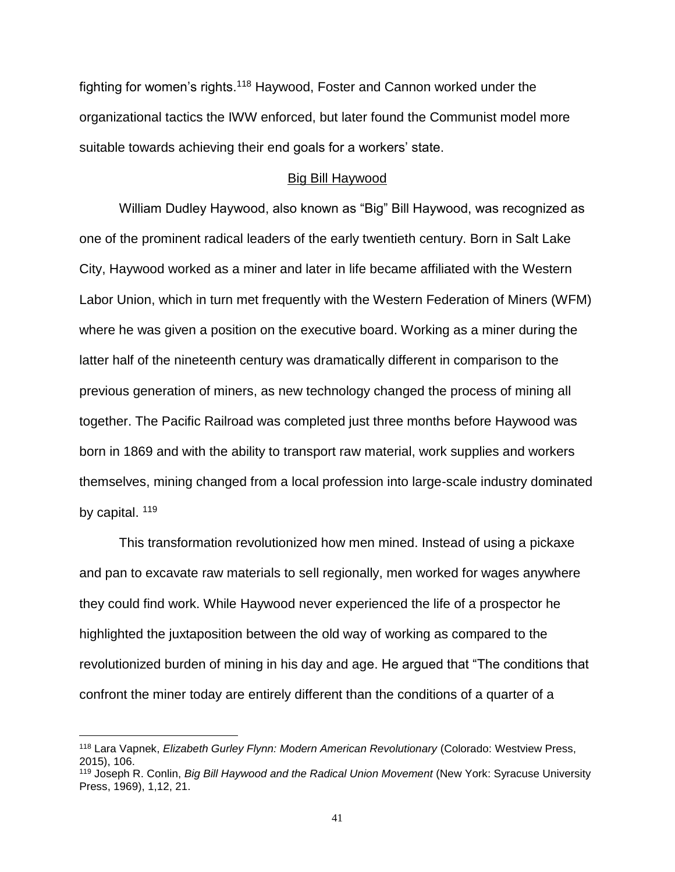fighting for women's rights.<sup>118</sup> Haywood, Foster and Cannon worked under the organizational tactics the IWW enforced, but later found the Communist model more suitable towards achieving their end goals for a workers' state.

## Big Bill Haywood

William Dudley Haywood, also known as "Big" Bill Haywood, was recognized as one of the prominent radical leaders of the early twentieth century. Born in Salt Lake City, Haywood worked as a miner and later in life became affiliated with the Western Labor Union, which in turn met frequently with the Western Federation of Miners (WFM) where he was given a position on the executive board. Working as a miner during the latter half of the nineteenth century was dramatically different in comparison to the previous generation of miners, as new technology changed the process of mining all together. The Pacific Railroad was completed just three months before Haywood was born in 1869 and with the ability to transport raw material, work supplies and workers themselves, mining changed from a local profession into large-scale industry dominated by capital. <sup>119</sup>

This transformation revolutionized how men mined. Instead of using a pickaxe and pan to excavate raw materials to sell regionally, men worked for wages anywhere they could find work. While Haywood never experienced the life of a prospector he highlighted the juxtaposition between the old way of working as compared to the revolutionized burden of mining in his day and age. He argued that "The conditions that confront the miner today are entirely different than the conditions of a quarter of a

<sup>118</sup> Lara Vapnek, *Elizabeth Gurley Flynn: Modern American Revolutionary* (Colorado: Westview Press, 2015), 106.

<sup>119</sup> Joseph R. Conlin, *Big Bill Haywood and the Radical Union Movement* (New York: Syracuse University Press, 1969), 1,12, 21.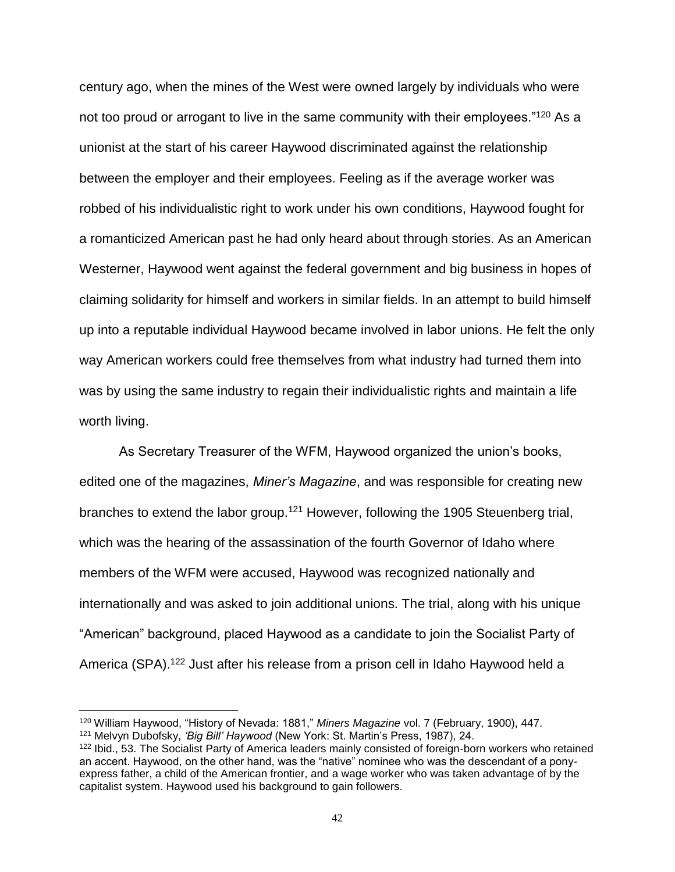century ago, when the mines of the West were owned largely by individuals who were not too proud or arrogant to live in the same community with their employees."<sup>120</sup> As a unionist at the start of his career Haywood discriminated against the relationship between the employer and their employees. Feeling as if the average worker was robbed of his individualistic right to work under his own conditions, Haywood fought for a romanticized American past he had only heard about through stories. As an American Westerner, Haywood went against the federal government and big business in hopes of claiming solidarity for himself and workers in similar fields. In an attempt to build himself up into a reputable individual Haywood became involved in labor unions. He felt the only way American workers could free themselves from what industry had turned them into was by using the same industry to regain their individualistic rights and maintain a life worth living.

As Secretary Treasurer of the WFM, Haywood organized the union's books, edited one of the magazines, *Miner's Magazine*, and was responsible for creating new branches to extend the labor group.<sup>121</sup> However, following the 1905 Steuenberg trial, which was the hearing of the assassination of the fourth Governor of Idaho where members of the WFM were accused, Haywood was recognized nationally and internationally and was asked to join additional unions. The trial, along with his unique "American" background, placed Haywood as a candidate to join the Socialist Party of America (SPA).<sup>122</sup> Just after his release from a prison cell in Idaho Haywood held a

<sup>120</sup> William Haywood, "History of Nevada: 1881," *Miners Magazine* vol. 7 (February, 1900), 447.

<sup>121</sup> Melvyn Dubofsky, *'Big Bill' Haywood* (New York: St. Martin's Press, 1987), 24.

<sup>122</sup> Ibid., 53. The Socialist Party of America leaders mainly consisted of foreign-born workers who retained an accent. Haywood, on the other hand, was the "native" nominee who was the descendant of a ponyexpress father, a child of the American frontier, and a wage worker who was taken advantage of by the capitalist system. Haywood used his background to gain followers.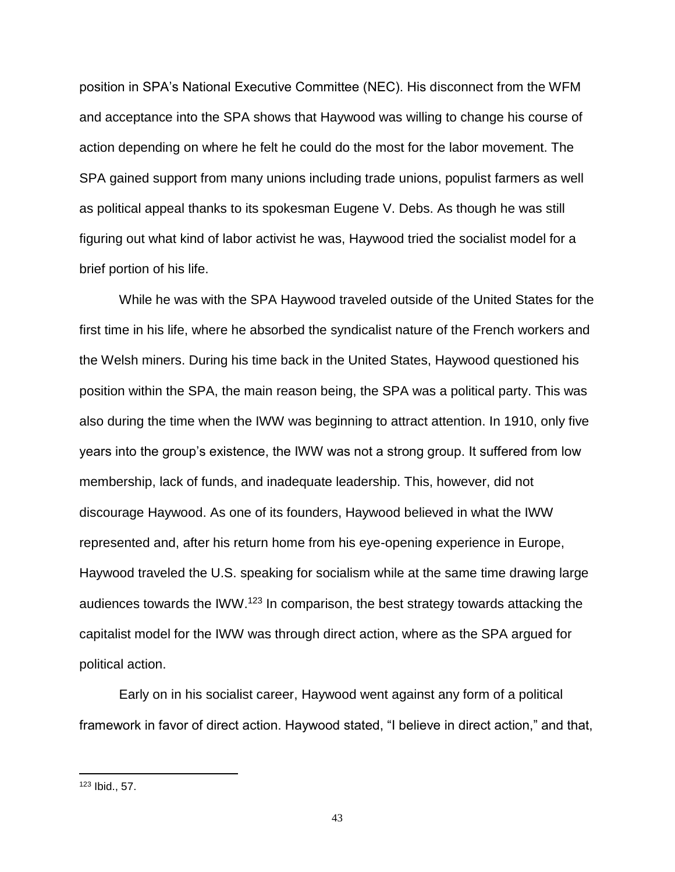position in SPA's National Executive Committee (NEC). His disconnect from the WFM and acceptance into the SPA shows that Haywood was willing to change his course of action depending on where he felt he could do the most for the labor movement. The SPA gained support from many unions including trade unions, populist farmers as well as political appeal thanks to its spokesman Eugene V. Debs. As though he was still figuring out what kind of labor activist he was, Haywood tried the socialist model for a brief portion of his life.

While he was with the SPA Haywood traveled outside of the United States for the first time in his life, where he absorbed the syndicalist nature of the French workers and the Welsh miners. During his time back in the United States, Haywood questioned his position within the SPA, the main reason being, the SPA was a political party. This was also during the time when the IWW was beginning to attract attention. In 1910, only five years into the group's existence, the IWW was not a strong group. It suffered from low membership, lack of funds, and inadequate leadership. This, however, did not discourage Haywood. As one of its founders, Haywood believed in what the IWW represented and, after his return home from his eye-opening experience in Europe, Haywood traveled the U.S. speaking for socialism while at the same time drawing large audiences towards the IWW.<sup>123</sup> In comparison, the best strategy towards attacking the capitalist model for the IWW was through direct action, where as the SPA argued for political action.

Early on in his socialist career, Haywood went against any form of a political framework in favor of direct action. Haywood stated, "I believe in direct action," and that,

<sup>123</sup> Ibid., 57.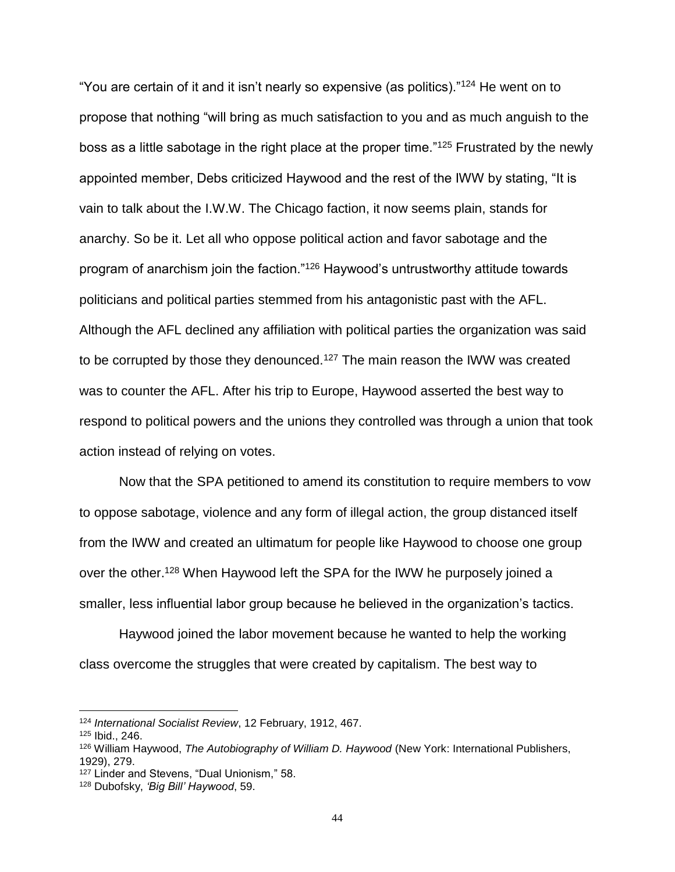"You are certain of it and it isn't nearly so expensive (as politics)."<sup>124</sup> He went on to propose that nothing "will bring as much satisfaction to you and as much anguish to the boss as a little sabotage in the right place at the proper time."<sup>125</sup> Frustrated by the newly appointed member, Debs criticized Haywood and the rest of the IWW by stating, "It is vain to talk about the I.W.W. The Chicago faction, it now seems plain, stands for anarchy. So be it. Let all who oppose political action and favor sabotage and the program of anarchism join the faction."<sup>126</sup> Haywood's untrustworthy attitude towards politicians and political parties stemmed from his antagonistic past with the AFL. Although the AFL declined any affiliation with political parties the organization was said to be corrupted by those they denounced.<sup>127</sup> The main reason the IWW was created was to counter the AFL. After his trip to Europe, Haywood asserted the best way to respond to political powers and the unions they controlled was through a union that took action instead of relying on votes.

Now that the SPA petitioned to amend its constitution to require members to vow to oppose sabotage, violence and any form of illegal action, the group distanced itself from the IWW and created an ultimatum for people like Haywood to choose one group over the other.<sup>128</sup> When Haywood left the SPA for the IWW he purposely joined a smaller, less influential labor group because he believed in the organization's tactics.

Haywood joined the labor movement because he wanted to help the working class overcome the struggles that were created by capitalism. The best way to

<sup>124</sup> *International Socialist Review*, 12 February, 1912, 467.

<sup>125</sup> Ibid., 246.

<sup>126</sup> William Haywood, *The Autobiography of William D. Haywood* (New York: International Publishers, 1929), 279.

<sup>127</sup> Linder and Stevens, "Dual Unionism," 58.

<sup>128</sup> Dubofsky, *'Big Bill' Haywood*, 59.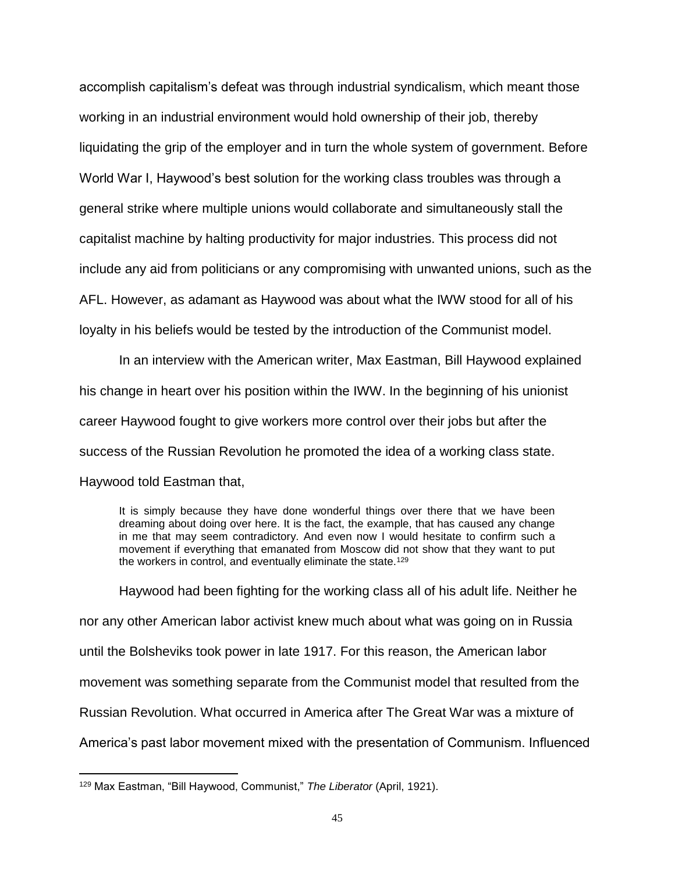accomplish capitalism's defeat was through industrial syndicalism, which meant those working in an industrial environment would hold ownership of their job, thereby liquidating the grip of the employer and in turn the whole system of government. Before World War I, Haywood's best solution for the working class troubles was through a general strike where multiple unions would collaborate and simultaneously stall the capitalist machine by halting productivity for major industries. This process did not include any aid from politicians or any compromising with unwanted unions, such as the AFL. However, as adamant as Haywood was about what the IWW stood for all of his loyalty in his beliefs would be tested by the introduction of the Communist model.

In an interview with the American writer, Max Eastman, Bill Haywood explained his change in heart over his position within the IWW. In the beginning of his unionist career Haywood fought to give workers more control over their jobs but after the success of the Russian Revolution he promoted the idea of a working class state. Haywood told Eastman that,

It is simply because they have done wonderful things over there that we have been dreaming about doing over here. It is the fact, the example, that has caused any change in me that may seem contradictory. And even now I would hesitate to confirm such a movement if everything that emanated from Moscow did not show that they want to put the workers in control, and eventually eliminate the state.<sup>129</sup>

Haywood had been fighting for the working class all of his adult life. Neither he nor any other American labor activist knew much about what was going on in Russia until the Bolsheviks took power in late 1917. For this reason, the American labor movement was something separate from the Communist model that resulted from the Russian Revolution. What occurred in America after The Great War was a mixture of America's past labor movement mixed with the presentation of Communism. Influenced

<sup>129</sup> Max Eastman, "Bill Haywood, Communist," *The Liberator* (April, 1921).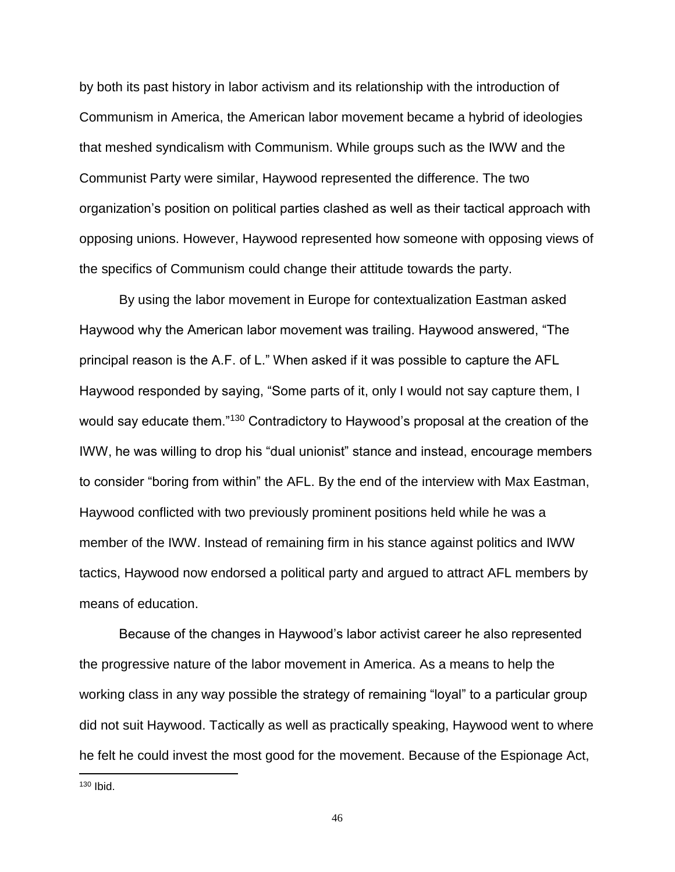by both its past history in labor activism and its relationship with the introduction of Communism in America, the American labor movement became a hybrid of ideologies that meshed syndicalism with Communism. While groups such as the IWW and the Communist Party were similar, Haywood represented the difference. The two organization's position on political parties clashed as well as their tactical approach with opposing unions. However, Haywood represented how someone with opposing views of the specifics of Communism could change their attitude towards the party.

By using the labor movement in Europe for contextualization Eastman asked Haywood why the American labor movement was trailing. Haywood answered, "The principal reason is the A.F. of L." When asked if it was possible to capture the AFL Haywood responded by saying, "Some parts of it, only I would not say capture them, I would say educate them."<sup>130</sup> Contradictory to Haywood's proposal at the creation of the IWW, he was willing to drop his "dual unionist" stance and instead, encourage members to consider "boring from within" the AFL. By the end of the interview with Max Eastman, Haywood conflicted with two previously prominent positions held while he was a member of the IWW. Instead of remaining firm in his stance against politics and IWW tactics, Haywood now endorsed a political party and argued to attract AFL members by means of education.

Because of the changes in Haywood's labor activist career he also represented the progressive nature of the labor movement in America. As a means to help the working class in any way possible the strategy of remaining "loyal" to a particular group did not suit Haywood. Tactically as well as practically speaking, Haywood went to where he felt he could invest the most good for the movement. Because of the Espionage Act,

<sup>130</sup> Ibid.

 $\overline{a}$ 

46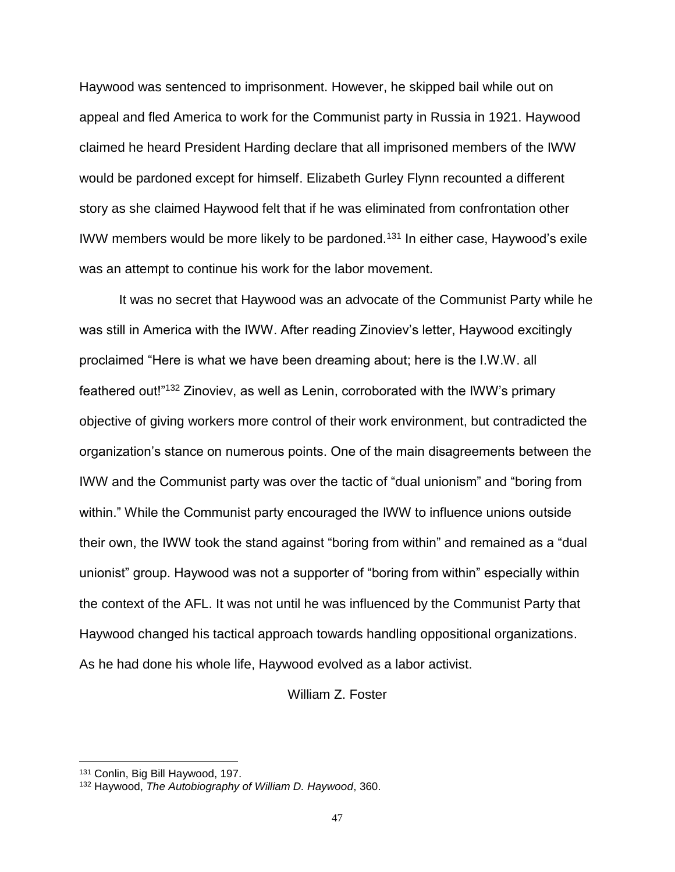Haywood was sentenced to imprisonment. However, he skipped bail while out on appeal and fled America to work for the Communist party in Russia in 1921. Haywood claimed he heard President Harding declare that all imprisoned members of the IWW would be pardoned except for himself. Elizabeth Gurley Flynn recounted a different story as she claimed Haywood felt that if he was eliminated from confrontation other IWW members would be more likely to be pardoned.<sup>131</sup> In either case, Haywood's exile was an attempt to continue his work for the labor movement.

It was no secret that Haywood was an advocate of the Communist Party while he was still in America with the IWW. After reading Zinoviev's letter, Haywood excitingly proclaimed "Here is what we have been dreaming about; here is the I.W.W. all feathered out!"<sup>132</sup> Zinoviev, as well as Lenin, corroborated with the IWW's primary objective of giving workers more control of their work environment, but contradicted the organization's stance on numerous points. One of the main disagreements between the IWW and the Communist party was over the tactic of "dual unionism" and "boring from within." While the Communist party encouraged the IWW to influence unions outside their own, the IWW took the stand against "boring from within" and remained as a "dual unionist" group. Haywood was not a supporter of "boring from within" especially within the context of the AFL. It was not until he was influenced by the Communist Party that Haywood changed his tactical approach towards handling oppositional organizations. As he had done his whole life, Haywood evolved as a labor activist.

### William Z. Foster

<sup>131</sup> Conlin, Big Bill Haywood, 197.

<sup>132</sup> Haywood, *The Autobiography of William D. Haywood*, 360.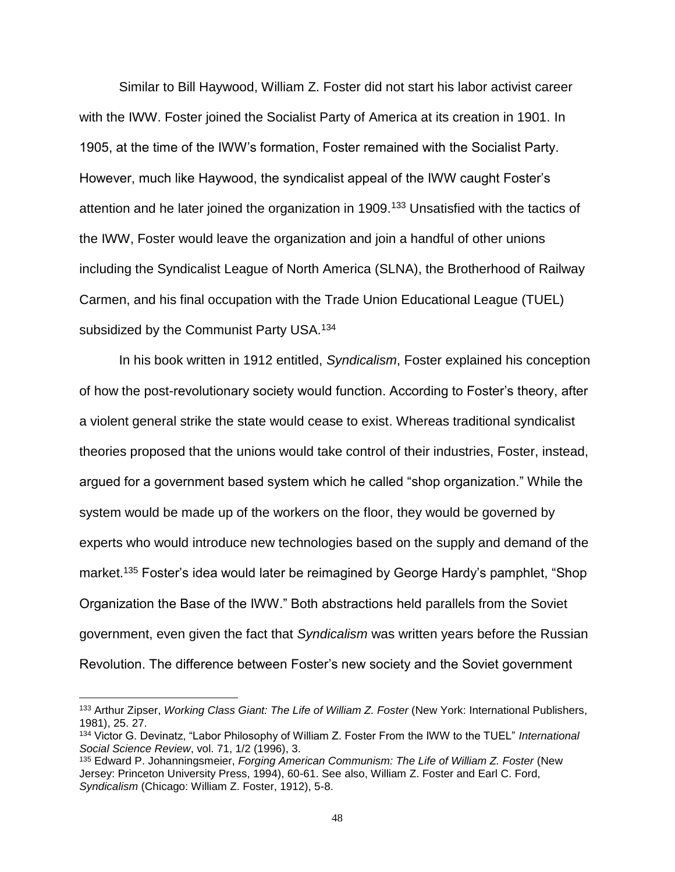Similar to Bill Haywood, William Z. Foster did not start his labor activist career with the IWW. Foster joined the Socialist Party of America at its creation in 1901. In 1905, at the time of the IWW's formation, Foster remained with the Socialist Party. However, much like Haywood, the syndicalist appeal of the IWW caught Foster's attention and he later joined the organization in 1909.<sup>133</sup> Unsatisfied with the tactics of the IWW, Foster would leave the organization and join a handful of other unions including the Syndicalist League of North America (SLNA), the Brotherhood of Railway Carmen, and his final occupation with the Trade Union Educational League (TUEL) subsidized by the Communist Party USA.<sup>134</sup>

In his book written in 1912 entitled, *Syndicalism*, Foster explained his conception of how the post-revolutionary society would function. According to Foster's theory, after a violent general strike the state would cease to exist. Whereas traditional syndicalist theories proposed that the unions would take control of their industries, Foster, instead, argued for a government based system which he called "shop organization." While the system would be made up of the workers on the floor, they would be governed by experts who would introduce new technologies based on the supply and demand of the market.<sup>135</sup> Foster's idea would later be reimagined by George Hardy's pamphlet, "Shop Organization the Base of the IWW." Both abstractions held parallels from the Soviet government, even given the fact that *Syndicalism* was written years before the Russian Revolution. The difference between Foster's new society and the Soviet government

<sup>133</sup> Arthur Zipser, *Working Class Giant: The Life of William Z. Foster* (New York: International Publishers, 1981), 25. 27.

<sup>134</sup> Victor G. Devinatz, "Labor Philosophy of William Z. Foster From the IWW to the TUEL" *International Social Science Review*, vol. 71, 1/2 (1996), 3.

<sup>135</sup> Edward P. Johanningsmeier, *Forging American Communism: The Life of William Z. Foster* (New Jersey: Princeton University Press, 1994), 60-61. See also, William Z. Foster and Earl C. Ford, *Syndicalism* (Chicago: William Z. Foster, 1912), 5-8.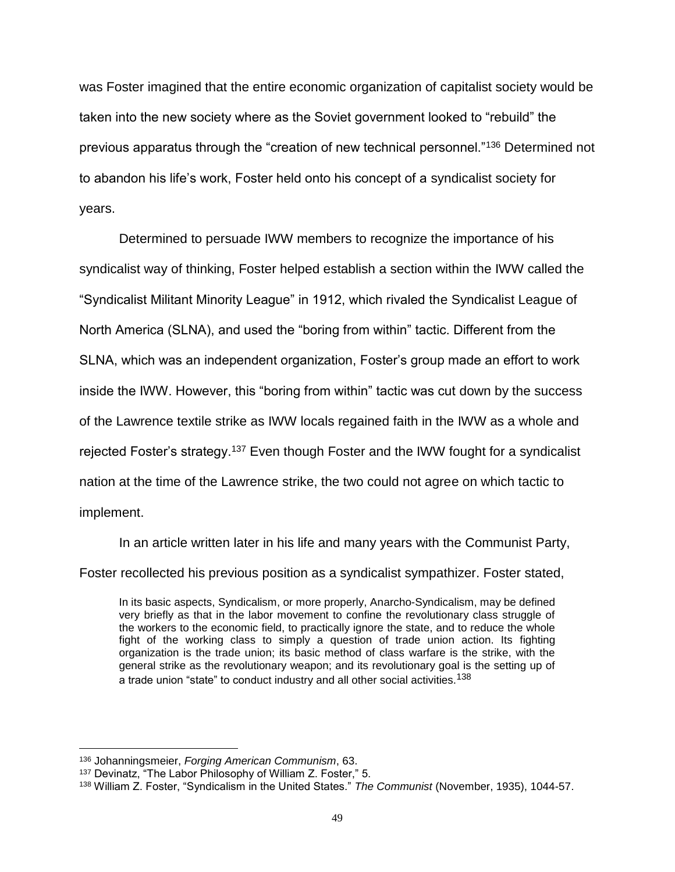was Foster imagined that the entire economic organization of capitalist society would be taken into the new society where as the Soviet government looked to "rebuild" the previous apparatus through the "creation of new technical personnel."<sup>136</sup> Determined not to abandon his life's work, Foster held onto his concept of a syndicalist society for years.

Determined to persuade IWW members to recognize the importance of his syndicalist way of thinking, Foster helped establish a section within the IWW called the "Syndicalist Militant Minority League" in 1912, which rivaled the Syndicalist League of North America (SLNA), and used the "boring from within" tactic. Different from the SLNA, which was an independent organization, Foster's group made an effort to work inside the IWW. However, this "boring from within" tactic was cut down by the success of the Lawrence textile strike as IWW locals regained faith in the IWW as a whole and rejected Foster's strategy.<sup>137</sup> Even though Foster and the IWW fought for a syndicalist nation at the time of the Lawrence strike, the two could not agree on which tactic to implement.

In an article written later in his life and many years with the Communist Party, Foster recollected his previous position as a syndicalist sympathizer. Foster stated,

In its basic aspects, Syndicalism, or more properly, Anarcho-Syndicalism, may be defined very briefly as that in the labor movement to confine the revolutionary class struggle of the workers to the economic field, to practically ignore the state, and to reduce the whole fight of the working class to simply a question of trade union action. Its fighting organization is the trade union; its basic method of class warfare is the strike, with the general strike as the revolutionary weapon; and its revolutionary goal is the setting up of a trade union "state" to conduct industry and all other social activities.<sup>138</sup>

<sup>136</sup> Johanningsmeier, *Forging American Communism*, 63.

<sup>137</sup> Devinatz, "The Labor Philosophy of William Z. Foster," 5.

<sup>138</sup> William Z. Foster, "Syndicalism in the United States." *The Communist* (November, 1935), 1044-57.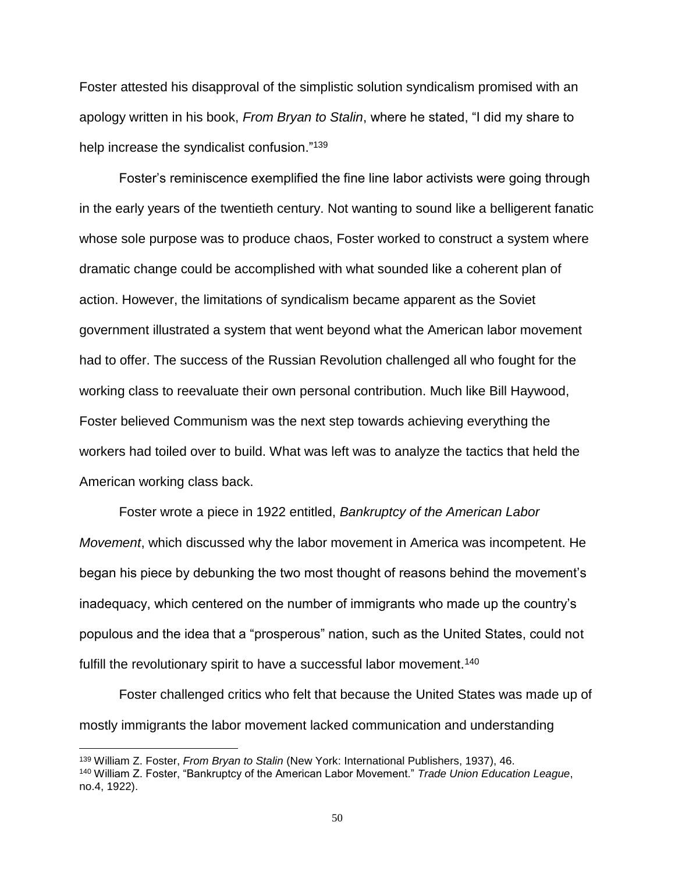Foster attested his disapproval of the simplistic solution syndicalism promised with an apology written in his book, *From Bryan to Stalin*, where he stated, "I did my share to help increase the syndicalist confusion."<sup>139</sup>

Foster's reminiscence exemplified the fine line labor activists were going through in the early years of the twentieth century. Not wanting to sound like a belligerent fanatic whose sole purpose was to produce chaos, Foster worked to construct a system where dramatic change could be accomplished with what sounded like a coherent plan of action. However, the limitations of syndicalism became apparent as the Soviet government illustrated a system that went beyond what the American labor movement had to offer. The success of the Russian Revolution challenged all who fought for the working class to reevaluate their own personal contribution. Much like Bill Haywood, Foster believed Communism was the next step towards achieving everything the workers had toiled over to build. What was left was to analyze the tactics that held the American working class back.

Foster wrote a piece in 1922 entitled, *Bankruptcy of the American Labor Movement*, which discussed why the labor movement in America was incompetent. He began his piece by debunking the two most thought of reasons behind the movement's inadequacy, which centered on the number of immigrants who made up the country's populous and the idea that a "prosperous" nation, such as the United States, could not fulfill the revolutionary spirit to have a successful labor movement.<sup>140</sup>

Foster challenged critics who felt that because the United States was made up of mostly immigrants the labor movement lacked communication and understanding

<sup>139</sup> William Z. Foster, *From Bryan to Stalin* (New York: International Publishers, 1937), 46.

<sup>140</sup> William Z. Foster, "Bankruptcy of the American Labor Movement." *Trade Union Education League*, no.4, 1922).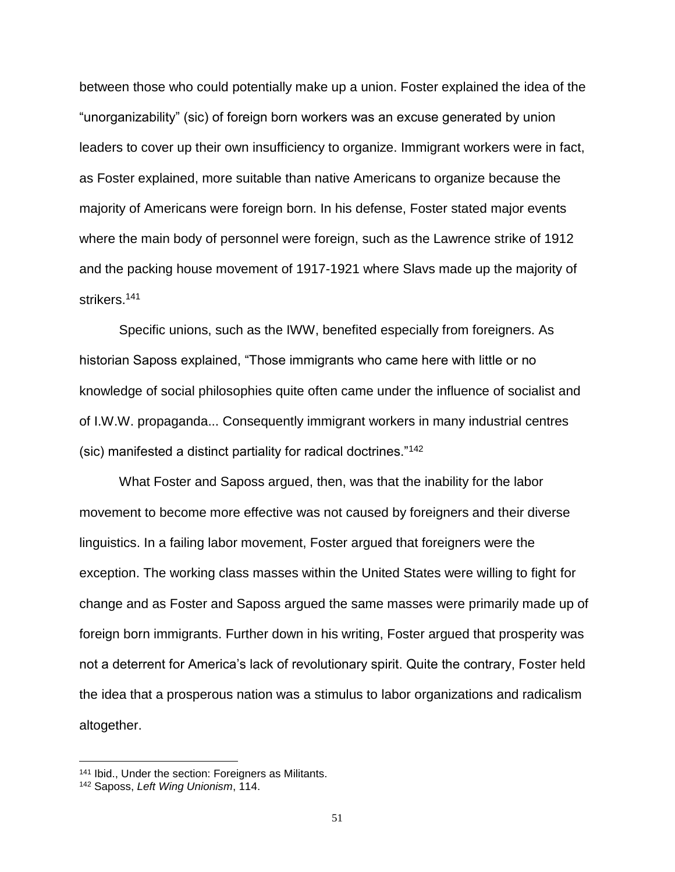between those who could potentially make up a union. Foster explained the idea of the "unorganizability" (sic) of foreign born workers was an excuse generated by union leaders to cover up their own insufficiency to organize. Immigrant workers were in fact, as Foster explained, more suitable than native Americans to organize because the majority of Americans were foreign born. In his defense, Foster stated major events where the main body of personnel were foreign, such as the Lawrence strike of 1912 and the packing house movement of 1917-1921 where Slavs made up the majority of strikers.<sup>141</sup>

Specific unions, such as the IWW, benefited especially from foreigners. As historian Saposs explained, "Those immigrants who came here with little or no knowledge of social philosophies quite often came under the influence of socialist and of I.W.W. propaganda... Consequently immigrant workers in many industrial centres (sic) manifested a distinct partiality for radical doctrines."<sup>142</sup>

What Foster and Saposs argued, then, was that the inability for the labor movement to become more effective was not caused by foreigners and their diverse linguistics. In a failing labor movement, Foster argued that foreigners were the exception. The working class masses within the United States were willing to fight for change and as Foster and Saposs argued the same masses were primarily made up of foreign born immigrants. Further down in his writing, Foster argued that prosperity was not a deterrent for America's lack of revolutionary spirit. Quite the contrary, Foster held the idea that a prosperous nation was a stimulus to labor organizations and radicalism altogether.

<sup>141</sup> Ibid., Under the section: Foreigners as Militants.

<sup>142</sup> Saposs, *Left Wing Unionism*, 114.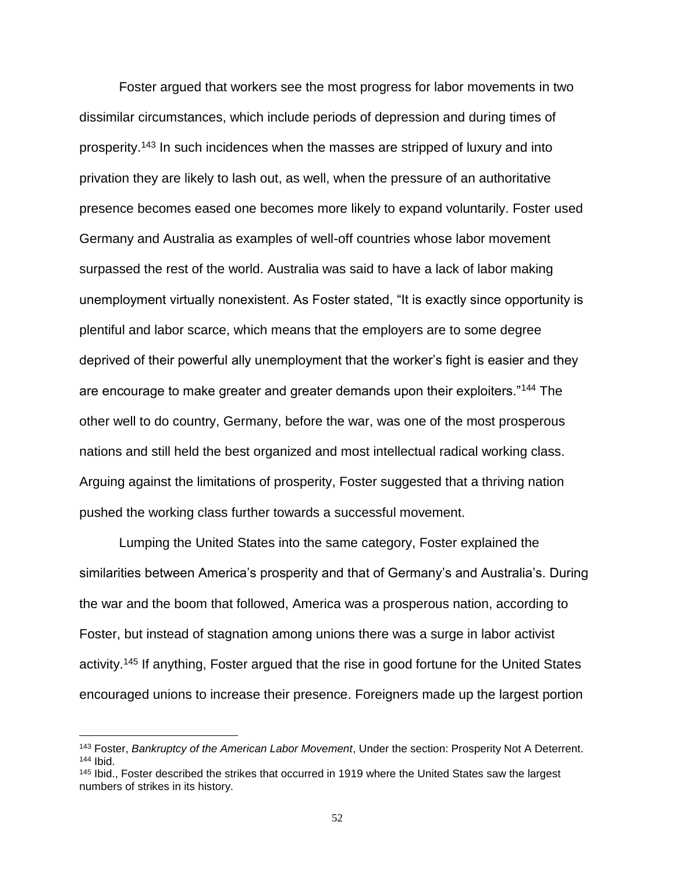Foster argued that workers see the most progress for labor movements in two dissimilar circumstances, which include periods of depression and during times of prosperity.<sup>143</sup> In such incidences when the masses are stripped of luxury and into privation they are likely to lash out, as well, when the pressure of an authoritative presence becomes eased one becomes more likely to expand voluntarily. Foster used Germany and Australia as examples of well-off countries whose labor movement surpassed the rest of the world. Australia was said to have a lack of labor making unemployment virtually nonexistent. As Foster stated, "It is exactly since opportunity is plentiful and labor scarce, which means that the employers are to some degree deprived of their powerful ally unemployment that the worker's fight is easier and they are encourage to make greater and greater demands upon their exploiters."<sup>144</sup> The other well to do country, Germany, before the war, was one of the most prosperous nations and still held the best organized and most intellectual radical working class. Arguing against the limitations of prosperity, Foster suggested that a thriving nation pushed the working class further towards a successful movement.

Lumping the United States into the same category, Foster explained the similarities between America's prosperity and that of Germany's and Australia's. During the war and the boom that followed, America was a prosperous nation, according to Foster, but instead of stagnation among unions there was a surge in labor activist activity.<sup>145</sup> If anything, Foster argued that the rise in good fortune for the United States encouraged unions to increase their presence. Foreigners made up the largest portion

<sup>143</sup> Foster, *Bankruptcy of the American Labor Movement*, Under the section: Prosperity Not A Deterrent. <sup>144</sup> Ibid.

<sup>&</sup>lt;sup>145</sup> Ibid., Foster described the strikes that occurred in 1919 where the United States saw the largest numbers of strikes in its history.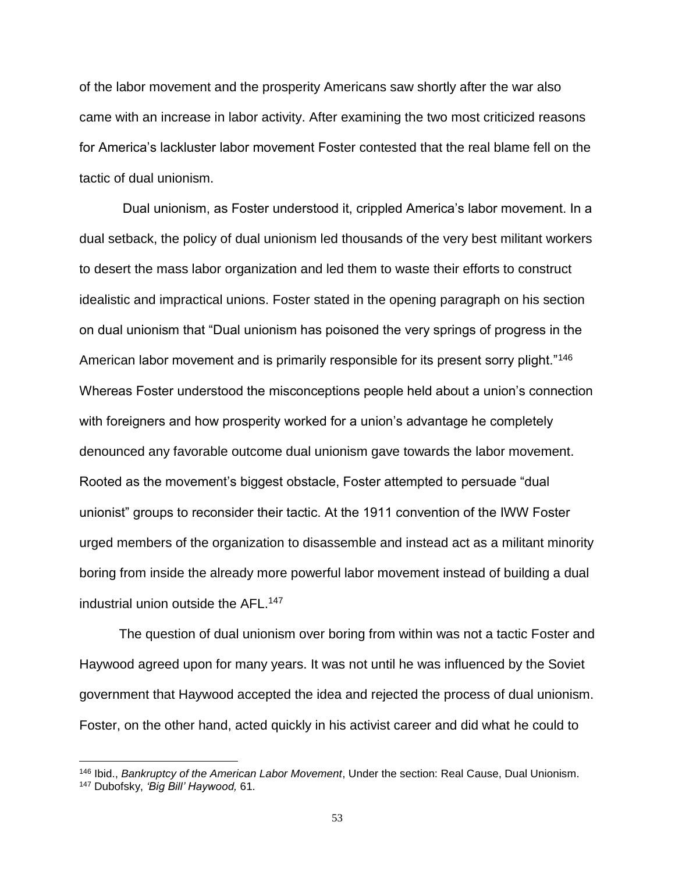of the labor movement and the prosperity Americans saw shortly after the war also came with an increase in labor activity. After examining the two most criticized reasons for America's lackluster labor movement Foster contested that the real blame fell on the tactic of dual unionism.

Dual unionism, as Foster understood it, crippled America's labor movement. In a dual setback, the policy of dual unionism led thousands of the very best militant workers to desert the mass labor organization and led them to waste their efforts to construct idealistic and impractical unions. Foster stated in the opening paragraph on his section on dual unionism that "Dual unionism has poisoned the very springs of progress in the American labor movement and is primarily responsible for its present sorry plight."<sup>146</sup> Whereas Foster understood the misconceptions people held about a union's connection with foreigners and how prosperity worked for a union's advantage he completely denounced any favorable outcome dual unionism gave towards the labor movement. Rooted as the movement's biggest obstacle, Foster attempted to persuade "dual unionist" groups to reconsider their tactic. At the 1911 convention of the IWW Foster urged members of the organization to disassemble and instead act as a militant minority boring from inside the already more powerful labor movement instead of building a dual industrial union outside the AFL.<sup>147</sup>

The question of dual unionism over boring from within was not a tactic Foster and Haywood agreed upon for many years. It was not until he was influenced by the Soviet government that Haywood accepted the idea and rejected the process of dual unionism. Foster, on the other hand, acted quickly in his activist career and did what he could to

<sup>146</sup> Ibid., *Bankruptcy of the American Labor Movement*, Under the section: Real Cause, Dual Unionism. <sup>147</sup> Dubofsky, *'Big Bill' Haywood,* 61.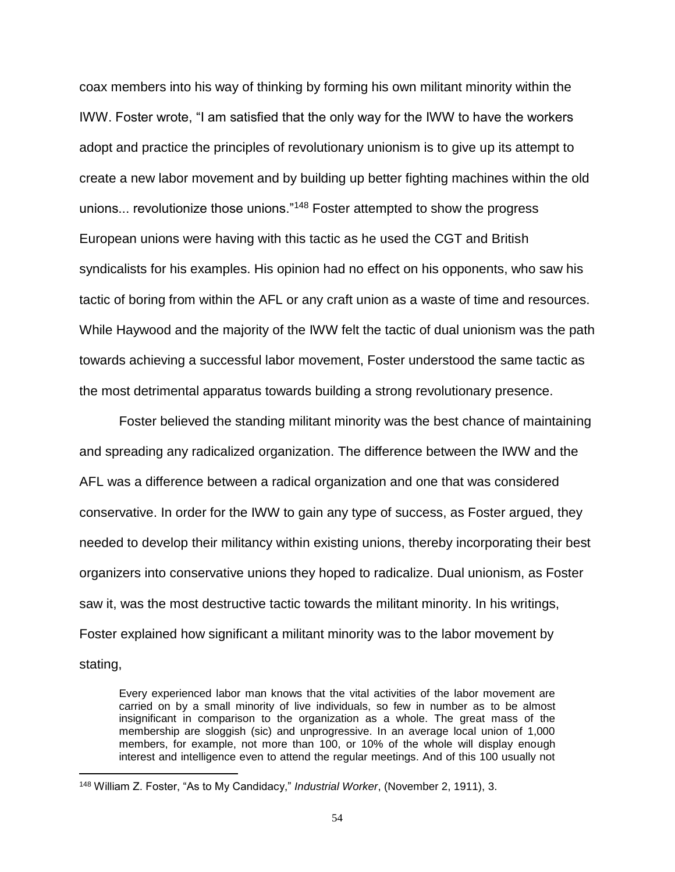coax members into his way of thinking by forming his own militant minority within the IWW. Foster wrote, "I am satisfied that the only way for the IWW to have the workers adopt and practice the principles of revolutionary unionism is to give up its attempt to create a new labor movement and by building up better fighting machines within the old unions... revolutionize those unions."<sup>148</sup> Foster attempted to show the progress European unions were having with this tactic as he used the CGT and British syndicalists for his examples. His opinion had no effect on his opponents, who saw his tactic of boring from within the AFL or any craft union as a waste of time and resources. While Haywood and the majority of the IWW felt the tactic of dual unionism was the path towards achieving a successful labor movement, Foster understood the same tactic as the most detrimental apparatus towards building a strong revolutionary presence.

Foster believed the standing militant minority was the best chance of maintaining and spreading any radicalized organization. The difference between the IWW and the AFL was a difference between a radical organization and one that was considered conservative. In order for the IWW to gain any type of success, as Foster argued, they needed to develop their militancy within existing unions, thereby incorporating their best organizers into conservative unions they hoped to radicalize. Dual unionism, as Foster saw it, was the most destructive tactic towards the militant minority. In his writings, Foster explained how significant a militant minority was to the labor movement by stating,

Every experienced labor man knows that the vital activities of the labor movement are carried on by a small minority of live individuals, so few in number as to be almost insignificant in comparison to the organization as a whole. The great mass of the membership are sloggish (sic) and unprogressive. In an average local union of 1,000 members, for example, not more than 100, or 10% of the whole will display enough interest and intelligence even to attend the regular meetings. And of this 100 usually not

<sup>148</sup> William Z. Foster, "As to My Candidacy," *Industrial Worker*, (November 2, 1911), 3.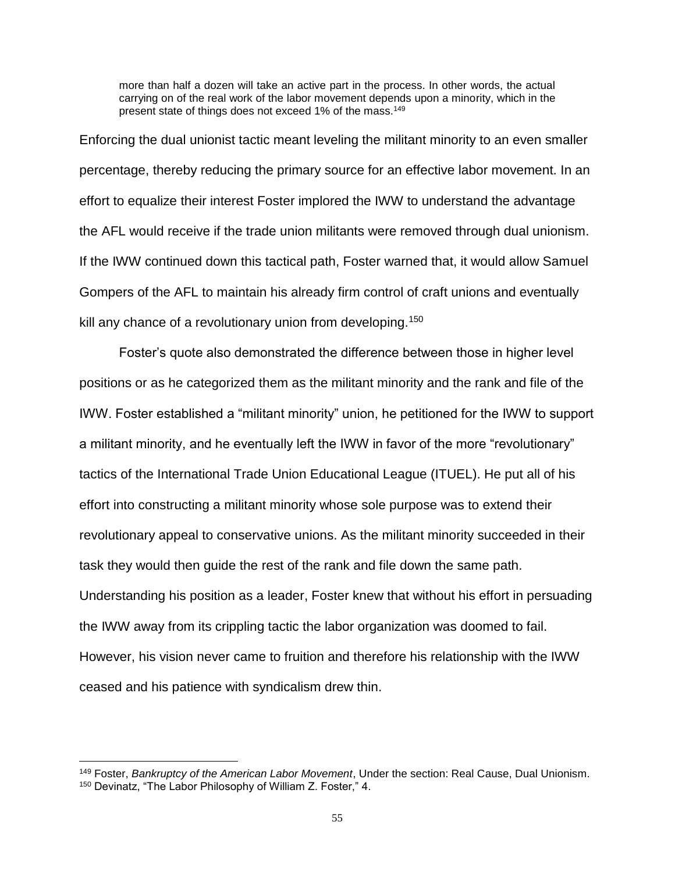more than half a dozen will take an active part in the process. In other words, the actual carrying on of the real work of the labor movement depends upon a minority, which in the present state of things does not exceed 1% of the mass.<sup>149</sup>

Enforcing the dual unionist tactic meant leveling the militant minority to an even smaller percentage, thereby reducing the primary source for an effective labor movement. In an effort to equalize their interest Foster implored the IWW to understand the advantage the AFL would receive if the trade union militants were removed through dual unionism. If the IWW continued down this tactical path, Foster warned that, it would allow Samuel Gompers of the AFL to maintain his already firm control of craft unions and eventually kill any chance of a revolutionary union from developing.<sup>150</sup>

Foster's quote also demonstrated the difference between those in higher level positions or as he categorized them as the militant minority and the rank and file of the IWW. Foster established a "militant minority" union, he petitioned for the IWW to support a militant minority, and he eventually left the IWW in favor of the more "revolutionary" tactics of the International Trade Union Educational League (ITUEL). He put all of his effort into constructing a militant minority whose sole purpose was to extend their revolutionary appeal to conservative unions. As the militant minority succeeded in their task they would then guide the rest of the rank and file down the same path. Understanding his position as a leader, Foster knew that without his effort in persuading the IWW away from its crippling tactic the labor organization was doomed to fail. However, his vision never came to fruition and therefore his relationship with the IWW ceased and his patience with syndicalism drew thin.

<sup>149</sup> Foster, *Bankruptcy of the American Labor Movement*, Under the section: Real Cause, Dual Unionism. <sup>150</sup> Devinatz, "The Labor Philosophy of William Z. Foster," 4.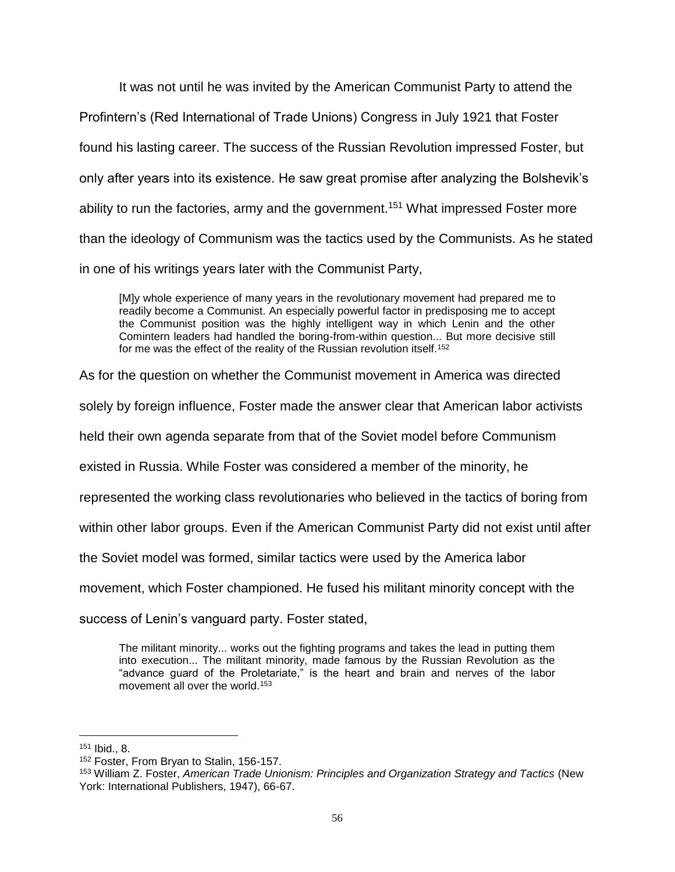It was not until he was invited by the American Communist Party to attend the Profintern's (Red International of Trade Unions) Congress in July 1921 that Foster found his lasting career. The success of the Russian Revolution impressed Foster, but only after years into its existence. He saw great promise after analyzing the Bolshevik's ability to run the factories, army and the government.<sup>151</sup> What impressed Foster more than the ideology of Communism was the tactics used by the Communists. As he stated in one of his writings years later with the Communist Party,

[M]y whole experience of many years in the revolutionary movement had prepared me to readily become a Communist. An especially powerful factor in predisposing me to accept the Communist position was the highly intelligent way in which Lenin and the other Comintern leaders had handled the boring-from-within question... But more decisive still for me was the effect of the reality of the Russian revolution itself.<sup>152</sup>

As for the question on whether the Communist movement in America was directed

solely by foreign influence, Foster made the answer clear that American labor activists

held their own agenda separate from that of the Soviet model before Communism

existed in Russia. While Foster was considered a member of the minority, he

represented the working class revolutionaries who believed in the tactics of boring from

within other labor groups. Even if the American Communist Party did not exist until after

the Soviet model was formed, similar tactics were used by the America labor

movement, which Foster championed. He fused his militant minority concept with the

success of Lenin's vanguard party. Foster stated,

The militant minority... works out the fighting programs and takes the lead in putting them into execution... The militant minority, made famous by the Russian Revolution as the "advance guard of the Proletariate," is the heart and brain and nerves of the labor movement all over the world.<sup>153</sup>

<sup>151</sup> Ibid., 8.

<sup>152</sup> Foster, From Bryan to Stalin, 156-157.

<sup>153</sup> William Z. Foster, *American Trade Unionism: Principles and Organization Strategy and Tactics* (New York: International Publishers, 1947), 66-67.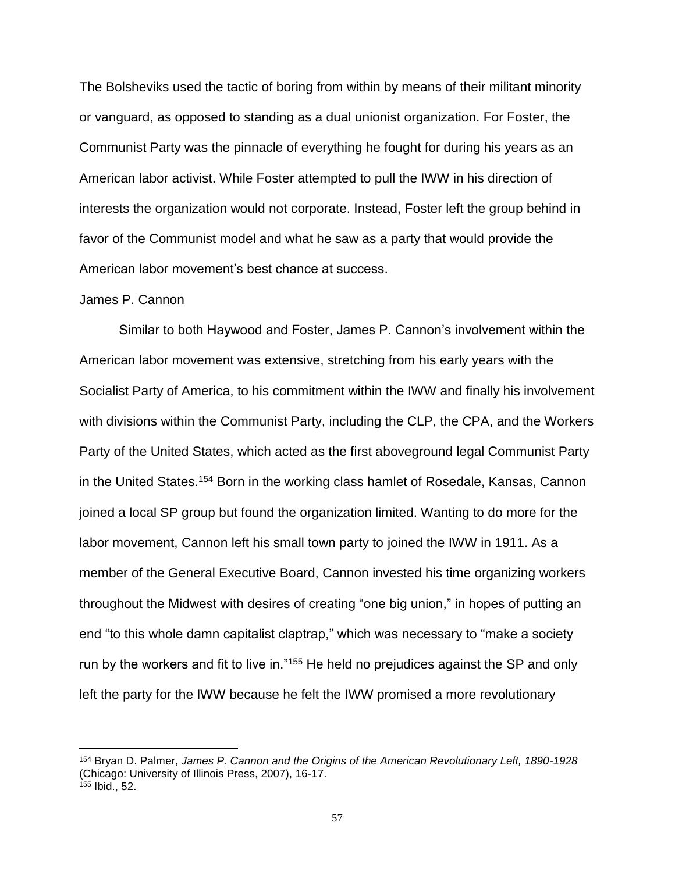The Bolsheviks used the tactic of boring from within by means of their militant minority or vanguard, as opposed to standing as a dual unionist organization. For Foster, the Communist Party was the pinnacle of everything he fought for during his years as an American labor activist. While Foster attempted to pull the IWW in his direction of interests the organization would not corporate. Instead, Foster left the group behind in favor of the Communist model and what he saw as a party that would provide the American labor movement's best chance at success.

#### James P. Cannon

 $\overline{a}$ 

Similar to both Haywood and Foster, James P. Cannon's involvement within the American labor movement was extensive, stretching from his early years with the Socialist Party of America, to his commitment within the IWW and finally his involvement with divisions within the Communist Party, including the CLP, the CPA, and the Workers Party of the United States, which acted as the first aboveground legal Communist Party in the United States.<sup>154</sup> Born in the working class hamlet of Rosedale, Kansas, Cannon joined a local SP group but found the organization limited. Wanting to do more for the labor movement, Cannon left his small town party to joined the IWW in 1911. As a member of the General Executive Board, Cannon invested his time organizing workers throughout the Midwest with desires of creating "one big union," in hopes of putting an end "to this whole damn capitalist claptrap," which was necessary to "make a society run by the workers and fit to live in."<sup>155</sup> He held no prejudices against the SP and only left the party for the IWW because he felt the IWW promised a more revolutionary

<sup>154</sup> Bryan D. Palmer, *James P. Cannon and the Origins of the American Revolutionary Left, 1890-1928*  (Chicago: University of Illinois Press, 2007), 16-17. <sup>155</sup> Ibid., 52.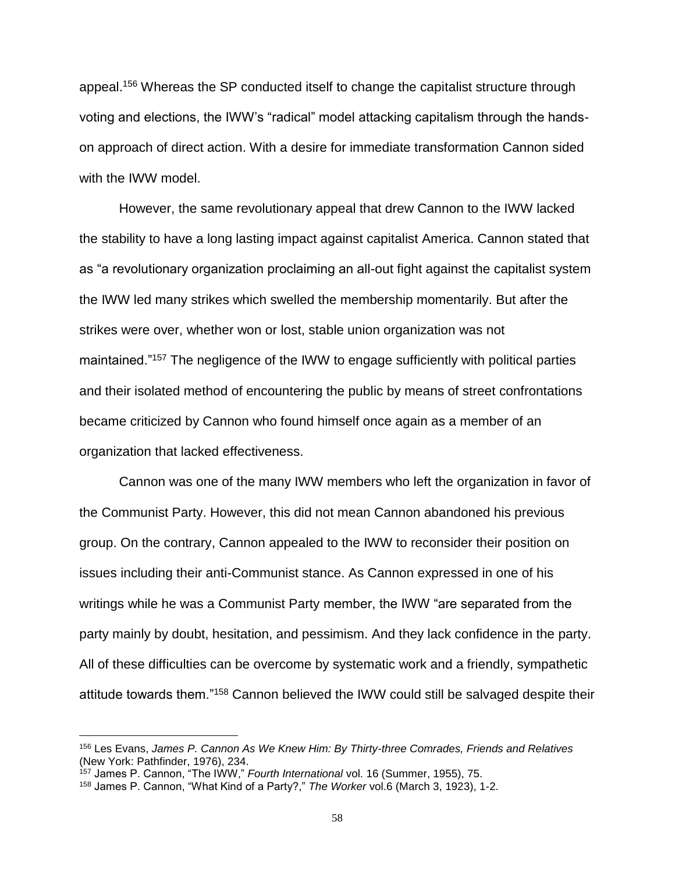appeal.<sup>156</sup> Whereas the SP conducted itself to change the capitalist structure through voting and elections, the IWW's "radical" model attacking capitalism through the handson approach of direct action. With a desire for immediate transformation Cannon sided with the IWW model.

However, the same revolutionary appeal that drew Cannon to the IWW lacked the stability to have a long lasting impact against capitalist America. Cannon stated that as "a revolutionary organization proclaiming an all-out fight against the capitalist system the IWW led many strikes which swelled the membership momentarily. But after the strikes were over, whether won or lost, stable union organization was not maintained."<sup>157</sup> The negligence of the IWW to engage sufficiently with political parties and their isolated method of encountering the public by means of street confrontations became criticized by Cannon who found himself once again as a member of an organization that lacked effectiveness.

Cannon was one of the many IWW members who left the organization in favor of the Communist Party. However, this did not mean Cannon abandoned his previous group. On the contrary, Cannon appealed to the IWW to reconsider their position on issues including their anti-Communist stance. As Cannon expressed in one of his writings while he was a Communist Party member, the IWW "are separated from the party mainly by doubt, hesitation, and pessimism. And they lack confidence in the party. All of these difficulties can be overcome by systematic work and a friendly, sympathetic attitude towards them."<sup>158</sup> Cannon believed the IWW could still be salvaged despite their

<sup>156</sup> Les Evans, *James P. Cannon As We Knew Him: By Thirty-three Comrades, Friends and Relatives* (New York: Pathfinder, 1976), 234.

<sup>157</sup> James P. Cannon, "The IWW," *Fourth International* vol. 16 (Summer, 1955), 75.

<sup>158</sup> James P. Cannon, "What Kind of a Party?," *The Worker* vol.6 (March 3, 1923), 1-2.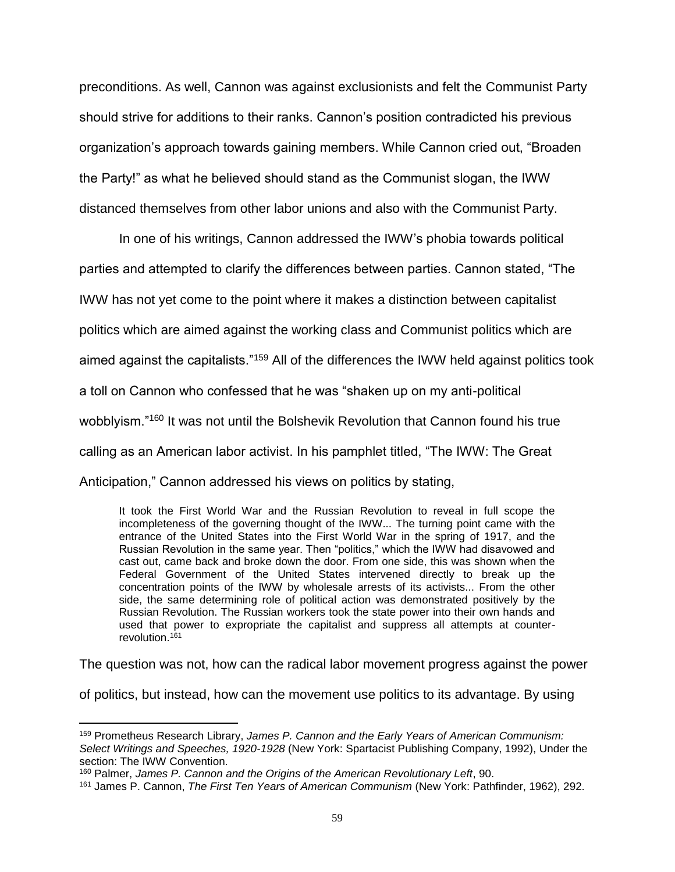preconditions. As well, Cannon was against exclusionists and felt the Communist Party should strive for additions to their ranks. Cannon's position contradicted his previous organization's approach towards gaining members. While Cannon cried out, "Broaden the Party!" as what he believed should stand as the Communist slogan, the IWW distanced themselves from other labor unions and also with the Communist Party.

In one of his writings, Cannon addressed the IWW's phobia towards political parties and attempted to clarify the differences between parties. Cannon stated, "The IWW has not yet come to the point where it makes a distinction between capitalist politics which are aimed against the working class and Communist politics which are aimed against the capitalists."<sup>159</sup> All of the differences the IWW held against politics took a toll on Cannon who confessed that he was "shaken up on my anti-political wobblyism."<sup>160</sup> It was not until the Bolshevik Revolution that Cannon found his true calling as an American labor activist. In his pamphlet titled, "The IWW: The Great Anticipation," Cannon addressed his views on politics by stating,

It took the First World War and the Russian Revolution to reveal in full scope the incompleteness of the governing thought of the IWW... The turning point came with the entrance of the United States into the First World War in the spring of 1917, and the Russian Revolution in the same year. Then "politics," which the IWW had disavowed and cast out, came back and broke down the door. From one side, this was shown when the Federal Government of the United States intervened directly to break up the concentration points of the IWW by wholesale arrests of its activists... From the other side, the same determining role of political action was demonstrated positively by the Russian Revolution. The Russian workers took the state power into their own hands and used that power to expropriate the capitalist and suppress all attempts at counterrevolution.<sup>161</sup>

The question was not, how can the radical labor movement progress against the power

of politics, but instead, how can the movement use politics to its advantage. By using

<sup>159</sup> Prometheus Research Library, *James P. Cannon and the Early Years of American Communism: Select Writings and Speeches, 1920-1928* (New York: Spartacist Publishing Company, 1992), Under the section: The IWW Convention.

<sup>160</sup> Palmer, *James P. Cannon and the Origins of the American Revolutionary Left*, 90.

<sup>161</sup> James P. Cannon, *The First Ten Years of American Communism* (New York: Pathfinder, 1962), 292.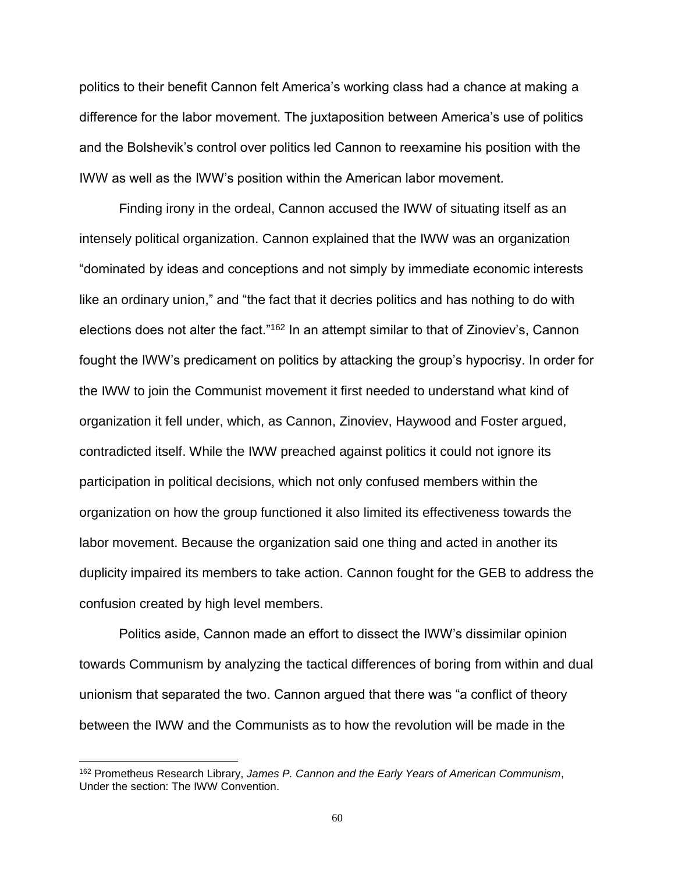politics to their benefit Cannon felt America's working class had a chance at making a difference for the labor movement. The juxtaposition between America's use of politics and the Bolshevik's control over politics led Cannon to reexamine his position with the IWW as well as the IWW's position within the American labor movement.

Finding irony in the ordeal, Cannon accused the IWW of situating itself as an intensely political organization. Cannon explained that the IWW was an organization "dominated by ideas and conceptions and not simply by immediate economic interests like an ordinary union," and "the fact that it decries politics and has nothing to do with elections does not alter the fact."<sup>162</sup> In an attempt similar to that of Zinoviev's, Cannon fought the IWW's predicament on politics by attacking the group's hypocrisy. In order for the IWW to join the Communist movement it first needed to understand what kind of organization it fell under, which, as Cannon, Zinoviev, Haywood and Foster argued, contradicted itself. While the IWW preached against politics it could not ignore its participation in political decisions, which not only confused members within the organization on how the group functioned it also limited its effectiveness towards the labor movement. Because the organization said one thing and acted in another its duplicity impaired its members to take action. Cannon fought for the GEB to address the confusion created by high level members.

Politics aside, Cannon made an effort to dissect the IWW's dissimilar opinion towards Communism by analyzing the tactical differences of boring from within and dual unionism that separated the two. Cannon argued that there was "a conflict of theory between the IWW and the Communists as to how the revolution will be made in the

<sup>162</sup> Prometheus Research Library, *James P. Cannon and the Early Years of American Communism*, Under the section: The IWW Convention.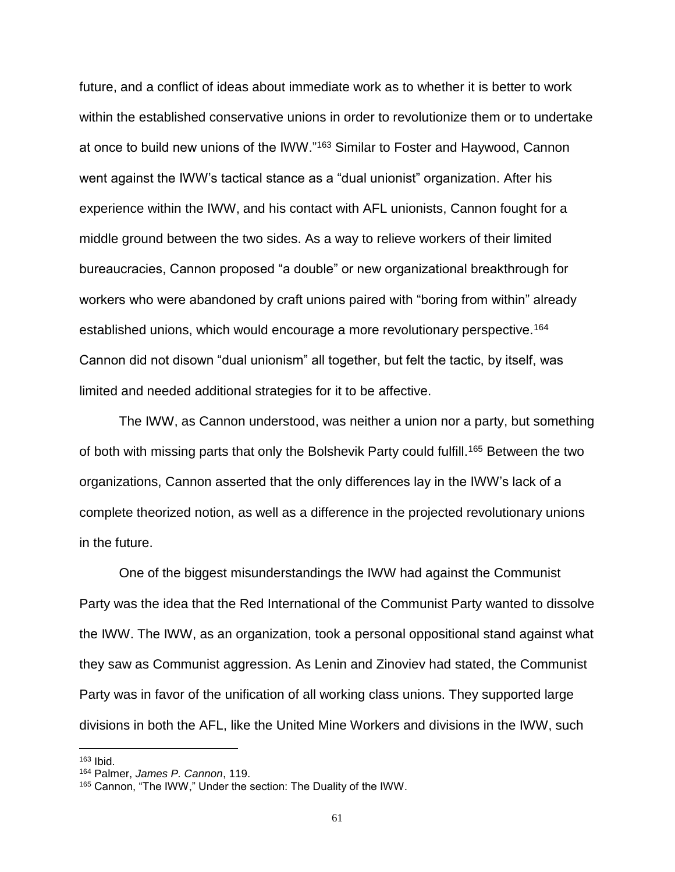future, and a conflict of ideas about immediate work as to whether it is better to work within the established conservative unions in order to revolutionize them or to undertake at once to build new unions of the IWW."<sup>163</sup> Similar to Foster and Haywood, Cannon went against the IWW's tactical stance as a "dual unionist" organization. After his experience within the IWW, and his contact with AFL unionists, Cannon fought for a middle ground between the two sides. As a way to relieve workers of their limited bureaucracies, Cannon proposed "a double" or new organizational breakthrough for workers who were abandoned by craft unions paired with "boring from within" already established unions, which would encourage a more revolutionary perspective.<sup>164</sup> Cannon did not disown "dual unionism" all together, but felt the tactic, by itself, was limited and needed additional strategies for it to be affective.

The IWW, as Cannon understood, was neither a union nor a party, but something of both with missing parts that only the Bolshevik Party could fulfill.<sup>165</sup> Between the two organizations, Cannon asserted that the only differences lay in the IWW's lack of a complete theorized notion, as well as a difference in the projected revolutionary unions in the future.

One of the biggest misunderstandings the IWW had against the Communist Party was the idea that the Red International of the Communist Party wanted to dissolve the IWW. The IWW, as an organization, took a personal oppositional stand against what they saw as Communist aggression. As Lenin and Zinoviev had stated, the Communist Party was in favor of the unification of all working class unions. They supported large divisions in both the AFL, like the United Mine Workers and divisions in the IWW, such

<sup>163</sup> Ibid.

<sup>164</sup> Palmer, *James P. Cannon*, 119.

<sup>165</sup> Cannon, "The IWW," Under the section: The Duality of the IWW.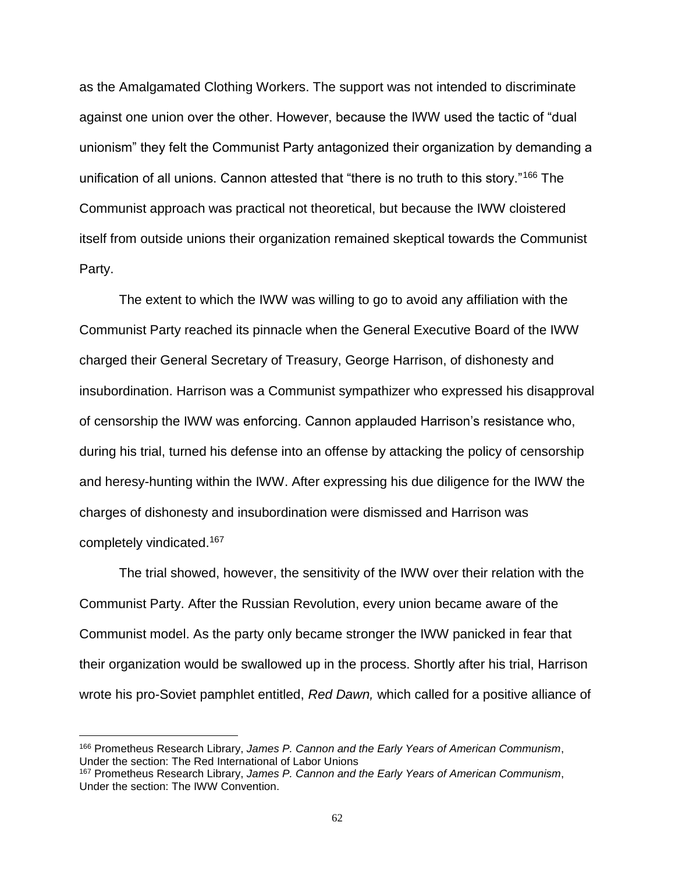as the Amalgamated Clothing Workers. The support was not intended to discriminate against one union over the other. However, because the IWW used the tactic of "dual unionism" they felt the Communist Party antagonized their organization by demanding a unification of all unions. Cannon attested that "there is no truth to this story."<sup>166</sup> The Communist approach was practical not theoretical, but because the IWW cloistered itself from outside unions their organization remained skeptical towards the Communist Party.

The extent to which the IWW was willing to go to avoid any affiliation with the Communist Party reached its pinnacle when the General Executive Board of the IWW charged their General Secretary of Treasury, George Harrison, of dishonesty and insubordination. Harrison was a Communist sympathizer who expressed his disapproval of censorship the IWW was enforcing. Cannon applauded Harrison's resistance who, during his trial, turned his defense into an offense by attacking the policy of censorship and heresy-hunting within the IWW. After expressing his due diligence for the IWW the charges of dishonesty and insubordination were dismissed and Harrison was completely vindicated.<sup>167</sup>

The trial showed, however, the sensitivity of the IWW over their relation with the Communist Party. After the Russian Revolution, every union became aware of the Communist model. As the party only became stronger the IWW panicked in fear that their organization would be swallowed up in the process. Shortly after his trial, Harrison wrote his pro-Soviet pamphlet entitled, *Red Dawn,* which called for a positive alliance of

<sup>166</sup> Prometheus Research Library, *James P. Cannon and the Early Years of American Communism*, Under the section: The Red International of Labor Unions

<sup>167</sup> Prometheus Research Library, *James P. Cannon and the Early Years of American Communism*, Under the section: The IWW Convention.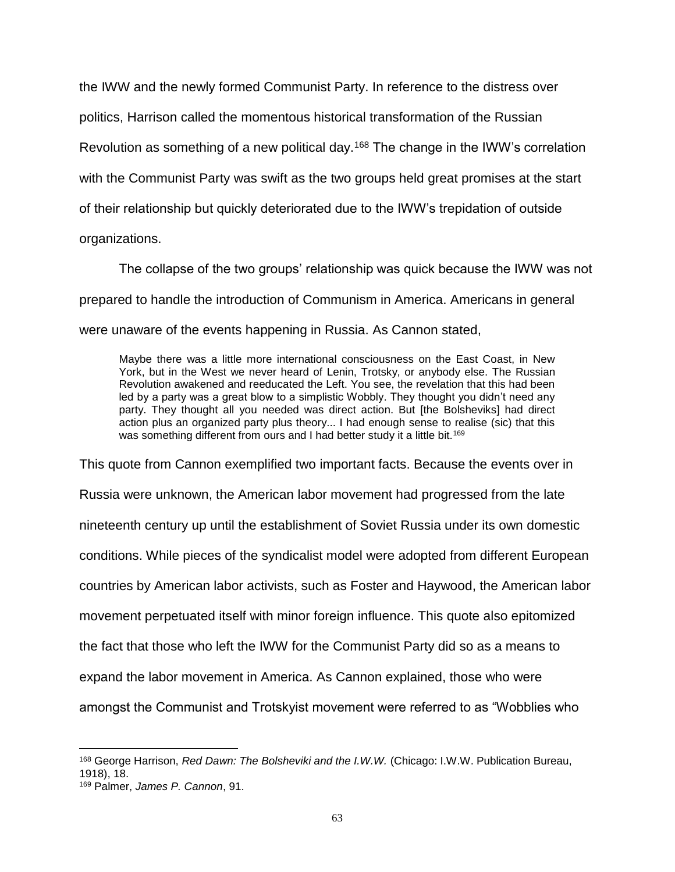the IWW and the newly formed Communist Party. In reference to the distress over politics, Harrison called the momentous historical transformation of the Russian Revolution as something of a new political day.<sup>168</sup> The change in the IWW's correlation with the Communist Party was swift as the two groups held great promises at the start of their relationship but quickly deteriorated due to the IWW's trepidation of outside organizations.

The collapse of the two groups' relationship was quick because the IWW was not prepared to handle the introduction of Communism in America. Americans in general were unaware of the events happening in Russia. As Cannon stated,

Maybe there was a little more international consciousness on the East Coast, in New York, but in the West we never heard of Lenin, Trotsky, or anybody else. The Russian Revolution awakened and reeducated the Left. You see, the revelation that this had been led by a party was a great blow to a simplistic Wobbly. They thought you didn't need any party. They thought all you needed was direct action. But [the Bolsheviks] had direct action plus an organized party plus theory... I had enough sense to realise (sic) that this was something different from ours and I had better study it a little bit.<sup>169</sup>

This quote from Cannon exemplified two important facts. Because the events over in Russia were unknown, the American labor movement had progressed from the late nineteenth century up until the establishment of Soviet Russia under its own domestic conditions. While pieces of the syndicalist model were adopted from different European countries by American labor activists, such as Foster and Haywood, the American labor movement perpetuated itself with minor foreign influence. This quote also epitomized the fact that those who left the IWW for the Communist Party did so as a means to expand the labor movement in America. As Cannon explained, those who were amongst the Communist and Trotskyist movement were referred to as "Wobblies who

 $\overline{a}$ <sup>168</sup> George Harrison, *Red Dawn: The Bolsheviki and the I.W.W.* (Chicago: I.W.W. Publication Bureau, 1918), 18.

<sup>169</sup> Palmer, *James P. Cannon*, 91.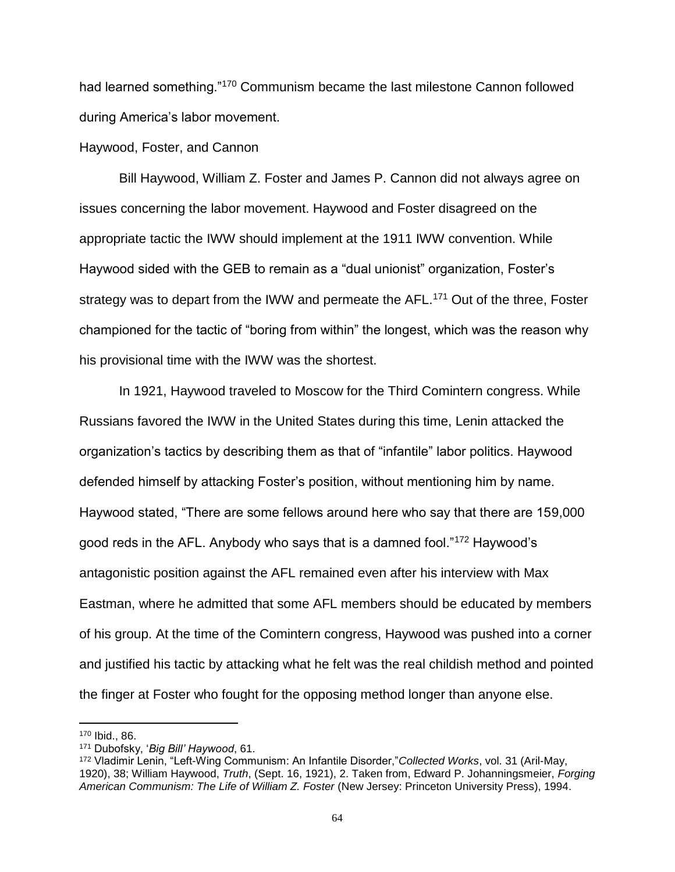had learned something."<sup>170</sup> Communism became the last milestone Cannon followed during America's labor movement.

## Haywood, Foster, and Cannon

Bill Haywood, William Z. Foster and James P. Cannon did not always agree on issues concerning the labor movement. Haywood and Foster disagreed on the appropriate tactic the IWW should implement at the 1911 IWW convention. While Haywood sided with the GEB to remain as a "dual unionist" organization, Foster's strategy was to depart from the IWW and permeate the AFL.<sup>171</sup> Out of the three, Foster championed for the tactic of "boring from within" the longest, which was the reason why his provisional time with the IWW was the shortest.

In 1921, Haywood traveled to Moscow for the Third Comintern congress. While Russians favored the IWW in the United States during this time, Lenin attacked the organization's tactics by describing them as that of "infantile" labor politics. Haywood defended himself by attacking Foster's position, without mentioning him by name. Haywood stated, "There are some fellows around here who say that there are 159,000 good reds in the AFL. Anybody who says that is a damned fool."<sup>172</sup> Haywood's antagonistic position against the AFL remained even after his interview with Max Eastman, where he admitted that some AFL members should be educated by members of his group. At the time of the Comintern congress, Haywood was pushed into a corner and justified his tactic by attacking what he felt was the real childish method and pointed the finger at Foster who fought for the opposing method longer than anyone else.

<sup>170</sup> Ibid., 86.

<sup>171</sup> Dubofsky, '*Big Bill' Haywood*, 61.

<sup>172</sup> Vladimir Lenin, "Left-Wing Communism: An Infantile Disorder,"*Collected Works*, vol. 31 (Aril-May, 1920), 38; William Haywood, *Truth*, (Sept. 16, 1921), 2. Taken from, Edward P. Johanningsmeier, *Forging American Communism: The Life of William Z. Foster* (New Jersey: Princeton University Press), 1994.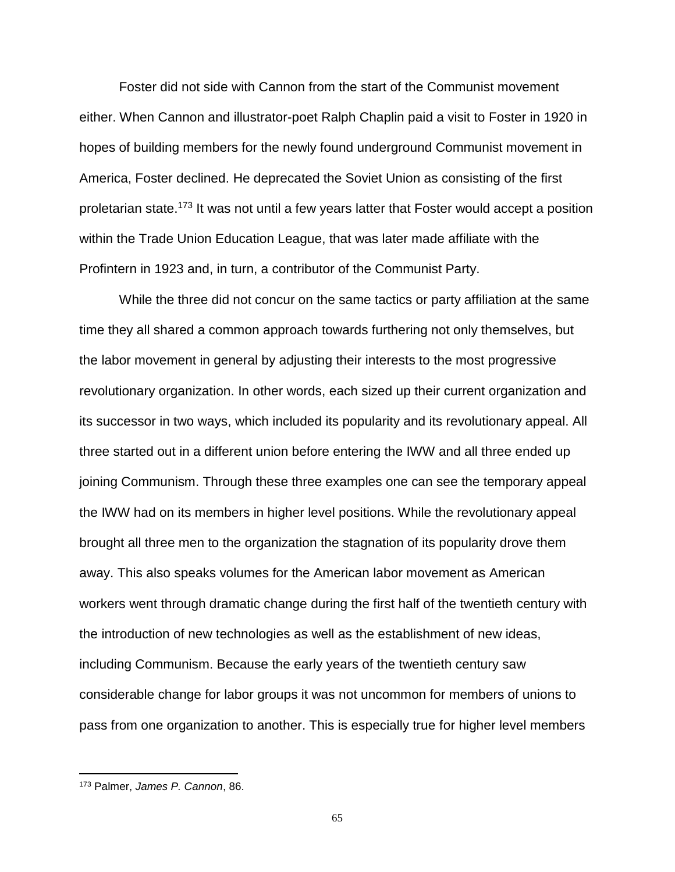Foster did not side with Cannon from the start of the Communist movement either. When Cannon and illustrator-poet Ralph Chaplin paid a visit to Foster in 1920 in hopes of building members for the newly found underground Communist movement in America, Foster declined. He deprecated the Soviet Union as consisting of the first proletarian state.<sup>173</sup> It was not until a few years latter that Foster would accept a position within the Trade Union Education League, that was later made affiliate with the Profintern in 1923 and, in turn, a contributor of the Communist Party.

While the three did not concur on the same tactics or party affiliation at the same time they all shared a common approach towards furthering not only themselves, but the labor movement in general by adjusting their interests to the most progressive revolutionary organization. In other words, each sized up their current organization and its successor in two ways, which included its popularity and its revolutionary appeal. All three started out in a different union before entering the IWW and all three ended up joining Communism. Through these three examples one can see the temporary appeal the IWW had on its members in higher level positions. While the revolutionary appeal brought all three men to the organization the stagnation of its popularity drove them away. This also speaks volumes for the American labor movement as American workers went through dramatic change during the first half of the twentieth century with the introduction of new technologies as well as the establishment of new ideas, including Communism. Because the early years of the twentieth century saw considerable change for labor groups it was not uncommon for members of unions to pass from one organization to another. This is especially true for higher level members

<sup>173</sup> Palmer, *James P. Cannon*, 86.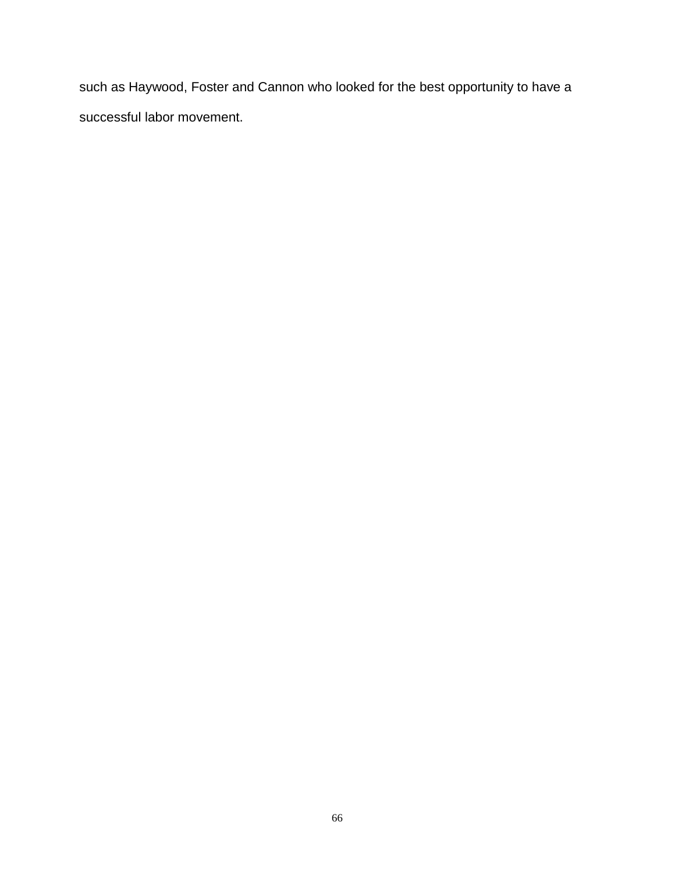such as Haywood, Foster and Cannon who looked for the best opportunity to have a successful labor movement.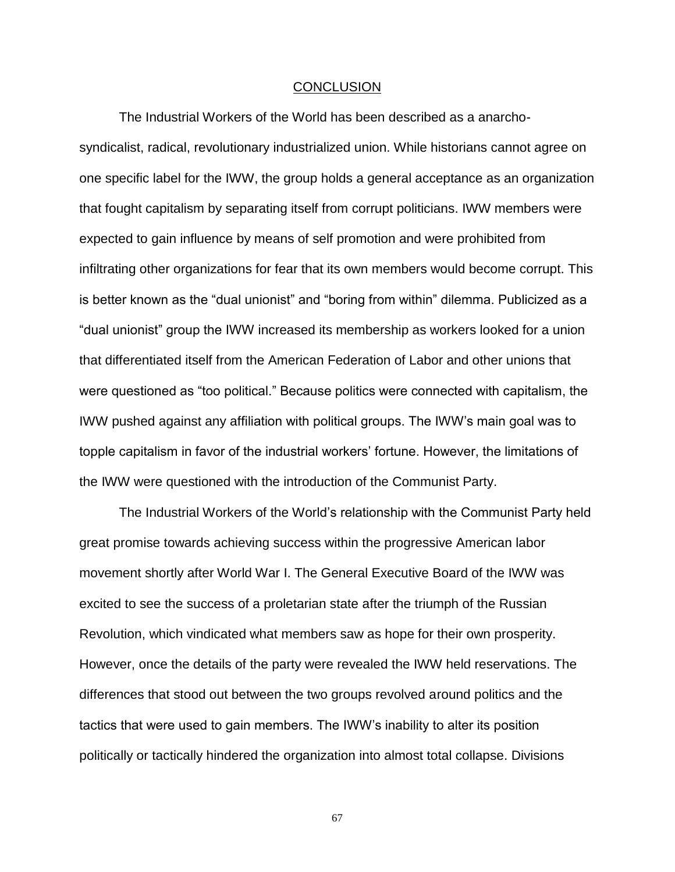### **CONCLUSION**

The Industrial Workers of the World has been described as a anarchosyndicalist, radical, revolutionary industrialized union. While historians cannot agree on one specific label for the IWW, the group holds a general acceptance as an organization that fought capitalism by separating itself from corrupt politicians. IWW members were expected to gain influence by means of self promotion and were prohibited from infiltrating other organizations for fear that its own members would become corrupt. This is better known as the "dual unionist" and "boring from within" dilemma. Publicized as a "dual unionist" group the IWW increased its membership as workers looked for a union that differentiated itself from the American Federation of Labor and other unions that were questioned as "too political." Because politics were connected with capitalism, the IWW pushed against any affiliation with political groups. The IWW's main goal was to topple capitalism in favor of the industrial workers' fortune. However, the limitations of the IWW were questioned with the introduction of the Communist Party.

The Industrial Workers of the World's relationship with the Communist Party held great promise towards achieving success within the progressive American labor movement shortly after World War I. The General Executive Board of the IWW was excited to see the success of a proletarian state after the triumph of the Russian Revolution, which vindicated what members saw as hope for their own prosperity. However, once the details of the party were revealed the IWW held reservations. The differences that stood out between the two groups revolved around politics and the tactics that were used to gain members. The IWW's inability to alter its position politically or tactically hindered the organization into almost total collapse. Divisions

67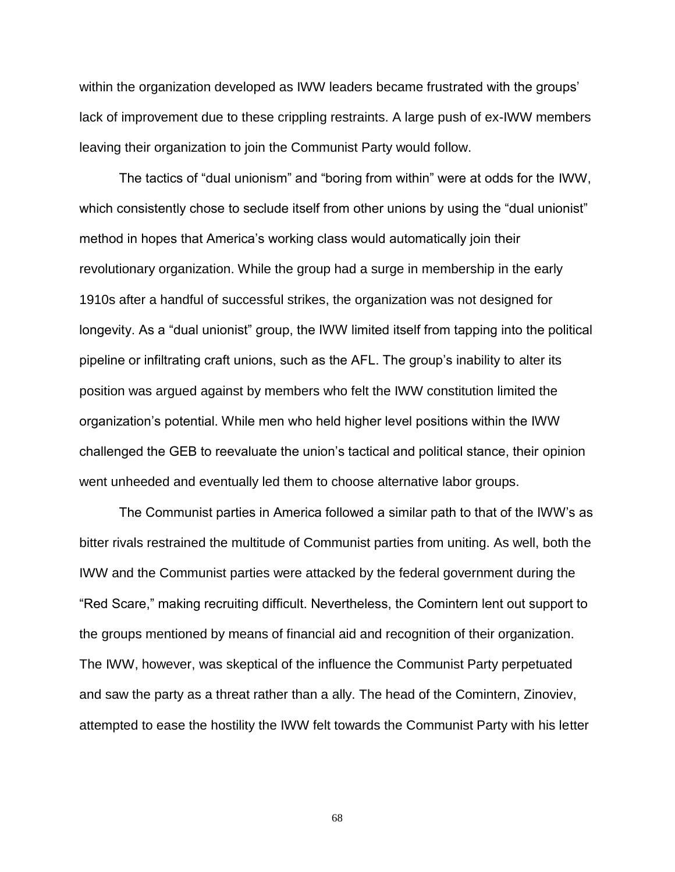within the organization developed as IWW leaders became frustrated with the groups' lack of improvement due to these crippling restraints. A large push of ex-IWW members leaving their organization to join the Communist Party would follow.

The tactics of "dual unionism" and "boring from within" were at odds for the IWW, which consistently chose to seclude itself from other unions by using the "dual unionist" method in hopes that America's working class would automatically join their revolutionary organization. While the group had a surge in membership in the early 1910s after a handful of successful strikes, the organization was not designed for longevity. As a "dual unionist" group, the IWW limited itself from tapping into the political pipeline or infiltrating craft unions, such as the AFL. The group's inability to alter its position was argued against by members who felt the IWW constitution limited the organization's potential. While men who held higher level positions within the IWW challenged the GEB to reevaluate the union's tactical and political stance, their opinion went unheeded and eventually led them to choose alternative labor groups.

The Communist parties in America followed a similar path to that of the IWW's as bitter rivals restrained the multitude of Communist parties from uniting. As well, both the IWW and the Communist parties were attacked by the federal government during the "Red Scare," making recruiting difficult. Nevertheless, the Comintern lent out support to the groups mentioned by means of financial aid and recognition of their organization. The IWW, however, was skeptical of the influence the Communist Party perpetuated and saw the party as a threat rather than a ally. The head of the Comintern, Zinoviev, attempted to ease the hostility the IWW felt towards the Communist Party with his letter

68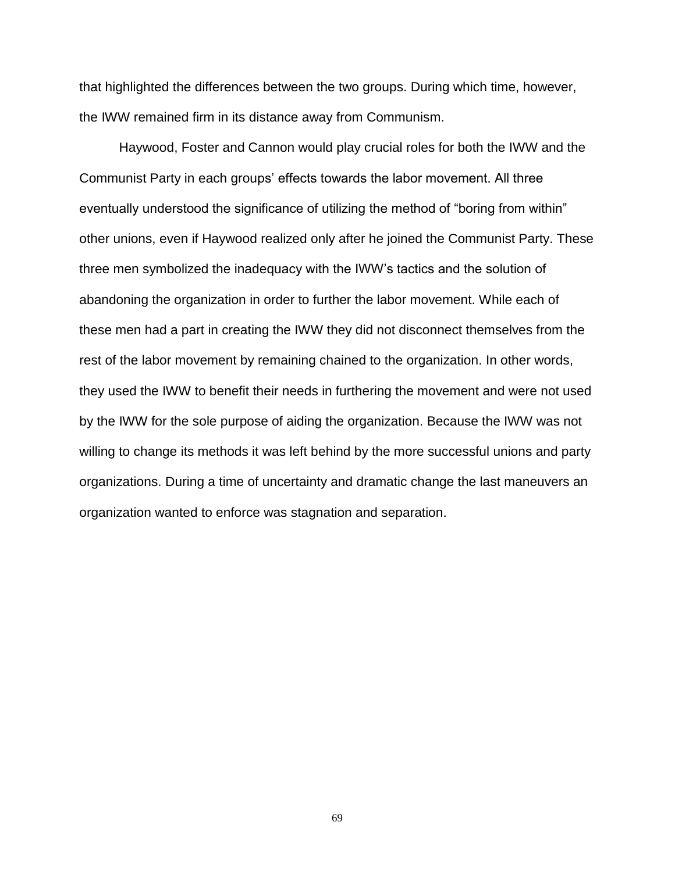that highlighted the differences between the two groups. During which time, however, the IWW remained firm in its distance away from Communism.

Haywood, Foster and Cannon would play crucial roles for both the IWW and the Communist Party in each groups' effects towards the labor movement. All three eventually understood the significance of utilizing the method of "boring from within" other unions, even if Haywood realized only after he joined the Communist Party. These three men symbolized the inadequacy with the IWW's tactics and the solution of abandoning the organization in order to further the labor movement. While each of these men had a part in creating the IWW they did not disconnect themselves from the rest of the labor movement by remaining chained to the organization. In other words, they used the IWW to benefit their needs in furthering the movement and were not used by the IWW for the sole purpose of aiding the organization. Because the IWW was not willing to change its methods it was left behind by the more successful unions and party organizations. During a time of uncertainty and dramatic change the last maneuvers an organization wanted to enforce was stagnation and separation.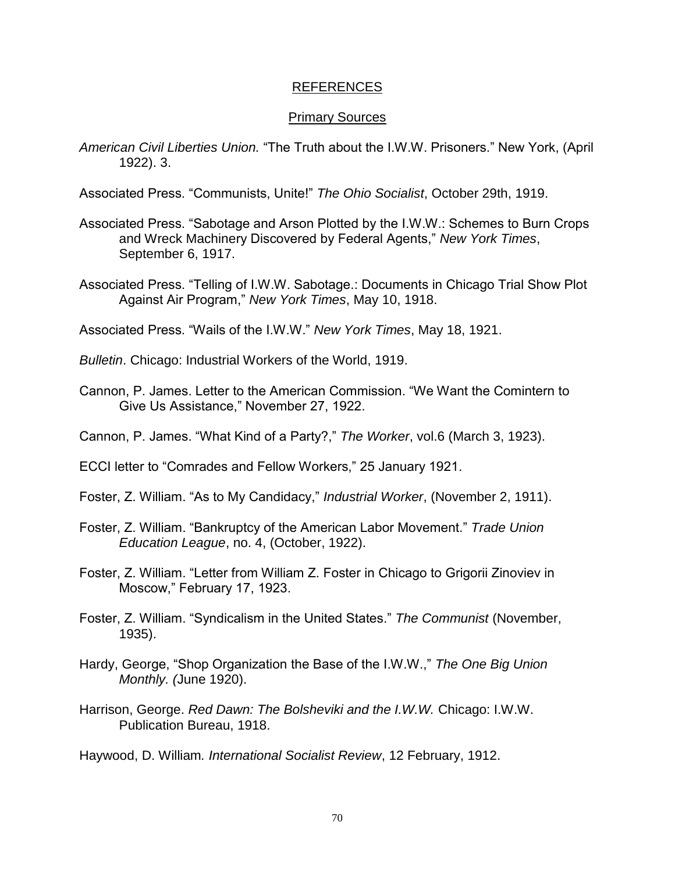## REFERENCES

## Primary Sources

*American Civil Liberties Union.* "The Truth about the I.W.W. Prisoners." New York, (April 1922). 3.

Associated Press. "Communists, Unite!" *The Ohio Socialist*, October 29th, 1919.

- Associated Press. "Sabotage and Arson Plotted by the I.W.W.: Schemes to Burn Crops and Wreck Machinery Discovered by Federal Agents," *New York Times*, September 6, 1917.
- Associated Press. "Telling of I.W.W. Sabotage.: Documents in Chicago Trial Show Plot Against Air Program," *New York Times*, May 10, 1918.

Associated Press. "Wails of the I.W.W." *New York Times*, May 18, 1921.

*Bulletin*. Chicago: Industrial Workers of the World, 1919.

Cannon, P. James. Letter to the American Commission. "We Want the Comintern to Give Us Assistance," November 27, 1922.

Cannon, P. James. "What Kind of a Party?," *The Worker*, vol.6 (March 3, 1923).

ECCI letter to "Comrades and Fellow Workers," 25 January 1921.

- Foster, Z. William. "As to My Candidacy," *Industrial Worker*, (November 2, 1911).
- Foster, Z. William. "Bankruptcy of the American Labor Movement." *Trade Union Education League*, no. 4, (October, 1922).
- Foster, Z. William. "Letter from William Z. Foster in Chicago to Grigorii Zinoviev in Moscow," February 17, 1923.
- Foster, Z. William. "Syndicalism in the United States." *The Communist* (November, 1935).
- Hardy, George, "Shop Organization the Base of the I.W.W.," *The One Big Union Monthly. (*June 1920).
- Harrison, George. *Red Dawn: The Bolsheviki and the I.W.W.* Chicago: I.W.W. Publication Bureau, 1918.

Haywood, D. William*. International Socialist Review*, 12 February, 1912.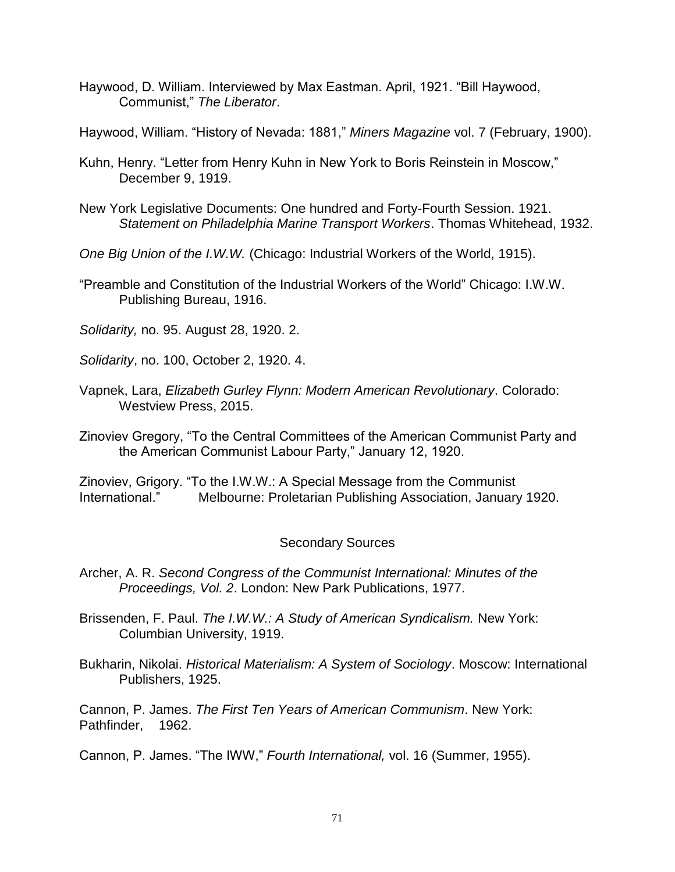- Haywood, D. William. Interviewed by Max Eastman. April, 1921. "Bill Haywood, Communist," *The Liberator*.
- Haywood, William. "History of Nevada: 1881," *Miners Magazine* vol. 7 (February, 1900).
- Kuhn, Henry. "Letter from Henry Kuhn in New York to Boris Reinstein in Moscow," December 9, 1919.
- New York Legislative Documents: One hundred and Forty-Fourth Session. 1921. *Statement on Philadelphia Marine Transport Workers*. Thomas Whitehead, 1932.
- *One Big Union of the I.W.W.* (Chicago: Industrial Workers of the World, 1915).
- "Preamble and Constitution of the Industrial Workers of the World" Chicago: I.W.W. Publishing Bureau, 1916.
- *Solidarity,* no. 95. August 28, 1920. 2.
- *Solidarity*, no. 100, October 2, 1920. 4.
- Vapnek, Lara, *Elizabeth Gurley Flynn: Modern American Revolutionary*. Colorado: Westview Press, 2015.
- Zinoviev Gregory, "To the Central Committees of the American Communist Party and the American Communist Labour Party," January 12, 1920.

Zinoviev, Grigory. "To the I.W.W.: A Special Message from the Communist International." Melbourne: Proletarian Publishing Association, January 1920.

## Secondary Sources

- Archer, A. R. *Second Congress of the Communist International: Minutes of the Proceedings, Vol. 2*. London: New Park Publications, 1977.
- Brissenden, F. Paul. *The I.W.W.: A Study of American Syndicalism.* New York: Columbian University, 1919.
- Bukharin, Nikolai. *Historical Materialism: A System of Sociology*. Moscow: International Publishers, 1925.

Cannon, P. James. *The First Ten Years of American Communism*. New York: Pathfinder, 1962.

## Cannon, P. James. "The IWW," *Fourth International,* vol. 16 (Summer, 1955).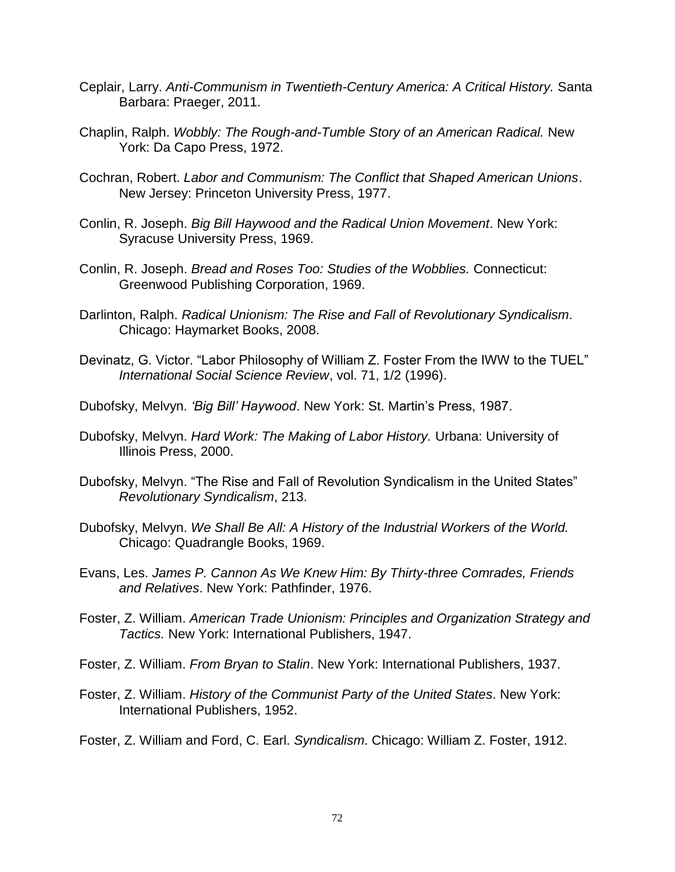- Ceplair, Larry. *Anti-Communism in Twentieth-Century America: A Critical History.* Santa Barbara: Praeger, 2011.
- Chaplin, Ralph. *Wobbly: The Rough-and-Tumble Story of an American Radical.* New York: Da Capo Press, 1972.
- Cochran, Robert. *Labor and Communism: The Conflict that Shaped American Unions*. New Jersey: Princeton University Press, 1977.
- Conlin, R. Joseph. *Big Bill Haywood and the Radical Union Movement*. New York: Syracuse University Press, 1969.
- Conlin, R. Joseph. *Bread and Roses Too: Studies of the Wobblies.* Connecticut: Greenwood Publishing Corporation, 1969.
- Darlinton, Ralph. *Radical Unionism: The Rise and Fall of Revolutionary Syndicalism*. Chicago: Haymarket Books, 2008.
- Devinatz, G. Victor. "Labor Philosophy of William Z. Foster From the IWW to the TUEL" *International Social Science Review*, vol. 71, 1/2 (1996).
- Dubofsky, Melvyn. *'Big Bill' Haywood*. New York: St. Martin's Press, 1987.
- Dubofsky, Melvyn. *Hard Work: The Making of Labor History.* Urbana: University of Illinois Press, 2000.
- Dubofsky, Melvyn. "The Rise and Fall of Revolution Syndicalism in the United States" *Revolutionary Syndicalism*, 213.
- Dubofsky, Melvyn. *We Shall Be All: A History of the Industrial Workers of the World.* Chicago: Quadrangle Books, 1969.
- Evans, Les. *James P. Cannon As We Knew Him: By Thirty-three Comrades, Friends and Relatives*. New York: Pathfinder, 1976.
- Foster, Z. William. *American Trade Unionism: Principles and Organization Strategy and Tactics.* New York: International Publishers, 1947.
- Foster, Z. William. *From Bryan to Stalin*. New York: International Publishers, 1937.
- Foster, Z. William. *History of the Communist Party of the United States*. New York: International Publishers, 1952.
- Foster, Z. William and Ford, C. Earl. *Syndicalism*. Chicago: William Z. Foster, 1912.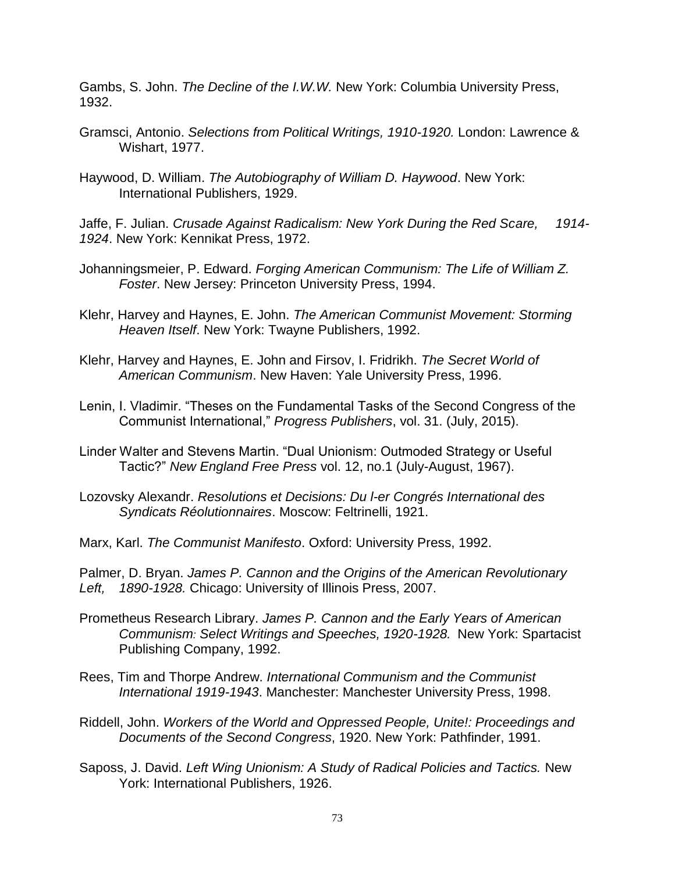Gambs, S. John. *The Decline of the I.W.W.* New York: Columbia University Press, 1932.

- Gramsci, Antonio. *Selections from Political Writings, 1910-1920.* London: Lawrence & Wishart, 1977.
- Haywood, D. William. *The Autobiography of William D. Haywood*. New York: International Publishers, 1929.

Jaffe, F. Julian. *Crusade Against Radicalism: New York During the Red Scare, 1914- 1924*. New York: Kennikat Press, 1972.

- Johanningsmeier, P. Edward. *Forging American Communism: The Life of William Z. Foster*. New Jersey: Princeton University Press, 1994.
- Klehr, Harvey and Haynes, E. John. *The American Communist Movement: Storming Heaven Itself*. New York: Twayne Publishers, 1992.
- Klehr, Harvey and Haynes, E. John and Firsov, I. Fridrikh. *The Secret World of American Communism*. New Haven: Yale University Press, 1996.
- Lenin, I. Vladimir. "Theses on the Fundamental Tasks of the Second Congress of the Communist International," *Progress Publishers*, vol. 31. (July, 2015).
- Linder Walter and Stevens Martin. "Dual Unionism: Outmoded Strategy or Useful Tactic?" *New England Free Press* vol. 12, no.1 (July-August, 1967).
- Lozovsky Alexandr. *Resolutions et Decisions: Du l-er Congrés International des Syndicats Réolutionnaires*. Moscow: Feltrinelli, 1921.
- Marx, Karl. *The Communist Manifesto*. Oxford: University Press, 1992.

Palmer, D. Bryan. *James P. Cannon and the Origins of the American Revolutionary Left, 1890-1928.* Chicago: University of Illinois Press, 2007.

- Prometheus Research Library. *James P. Cannon and the Early Years of American Communism: Select Writings and Speeches, 1920-1928.* New York: Spartacist Publishing Company, 1992.
- Rees, Tim and Thorpe Andrew. *International Communism and the Communist International 1919-1943*. Manchester: Manchester University Press, 1998.
- Riddell, John. *Workers of the World and Oppressed People, Unite!: Proceedings and Documents of the Second Congress*, 1920. New York: Pathfinder, 1991.
- Saposs, J. David. *Left Wing Unionism: A Study of Radical Policies and Tactics.* New York: International Publishers, 1926.